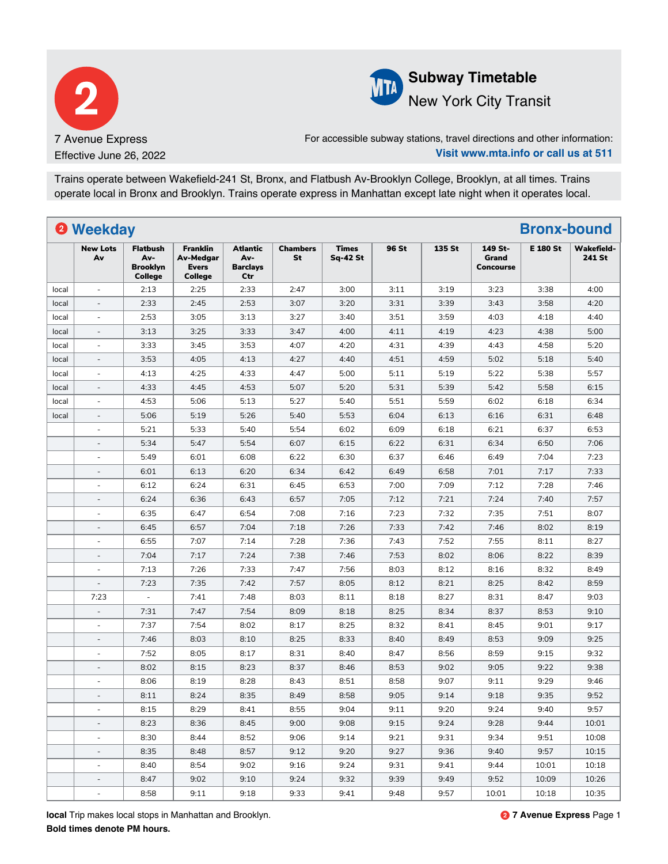



## **Subway Timetable** New York City Transit

For accessible subway stations, travel directions and other information: **Visit www.mta.info or call us at 511**

Trains operate between Wakefield-241 St, Bronx, and Flatbush Av-Brooklyn College, Brooklyn, at all times. Trains operate local in Bronx and Brooklyn. Trains operate express in Manhattan except late night when it operates local.

|       | <sup>2</sup> Weekday     |                                                      |                                                                       |                                                  |                |                                 |       |        |                                      | <b>Bronx-bound</b> |                             |
|-------|--------------------------|------------------------------------------------------|-----------------------------------------------------------------------|--------------------------------------------------|----------------|---------------------------------|-------|--------|--------------------------------------|--------------------|-----------------------------|
|       | <b>New Lots</b><br>Av    | <b>Flatbush</b><br>Av-<br><b>Brooklyn</b><br>College | <b>Franklin</b><br><b>Av-Medgar</b><br><b>Evers</b><br><b>College</b> | <b>Atlantic</b><br>Av-<br><b>Barclays</b><br>Ctr | Chambers<br>St | <b>Times</b><br><b>Sq-42 St</b> | 96 St | 135 St | 149 St-<br>Grand<br><b>Concourse</b> | <b>E 180 St</b>    | <b>Wakefield-</b><br>241 St |
| local | $\omega$                 | 2:13                                                 | 2:25                                                                  | 2:33                                             | 2:47           | 3:00                            | 3:11  | 3:19   | 3:23                                 | 3:38               | 4:00                        |
| local |                          | 2:33                                                 | 2:45                                                                  | 2:53                                             | 3:07           | 3:20                            | 3:31  | 3:39   | 3:43                                 | 3:58               | 4:20                        |
| local | ä,                       | 2:53                                                 | 3:05                                                                  | 3:13                                             | 3:27           | 3:40                            | 3:51  | 3:59   | 4:03                                 | 4:18               | 4:40                        |
| local |                          | 3:13                                                 | 3:25                                                                  | 3:33                                             | 3:47           | 4:00                            | 4:11  | 4:19   | 4:23                                 | 4:38               | 5:00                        |
| local | $\overline{\phantom{a}}$ | 3:33                                                 | 3:45                                                                  | 3:53                                             | 4:07           | 4:20                            | 4:31  | 4:39   | 4:43                                 | 4:58               | 5:20                        |
| local | $\bar{a}$                | 3:53                                                 | 4:05                                                                  | 4:13                                             | 4:27           | 4:40                            | 4:51  | 4:59   | 5:02                                 | 5:18               | 5:40                        |
| local | $\bar{a}$                | 4:13                                                 | 4:25                                                                  | 4:33                                             | 4:47           | 5:00                            | 5:11  | 5:19   | 5:22                                 | 5:38               | 5:57                        |
| local | $\overline{\phantom{a}}$ | 4:33                                                 | 4:45                                                                  | 4:53                                             | 5:07           | 5:20                            | 5:31  | 5:39   | 5:42                                 | 5:58               | 6:15                        |
| local |                          | 4:53                                                 | 5:06                                                                  | 5:13                                             | 5:27           | 5:40                            | 5:51  | 5:59   | 6:02                                 | 6:18               | 6:34                        |
| local | $\overline{a}$           | 5:06                                                 | 5:19                                                                  | 5:26                                             | 5:40           | 5:53                            | 6:04  | 6:13   | 6:16                                 | 6:31               | 6:48                        |
|       | ä,                       | 5:21                                                 | 5:33                                                                  | 5:40                                             | 5:54           | 6:02                            | 6:09  | 6:18   | 6:21                                 | 6:37               | 6:53                        |
|       |                          | 5:34                                                 | 5:47                                                                  | 5:54                                             | 6:07           | 6:15                            | 6:22  | 6:31   | 6:34                                 | 6:50               | 7:06                        |
|       | ÷.                       | 5:49                                                 | 6:01                                                                  | 6:08                                             | 6:22           | 6:30                            | 6:37  | 6:46   | 6:49                                 | 7:04               | 7:23                        |
|       | $\overline{\phantom{a}}$ | 6:01                                                 | 6:13                                                                  | 6:20                                             | 6:34           | 6:42                            | 6:49  | 6:58   | 7:01                                 | 7:17               | 7:33                        |
|       | ä,                       | 6:12                                                 | 6:24                                                                  | 6:31                                             | 6:45           | 6:53                            | 7:00  | 7:09   | 7:12                                 | 7:28               | 7:46                        |
|       |                          | 6:24                                                 | 6:36                                                                  | 6:43                                             | 6:57           | 7:05                            | 7:12  | 7:21   | 7:24                                 | 7:40               | 7:57                        |
|       |                          | 6:35                                                 | 6:47                                                                  | 6:54                                             | 7:08           | 7:16                            | 7:23  | 7:32   | 7:35                                 | 7:51               | 8:07                        |
|       |                          | 6:45                                                 | 6:57                                                                  | 7:04                                             | 7:18           | 7:26                            | 7:33  | 7:42   | 7:46                                 | 8:02               | 8:19                        |
|       | $\overline{\phantom{a}}$ | 6:55                                                 | 7:07                                                                  | 7:14                                             | 7:28           | 7:36                            | 7:43  | 7:52   | 7:55                                 | 8:11               | 8:27                        |
|       | $\overline{\phantom{a}}$ | 7:04                                                 | 7:17                                                                  | 7:24                                             | 7:38           | 7:46                            | 7:53  | 8:02   | 8:06                                 | 8:22               | 8:39                        |
|       | $\overline{\phantom{a}}$ | 7:13                                                 | 7:26                                                                  | 7:33                                             | 7:47           | 7:56                            | 8:03  | 8:12   | 8:16                                 | 8:32               | 8:49                        |
|       | $\overline{\phantom{a}}$ | 7:23                                                 | 7:35                                                                  | 7:42                                             | 7:57           | 8:05                            | 8:12  | 8:21   | 8:25                                 | 8:42               | 8:59                        |
|       | 7:23                     | $\overline{\phantom{a}}$                             | 7:41                                                                  | 7:48                                             | 8:03           | 8:11                            | 8:18  | 8:27   | 8:31                                 | 8:47               | 9:03                        |
|       |                          | 7:31                                                 | 7:47                                                                  | 7:54                                             | 8:09           | 8:18                            | 8:25  | 8:34   | 8:37                                 | 8:53               | 9:10                        |
|       | ä,                       | 7:37                                                 | 7:54                                                                  | 8:02                                             | 8:17           | 8:25                            | 8:32  | 8:41   | 8:45                                 | 9:01               | 9:17                        |
|       | $\overline{\phantom{a}}$ | 7:46                                                 | 8:03                                                                  | 8:10                                             | 8:25           | 8:33                            | 8:40  | 8:49   | 8:53                                 | 9:09               | 9:25                        |
|       | $\overline{\phantom{a}}$ | 7:52                                                 | 8:05                                                                  | 8:17                                             | 8:31           | 8:40                            | 8:47  | 8:56   | 8:59                                 | 9:15               | 9:32                        |
|       | $\overline{\phantom{a}}$ | 8:02                                                 | 8:15                                                                  | 8:23                                             | 8:37           | 8:46                            | 8:53  | 9:02   | 9:05                                 | 9:22               | 9:38                        |
|       |                          | 8:06                                                 | 8:19                                                                  | 8:28                                             | 8:43           | 8:51                            | 8:58  | 9:07   | 9:11                                 | 9:29               | 9:46                        |
|       |                          | 8:11                                                 | 8:24                                                                  | 8:35                                             | 8:49           | 8:58                            | 9:05  | 9:14   | 9:18                                 | 9:35               | 9:52                        |
|       |                          | 8:15                                                 | 8:29                                                                  | 8:41                                             | 8:55           | 9:04                            | 9:11  | 9:20   | 9:24                                 | 9:40               | 9:57                        |
|       |                          | 8:23                                                 | 8:36                                                                  | 8:45                                             | 9:00           | 9:08                            | 9:15  | 9:24   | 9:28                                 | 9:44               | 10:01                       |
|       | $\blacksquare$           | 8:30                                                 | 8:44                                                                  | 8:52                                             | 9:06           | 9:14                            | 9:21  | 9:31   | 9:34                                 | 9:51               | 10:08                       |
|       | $\overline{\phantom{a}}$ | 8:35                                                 | 8:48                                                                  | 8:57                                             | 9:12           | 9:20                            | 9:27  | 9:36   | 9:40                                 | 9:57               | 10:15                       |
|       | $\overline{\phantom{a}}$ | 8:40                                                 | 8:54                                                                  | 9:02                                             | 9:16           | 9:24                            | 9:31  | 9:41   | 9:44                                 | 10:01              | 10:18                       |
|       | $\overline{\phantom{a}}$ | 8:47                                                 | 9:02                                                                  | 9:10                                             | 9:24           | 9:32                            | 9:39  | 9:49   | 9:52                                 | 10:09              | 10:26                       |
|       | $\blacksquare$           | 8:58                                                 | 9:11                                                                  | 9:18                                             | 9:33           | 9:41                            | 9:48  | 9:57   | 10:01                                | 10:18              | 10:35                       |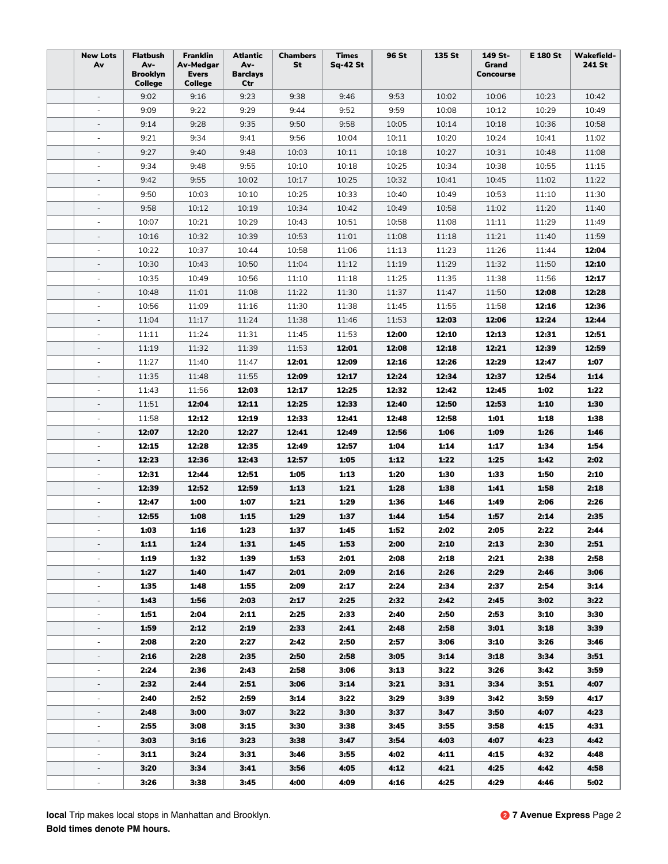| <b>New Lots</b><br>Av                                | <b>Flatbush</b><br>Av-<br>Brooklyn<br><b>College</b> | <b>Franklin</b><br>Av-Medgar<br>Evers<br>College | <b>Atlantic</b><br>Av-<br><b>Barclays</b><br>Ctr | <b>Chambers</b><br>St | <b>Times</b><br><b>Sq-42 St</b> | 96 St        | 135 St       | 149 St-<br>Grand<br><b>Concourse</b> | <b>E 180 St</b> | <b>Wakefield-</b><br>241 St |
|------------------------------------------------------|------------------------------------------------------|--------------------------------------------------|--------------------------------------------------|-----------------------|---------------------------------|--------------|--------------|--------------------------------------|-----------------|-----------------------------|
| $\overline{\phantom{a}}$                             | 9:02                                                 | 9:16                                             | 9:23                                             | 9:38                  | 9:46                            | 9:53         | 10:02        | 10:06                                | 10:23           | 10:42                       |
| $\overline{\phantom{a}}$                             | 9:09                                                 | 9:22                                             | 9:29                                             | 9:44                  | 9:52                            | 9:59         | 10:08        | 10:12                                | 10:29           | 10:49                       |
| $\overline{\phantom{a}}$                             | 9:14                                                 | 9:28                                             | 9:35                                             | 9:50                  | 9:58                            | 10:05        | 10:14        | 10:18                                | 10:36           | 10:58                       |
| $\overline{\phantom{a}}$                             | 9:21                                                 | 9:34                                             | 9:41                                             | 9:56                  | 10:04                           | 10:11        | 10:20        | 10:24                                | 10:41           | 11:02                       |
|                                                      | 9:27                                                 | 9:40                                             | 9:48                                             | 10:03                 | 10:11                           | 10:18        | 10:27        | 10:31                                | 10:48           | 11:08                       |
|                                                      | 9:34                                                 | 9:48                                             | 9:55                                             | 10:10                 | 10:18                           | 10:25        | 10:34        | 10:38                                | 10:55           | 11:15                       |
|                                                      | 9:42                                                 | 9:55                                             | 10:02                                            | 10:17                 | 10:25                           | 10:32        | 10:41        | 10:45                                | 11:02           | 11:22                       |
| $\overline{\phantom{a}}$                             | 9:50                                                 | 10:03                                            | 10:10                                            | 10:25                 | 10:33                           | 10:40        | 10:49        | 10:53                                | 11:10           | 11:30                       |
| $\overline{\phantom{a}}$                             | 9:58                                                 | 10:12                                            | 10:19                                            | 10:34                 | 10:42                           | 10:49        | 10:58        | 11:02                                | 11:20           | 11:40                       |
| $\overline{\phantom{a}}$                             | 10:07                                                | 10:21                                            | 10:29                                            | 10:43                 | 10:51                           | 10:58        | 11:08        | 11:11                                | 11:29           | 11:49                       |
| $\overline{\phantom{a}}$                             | 10:16                                                | 10:32                                            | 10:39                                            | 10:53                 | 11:01                           | 11:08        | 11:18        | 11:21                                | 11:40           | 11:59                       |
|                                                      | 10:22                                                | 10:37                                            | 10:44                                            | 10:58                 | 11:06                           | 11:13        | 11:23        | 11:26                                | 11:44           | 12:04                       |
| $\overline{\phantom{a}}$                             | 10:30                                                | 10:43                                            | 10:50                                            | 11:04                 | 11:12                           | 11:19        | 11:29        | 11:32                                | 11:50           | 12:10                       |
| $\sim$                                               | 10:35                                                | 10:49                                            | 10:56                                            | 11:10                 | 11:18                           | 11:25        | 11:35        | 11:38                                | 11:56           | 12:17                       |
| $\overline{\phantom{a}}$                             | 10:48                                                | 11:01                                            | 11:08                                            | 11:22                 | 11:30                           | 11:37        | 11:47        | 11:50                                | 12:08           | 12:28                       |
| $\overline{\phantom{a}}$                             | 10:56                                                | 11:09                                            | 11:16                                            | 11:30                 | 11:38                           | 11:45        | 11:55        | 11:58                                | 12:16           | 12:36                       |
| $\overline{\phantom{a}}$                             | 11:04                                                | 11:17                                            | 11:24                                            | 11:38                 | 11:46                           | 11:53        | 12:03        | 12:06                                | 12:24           | 12:44                       |
| $\overline{\phantom{a}}$                             | 11:11                                                | 11:24                                            | 11:31                                            | 11:45                 | 11:53                           | 12:00        | 12:10        | 12:13                                | 12:31           | 12:51                       |
| $\overline{\phantom{a}}$                             | 11:19                                                | 11:32                                            | 11:39                                            | 11:53                 | 12:01                           | 12:08        | 12:18        | 12:21                                | 12:39           | 12:59                       |
|                                                      | 11:27                                                | 11:40                                            | 11:47                                            | 12:01                 | 12:09                           | 12:16        | 12:26        | 12:29                                | 12:47           | 1:07                        |
|                                                      | 11:35                                                | 11:48                                            | 11:55                                            | 12:09                 | 12:17                           | 12:24        | 12:34        | 12:37                                | 12:54           | 1:14                        |
| $\overline{\phantom{a}}$                             | 11:43                                                | 11:56                                            | 12:03                                            | 12:17                 | 12:25                           | 12:32        | 12:42        | 12:45                                | 1:02            | 1:22                        |
| $\overline{\phantom{a}}$                             | 11:51                                                | 12:04                                            | 12:11                                            | 12:25                 | 12:33                           | 12:40        | 12:50        | 12:53                                | 1:10            | 1:30                        |
| $\overline{\phantom{a}}$                             | 11:58                                                | 12:12                                            | 12:19                                            | 12:33                 | 12:41                           | 12:48        | 12:58        | 1:01                                 | 1:18            | 1:38                        |
| $\overline{\phantom{a}}$                             | 12:07                                                | 12:20                                            | 12:27                                            | 12:41                 | 12:49                           | 12:56        | 1:06         | 1:09                                 | 1:26            | 1:46                        |
| $\overline{\phantom{a}}$                             | 12:15                                                | 12:28                                            | 12:35                                            | 12:49                 | 12:57                           | 1:04         | 1:14         | 1:17                                 | 1:34            | 1:54                        |
|                                                      | 12:23                                                | 12:36                                            | 12:43                                            | 12:57                 | 1:05                            | 1:12         | 1:22         | 1:25                                 | 1:42            | 2:02                        |
|                                                      | 12:31                                                | 12:44                                            | 12:51                                            | 1:05                  | 1:13                            | 1:20         | 1:30         | 1:33                                 | 1:50            | 2:10                        |
|                                                      | 12:39                                                | 12:52                                            | 12:59                                            | 1:13                  | 1:21                            | 1:28         | 1:38         | 1:41                                 | 1:58            | 2:18                        |
| $\overline{\phantom{a}}$                             | 12:47                                                | 1:00                                             | 1:07                                             | 1:21                  | 1:29                            | 1:36         | 1:46         | 1:49                                 | 2:06            | 2:26                        |
| $\overline{\phantom{a}}$                             | 12:55                                                | 1:08                                             | 1:15                                             | 1:29                  | 1:37                            | 1:44         | 1:54         | 1:57                                 | 2:14            | 2:35                        |
| $\overline{\phantom{a}}$                             | 1:03                                                 | 1:16                                             | 1:23                                             | 1:37                  | 1:45                            | 1:52         | 2:02         | 2:05                                 | 2:22            | 2:44                        |
|                                                      | 1:11                                                 | 1:24                                             | 1:31                                             | 1:45                  | 1:53                            | 2:00         | 2:10         | 2:13                                 | 2:30            | 2:51                        |
|                                                      | 1:19                                                 | 1:32                                             | 1:39                                             | 1:53                  | 2:01                            | 2:08         | 2:18         | 2:21                                 | 2:38            | 2:58                        |
| $\overline{\phantom{0}}$                             | 1:27                                                 | 1:40                                             | 1:47                                             | 2:01                  | 2:09                            | 2:16         | 2:26         | 2:29                                 | 2:46            | 3:06                        |
|                                                      | 1:35                                                 | 1:48                                             | 1:55                                             | 2:09                  | 2:17                            | 2:24         | 2:34         | 2:37                                 | 2:54            | 3:14                        |
| $\overline{\phantom{a}}$                             | 1:43                                                 | 1:56                                             | 2:03                                             | 2:17                  | 2:25                            | 2:32         | 2:42         | 2:45                                 | 3:02            | 3:22                        |
| $\overline{\phantom{a}}$                             | 1:51                                                 | 2:04                                             | 2:11                                             | 2:25                  | 2:33                            | 2:40         | 2:50         | 2:53                                 | 3:10            | 3:30                        |
| $\frac{1}{2}$<br>÷.                                  | 1:59                                                 | 2:12                                             | 2:19                                             | 2:33                  | 2:41                            | 2:48         | 2:58         | 3:01                                 | 3:18            | 3:39                        |
|                                                      | 2:08                                                 | 2:20                                             | 2:27                                             | 2:42                  | 2:50                            | 2:57         | 3:06         | 3:10                                 | 3:26            | 3:46                        |
|                                                      | 2:16<br>2:24                                         | 2:28<br>2:36                                     | 2:35<br>2:43                                     | 2:50<br>2:58          | 2:58<br>3:06                    | 3:05<br>3:13 | 3:14<br>3:22 | 3:18<br>3:26                         | 3:34<br>3:42    | 3:51<br>3:59                |
|                                                      |                                                      |                                                  |                                                  |                       |                                 |              |              |                                      |                 |                             |
|                                                      | 2:32                                                 | 2:44                                             | 2:51                                             | 3:06                  | 3:14                            | 3:21<br>3:29 | 3:31<br>3:39 | 3:34                                 | 3:51            | 4:07                        |
| $\overline{\phantom{a}}$<br>$\overline{\phantom{a}}$ | 2:40<br>2:48                                         | 2:52<br>3:00                                     | 2:59<br>3:07                                     | 3:14<br>3:22          | 3:22<br>3:30                    | 3:37         | 3:47         | 3:42<br>3:50                         | 3:59<br>4:07    | 4:17<br>4:23                |
| $\overline{\phantom{a}}$                             | 2:55                                                 | 3:08                                             | 3:15                                             | 3:30                  | 3:38                            | 3:45         | 3:55         | 3:58                                 | 4:15            | 4:31                        |
| $\frac{1}{2}$                                        | 3:03                                                 | 3:16                                             | 3:23                                             | 3:38                  | 3:47                            | 3:54         | 4:03         | 4:07                                 | 4:23            | 4:42                        |
|                                                      | 3:11                                                 | 3:24                                             | 3:31                                             | 3:46                  | 3:55                            | 4:02         | 4:11         | 4:15                                 | 4:32            | 4:48                        |
|                                                      | 3:20                                                 | 3:34                                             | 3:41                                             | 3:56                  | 4:05                            | 4.12         | 4:21         | 4:25                                 | 4:42            | 4:58                        |
| ÷,                                                   | 3:26                                                 | 3:38                                             | 3:45                                             | 4:00                  | 4:09                            | 4:16         | 4:25         | 4:29                                 | 4:46            | 5:02                        |
|                                                      |                                                      |                                                  |                                                  |                       |                                 |              |              |                                      |                 |                             |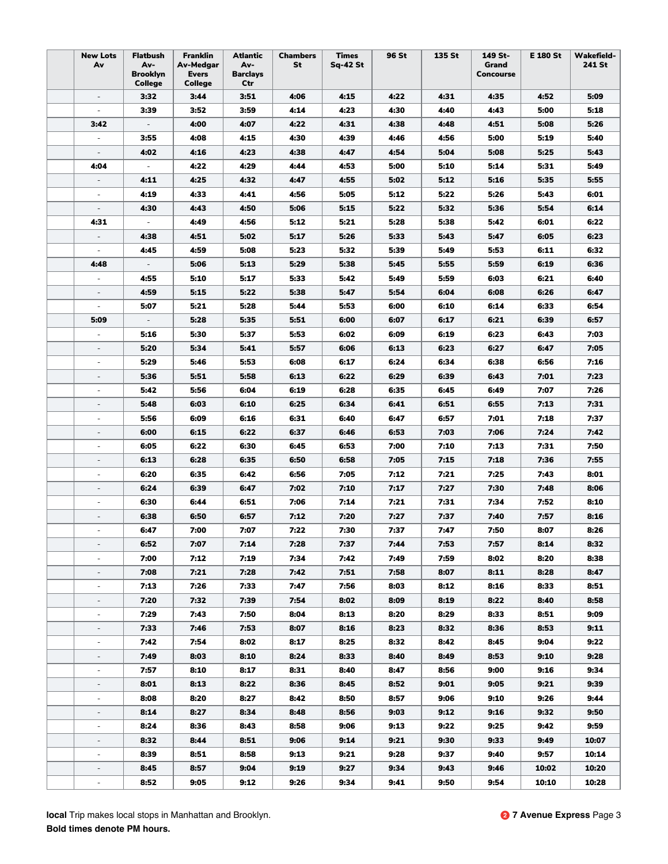| <b>New Lots</b><br>Av    | <b>Flatbush</b><br>Av-<br>Brooklyn<br><b>College</b> | <b>Franklin</b><br>Av-Medgar<br>Evers<br>College | <b>Atlantic</b><br>Av-<br><b>Barclays</b><br>Ctr | <b>Chambers</b><br>St | <b>Times</b><br><b>Sq-42 St</b> | 96 St | 135 St | 149 St-<br>Grand<br><b>Concourse</b> | <b>E 180 St</b> | <b>Wakefield-</b><br>241 St |
|--------------------------|------------------------------------------------------|--------------------------------------------------|--------------------------------------------------|-----------------------|---------------------------------|-------|--------|--------------------------------------|-----------------|-----------------------------|
| $\overline{\phantom{a}}$ | 3:32                                                 | 3:44                                             | 3:51                                             | 4:06                  | 4:15                            | 4:22  | 4:31   | 4:35                                 | 4:52            | 5:09                        |
| $\overline{\phantom{a}}$ | 3:39                                                 | 3:52                                             | 3:59                                             | 4:14                  | 4:23                            | 4:30  | 4:40   | 4:43                                 | 5:00            | 5:18                        |
| 3:42                     | $\overline{\phantom{a}}$                             | 4:00                                             | 4:07                                             | 4:22                  | 4:31                            | 4:38  | 4:48   | 4:51                                 | 5:08            | 5:26                        |
| $\overline{\phantom{a}}$ | 3:55                                                 | 4:08                                             | 4:15                                             | 4:30                  | 4:39                            | 4:46  | 4:56   | 5:00                                 | 5:19            | 5:40                        |
|                          | 4:02                                                 | 4:16                                             | 4:23                                             | 4:38                  | 4:47                            | 4:54  | 5:04   | 5:08                                 | 5:25            | 5:43                        |
| 4:04                     | $\overline{\phantom{a}}$                             | 4:22                                             | 4:29                                             | 4:44                  | 4:53                            | 5:00  | 5:10   | 5:14                                 | 5:31            | 5:49                        |
|                          | 4:11                                                 | 4:25                                             | 4:32                                             | 4:47                  | 4:55                            | 5:02  | 5:12   | 5:16                                 | 5:35            | 5:55                        |
| $\overline{\phantom{a}}$ | 4:19                                                 | 4:33                                             | 4:41                                             | 4:56                  | 5:05                            | 5:12  | 5:22   | 5:26                                 | 5:43            | 6:01                        |
| $\overline{\phantom{a}}$ | 4:30                                                 | 4:43                                             | 4:50                                             | 5:06                  | 5:15                            | 5:22  | 5:32   | 5:36                                 | 5:54            | 6:14                        |
| 4:31                     | $\bar{\phantom{a}}$                                  | 4:49                                             | 4:56                                             | 5:12                  | 5:21                            | 5:28  | 5:38   | 5:42                                 | 6:01            | 6:22                        |
| $\overline{\phantom{a}}$ | 4:38                                                 | 4:51                                             | 5:02                                             | 5:17                  | 5:26                            | 5:33  | 5:43   | 5:47                                 | 6:05            | 6:23                        |
|                          | 4:45                                                 | 4:59                                             | 5:08                                             | 5:23                  | 5:32                            | 5:39  | 5:49   | 5:53                                 | 6:11            | 6:32                        |
| 4:48                     | $\overline{\phantom{a}}$                             | 5:06                                             | 5:13                                             | 5:29                  | 5:38                            | 5:45  | 5:55   | 5:59                                 | 6:19            | 6:36                        |
| $\overline{\phantom{a}}$ | 4:55                                                 | 5:10                                             | 5:17                                             | 5:33                  | 5:42                            | 5:49  | 5:59   | 6:03                                 | 6:21            | 6:40                        |
| $\overline{\phantom{a}}$ | 4:59                                                 | 5:15                                             | 5:22                                             | 5:38                  | 5:47                            | 5:54  | 6:04   | 6:08                                 | 6:26            | 6:47                        |
| $\overline{\phantom{a}}$ | 5:07                                                 | 5:21                                             | 5:28                                             | 5:44                  | 5:53                            | 6:00  | 6:10   | 6:14                                 | 6:33            | 6:54                        |
| 5:09                     | $\overline{\phantom{a}}$                             | 5:28                                             | 5:35                                             | 5:51                  | 6:00                            | 6:07  | 6:17   | 6:21                                 | 6:39            | 6:57                        |
| $\overline{\phantom{a}}$ | 5:16                                                 | 5:30                                             | 5:37                                             | 5:53                  | 6:02                            | 6:09  | 6:19   | 6:23                                 | 6:43            | 7:03                        |
| $\overline{\phantom{a}}$ | 5:20                                                 | 5:34                                             | 5:41                                             | 5:57                  | 6:06                            | 6:13  | 6:23   | 6:27                                 | 6:47            | 7:05                        |
|                          | 5:29                                                 | 5:46                                             | 5:53                                             | 6:08                  | 6:17                            | 6:24  | 6:34   | 6:38                                 | 6:56            | 7:16                        |
|                          | 5:36                                                 | 5:51                                             | 5:58                                             | 6:13                  | 6:22                            | 6:29  | 6:39   | 6:43                                 | 7:01            | 7:23                        |
| $\overline{\phantom{m}}$ | 5:42                                                 | 5:56                                             | 6:04                                             | 6:19                  | 6:28                            | 6:35  | 6:45   | 6:49                                 | 7:07            | 7:26                        |
| $\overline{\phantom{a}}$ | 5:48                                                 | 6:03                                             | 6:10                                             | 6:25                  | 6:34                            | 6:41  | 6:51   | 6:55                                 | 7:13            | 7:31                        |
| $\bar{a}$                | 5:56                                                 | 6:09                                             | 6:16                                             | 6:31                  | 6:40                            | 6:47  | 6:57   | 7:01                                 | 7:18            | 7:37                        |
| $\overline{\phantom{a}}$ | 6:00                                                 | 6:15                                             | 6:22                                             | 6:37                  | 6:46                            | 6:53  | 7:03   | 7:06                                 | 7:24            | 7:42                        |
| $\overline{\phantom{a}}$ | 6:05                                                 | 6:22                                             | 6:30                                             | 6:45                  | 6:53                            | 7:00  | 7:10   | 7:13                                 | 7:31            | 7:50                        |
|                          | 6:13                                                 | 6:28                                             | 6:35                                             | 6:50                  | 6:58                            | 7:05  | 7:15   | 7:18                                 | 7:36            | 7:55                        |
| $\sim$                   | 6:20                                                 | 6:35                                             | 6:42                                             | 6:56                  | 7:05                            | 7:12  | 7:21   | 7:25                                 | 7:43            | 8:01                        |
|                          | 6:24                                                 | 6:39                                             | 6:47                                             | 7:02                  | 7:10                            | 7:17  | 7:27   | 7:30                                 | 7:48            | 8:06                        |
| $\overline{\phantom{a}}$ | 6:30                                                 | 6:44                                             | 6:51                                             | 7:06                  | 7:14                            | 7:21  | 7:31   | 7:34                                 | 7:52            | 8:10                        |
| $\overline{\phantom{a}}$ | 6:38                                                 | 6:50                                             | 6:57                                             | 7:12                  | 7:20                            | 7:27  | 7:37   | 7:40                                 | 7:57            | 8:16                        |
| ä,                       | 6:47                                                 | 7:00                                             | 7:07                                             | 7:22                  | 7:30                            | 7:37  | 7:47   | 7:50                                 | 8:07            | 8:26                        |
|                          | 6:52                                                 | 7:07                                             | 7:14                                             | 7:28                  | 7:37                            | 7:44  | 7:53   | 7:57                                 | 8:14            | 8:32                        |
|                          | 7:00                                                 | 7:12                                             | 7:19                                             | 7:34                  | 7:42                            | 7:49  | 7:59   | 8:02                                 | 8:20            | 8:38                        |
| $\overline{\phantom{0}}$ | 7:08                                                 | 7:21                                             | 7:28                                             | 7:42                  | 7:51                            | 7:58  | 8:07   | 8:11                                 | 8:28            | 8:47                        |
|                          | 7:13                                                 | 7:26                                             | 7:33                                             | 7:47                  | 7:56                            | 8:03  | 8:12   | 8:16                                 | 8:33            | 8:51                        |
| $\overline{\phantom{a}}$ | 7:20                                                 | 7:32                                             | 7:39                                             | 7:54                  | 8:02                            | 8:09  | 8:19   | 8:22                                 | 8:40            | 8:58                        |
| $\overline{\phantom{a}}$ | 7:29                                                 | 7:43                                             | 7:50                                             | 8:04                  | 8:13                            | 8:20  | 8:29   | 8:33                                 | 8:51            | 9:09                        |
| $\frac{1}{2}$            | 7:33                                                 | 7:46                                             | 7:53                                             | 8:07                  | 8:16                            | 8:23  | 8:32   | 8:36                                 | 8:53            | 9:11                        |
| $\frac{1}{2}$            | 7:42                                                 | 7:54                                             | 8:02                                             | 8:17                  | 8:25                            | 8:32  | 8:42   | 8:45                                 | 9:04            | 9:22                        |
|                          | 7:49                                                 | 8:03                                             | 8:10                                             | 8:24                  | 8:33                            | 8:40  | 8:49   | 8:53                                 | 9:10            | 9:28                        |
|                          | 7:57                                                 | 8:10                                             | 8:17                                             | 8:31                  | 8:40                            | 8:47  | 8:56   | 9:00                                 | 9:16            | 9:34                        |
|                          | 8:01                                                 | 8:13                                             | 8:22                                             | 8:36                  | 8:45                            | 8:52  | 9:01   | 9:05                                 | 9:21            | 9:39                        |
| $\overline{\phantom{a}}$ | 8:08                                                 | 8:20                                             | 8:27                                             | 8:42                  | 8:50                            | 8:57  | 9:06   | 9:10                                 | 9:26            | 9:44                        |
| $\overline{\phantom{a}}$ | 8:14                                                 | 8:27                                             | 8:34                                             | 8:48                  | 8:56                            | 9:03  | 9:12   | 9:16                                 | 9:32            | 9:50                        |
| $\overline{\phantom{a}}$ | 8:24                                                 | 8:36                                             | 8:43                                             | 8:58                  | 9:06                            | 9:13  | 9:22   | 9:25                                 | 9:42            | 9:59                        |
| $\overline{\phantom{a}}$ | 8:32                                                 | 8:44                                             | 8:51                                             | 9:06                  | 9:14                            | 9:21  | 9:30   | 9:33                                 | 9:49            | 10:07                       |
|                          | 8:39                                                 | 8:51                                             | 8:58                                             | 9:13                  | 9:21                            | 9:28  | 9:37   | 9:40                                 | 9:57            | 10:14                       |
|                          | 8:45                                                 | 8:57                                             | 9:04                                             | 9:19                  | 9:27                            | 9:34  | 9:43   | 9:46                                 | 10:02           | 10:20                       |
| ÷,                       | 8:52                                                 | 9:05                                             | 9:12                                             | 9:26                  | 9:34                            | 9:41  | 9:50   | 9:54                                 | 10:10           | 10:28                       |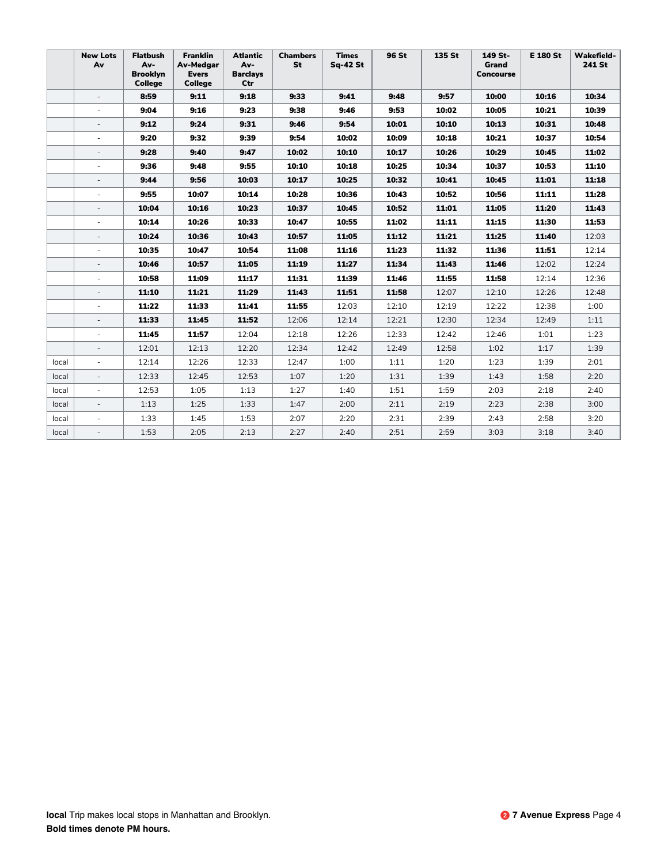|       | <b>New Lots</b><br>Av    | <b>Flatbush</b><br>Av-<br><b>Brooklyn</b><br>College | <b>Franklin</b><br><b>Av-Medgar</b><br><b>Evers</b><br><b>College</b> | <b>Atlantic</b><br>Av-<br><b>Barclays</b><br>Ctr | <b>Chambers</b><br>St | <b>Times</b><br><b>Sq-42 St</b> | 96 St | 135 St | 149 St-<br>Grand<br><b>Concourse</b> | <b>E 180 St</b> | <b>Wakefield-</b><br>241 St |
|-------|--------------------------|------------------------------------------------------|-----------------------------------------------------------------------|--------------------------------------------------|-----------------------|---------------------------------|-------|--------|--------------------------------------|-----------------|-----------------------------|
|       | $\overline{\phantom{a}}$ | 8:59                                                 | 9:11                                                                  | 9:18                                             | 9:33                  | 9:41                            | 9:48  | 9:57   | 10:00                                | 10:16           | 10:34                       |
|       | $\sim$                   | 9:04                                                 | 9:16                                                                  | 9:23                                             | 9:38                  | 9:46                            | 9:53  | 10:02  | 10:05                                | 10:21           | 10:39                       |
|       | $\overline{\phantom{a}}$ | 9:12                                                 | 9:24                                                                  | 9:31                                             | 9:46                  | 9:54                            | 10:01 | 10:10  | 10:13                                | 10:31           | 10:48                       |
|       |                          | 9:20                                                 | 9:32                                                                  | 9:39                                             | 9:54                  | 10:02                           | 10:09 | 10:18  | 10:21                                | 10:37           | 10:54                       |
|       |                          | 9:28                                                 | 9:40                                                                  | 9:47                                             | 10:02                 | 10:10                           | 10:17 | 10:26  | 10:29                                | 10:45           | 11:02                       |
|       | $\overline{\phantom{a}}$ | 9:36                                                 | 9:48                                                                  | 9:55                                             | 10:10                 | 10:18                           | 10:25 | 10:34  | 10:37                                | 10:53           | 11:10                       |
|       |                          | 9:44                                                 | 9:56                                                                  | 10:03                                            | 10:17                 | 10:25                           | 10:32 | 10:41  | 10:45                                | 11:01           | 11:18                       |
|       | $\sim$                   | 9:55                                                 | 10:07                                                                 | 10:14                                            | 10:28                 | 10:36                           | 10:43 | 10:52  | 10:56                                | 11:11           | 11:28                       |
|       | $\overline{\phantom{a}}$ | 10:04                                                | 10:16                                                                 | 10:23                                            | 10:37                 | 10:45                           | 10:52 | 11:01  | 11:05                                | 11:20           | 11:43                       |
|       |                          | 10:14                                                | 10:26                                                                 | 10:33                                            | 10:47                 | 10:55                           | 11:02 | 11:11  | 11:15                                | 11:30           | 11:53                       |
|       |                          | 10:24                                                | 10:36                                                                 | 10:43                                            | 10:57                 | 11:05                           | 11:12 | 11:21  | 11:25                                | 11:40           | 12:03                       |
|       | $\overline{\phantom{a}}$ | 10:35                                                | 10:47                                                                 | 10:54                                            | 11:08                 | 11:16                           | 11:23 | 11:32  | 11:36                                | 11:51           | 12:14                       |
|       |                          | 10:46                                                | 10:57                                                                 | 11:05                                            | 11:19                 | 11:27                           | 11:34 | 11:43  | 11:46                                | 12:02           | 12:24                       |
|       | $\sim$                   | 10:58                                                | 11:09                                                                 | 11:17                                            | 11:31                 | 11:39                           | 11:46 | 11:55  | 11:58                                | 12:14           | 12:36                       |
|       | $\overline{\phantom{a}}$ | 11:10                                                | 11:21                                                                 | 11:29                                            | 11:43                 | 11:51                           | 11:58 | 12:07  | 12:10                                | 12:26           | 12:48                       |
|       | $\overline{\phantom{a}}$ | 11:22                                                | 11:33                                                                 | 11:41                                            | 11:55                 | 12:03                           | 12:10 | 12:19  | 12:22                                | 12:38           | 1:00                        |
|       |                          | 11:33                                                | 11:45                                                                 | 11:52                                            | 12:06                 | 12:14                           | 12:21 | 12:30  | 12:34                                | 12:49           | 1:11                        |
|       | $\sim$                   | 11:45                                                | 11:57                                                                 | 12:04                                            | 12:18                 | 12:26                           | 12:33 | 12:42  | 12:46                                | 1:01            | 1:23                        |
|       | $\overline{\phantom{a}}$ | 12:01                                                | 12:13                                                                 | 12:20                                            | 12:34                 | 12:42                           | 12:49 | 12:58  | 1:02                                 | 1:17            | 1:39                        |
| local | $\overline{\phantom{a}}$ | 12:14                                                | 12:26                                                                 | 12:33                                            | 12:47                 | 1:00                            | 1:11  | 1:20   | 1:23                                 | 1:39            | 2:01                        |
| local | $\overline{\phantom{a}}$ | 12:33                                                | 12:45                                                                 | 12:53                                            | 1:07                  | 1:20                            | 1:31  | 1:39   | 1:43                                 | 1:58            | 2:20                        |
| local | $\overline{\phantom{a}}$ | 12:53                                                | 1:05                                                                  | 1:13                                             | 1:27                  | 1:40                            | 1:51  | 1:59   | 2:03                                 | 2:18            | 2:40                        |
| local | $\overline{\phantom{a}}$ | 1:13                                                 | 1:25                                                                  | 1:33                                             | 1:47                  | 2:00                            | 2:11  | 2:19   | 2:23                                 | 2:38            | 3:00                        |
| local | $\overline{\phantom{a}}$ | 1:33                                                 | 1:45                                                                  | 1:53                                             | 2:07                  | 2:20                            | 2:31  | 2:39   | 2:43                                 | 2:58            | 3:20                        |
| local |                          | 1:53                                                 | 2:05                                                                  | 2:13                                             | 2:27                  | 2:40                            | 2:51  | 2:59   | 3:03                                 | 3:18            | 3:40                        |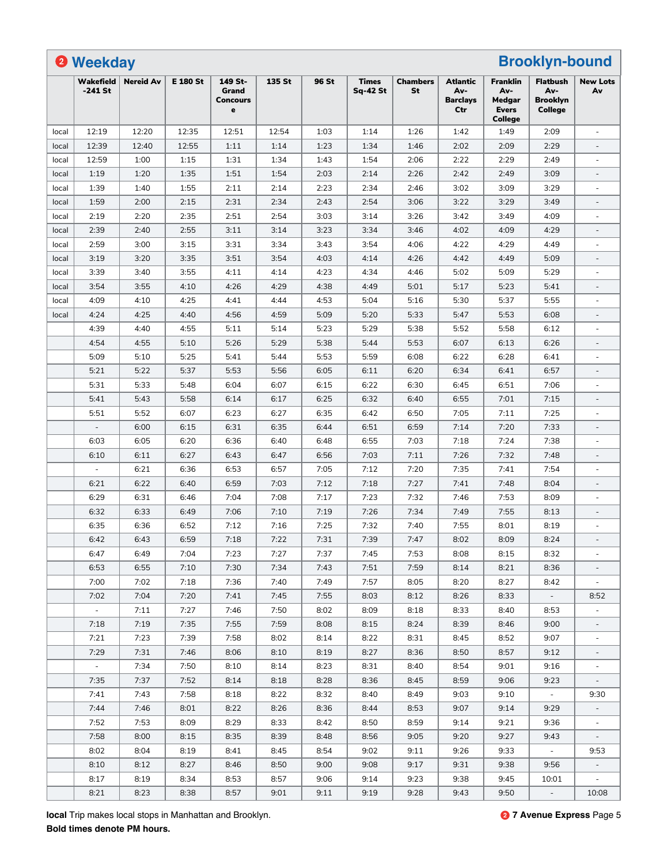|       | <sup>2</sup> Weekday          |                  |                 |                                                     |        |       |                                 |                       |                                                  |                                                                    | <b>Brooklyn-bound</b>                                       |                          |
|-------|-------------------------------|------------------|-----------------|-----------------------------------------------------|--------|-------|---------------------------------|-----------------------|--------------------------------------------------|--------------------------------------------------------------------|-------------------------------------------------------------|--------------------------|
|       | <b>Wakefield</b><br>$-241$ St | <b>Nereid Av</b> | <b>E 180 St</b> | 149 St-<br>Grand<br><b>Concours</b><br>$\mathbf{e}$ | 135 St | 96 St | <b>Times</b><br><b>Sq-42 St</b> | <b>Chambers</b><br>St | <b>Atlantic</b><br>Av-<br><b>Barclays</b><br>Ctr | <b>Franklin</b><br>Av-<br>Medgar<br><b>Evers</b><br><b>College</b> | <b>Flatbush</b><br>Av-<br><b>Brooklyn</b><br><b>College</b> | <b>New Lots</b><br>Av    |
| local | 12:19                         | 12:20            | 12:35           | 12:51                                               | 12:54  | 1:03  | 1:14                            | 1:26                  | 1:42                                             | 1:49                                                               | 2:09                                                        | $\overline{\phantom{a}}$ |
| local | 12:39                         | 12:40            | 12:55           | 1:11                                                | 1:14   | 1:23  | 1:34                            | 1:46                  | 2:02                                             | 2:09                                                               | 2:29                                                        | $\overline{\phantom{a}}$ |
| local | 12:59                         | 1:00             | 1:15            | 1:31                                                | 1:34   | 1:43  | 1:54                            | 2:06                  | 2:22                                             | 2:29                                                               | 2:49                                                        | $\overline{\phantom{m}}$ |
| local | 1:19                          | 1:20             | 1:35            | 1:51                                                | 1:54   | 2:03  | 2:14                            | 2:26                  | 2:42                                             | 2:49                                                               | 3:09                                                        |                          |
| local | 1:39                          | 1:40             | 1:55            | 2:11                                                | 2:14   | 2:23  | 2:34                            | 2:46                  | 3:02                                             | 3:09                                                               | 3:29                                                        |                          |
| local | 1:59                          | 2:00             | 2:15            | 2:31                                                | 2:34   | 2:43  | 2:54                            | 3:06                  | 3:22                                             | 3:29                                                               | 3:49                                                        |                          |
| local | 2:19                          | 2:20             | 2:35            | 2:51                                                | 2:54   | 3:03  | 3:14                            | 3:26                  | 3:42                                             | 3:49                                                               | 4:09                                                        | $\overline{\phantom{m}}$ |
| local | 2:39                          | 2:40             | 2:55            | 3:11                                                | 3:14   | 3:23  | 3:34                            | 3:46                  | 4:02                                             | 4:09                                                               | 4:29                                                        | $\qquad \qquad -$        |
| local | 2:59                          | 3:00             | 3:15            | 3:31                                                | 3:34   | 3:43  | 3:54                            | 4:06                  | 4:22                                             | 4:29                                                               | 4:49                                                        | ä,                       |
| local | 3:19                          | 3:20             | 3:35            | 3:51                                                | 3:54   | 4:03  | 4:14                            | 4:26                  | 4:42                                             | 4:49                                                               | 5:09                                                        | $\qquad \qquad -$        |
| local | 3:39                          | 3:40             | 3:55            | 4:11                                                | 4:14   | 4:23  | 4:34                            | 4:46                  | 5:02                                             | 5:09                                                               | 5:29                                                        | $\overline{\phantom{m}}$ |
| local | 3:54                          | 3:55             | 4:10            | 4:26                                                | 4:29   | 4:38  | 4:49                            | 5:01                  | 5:17                                             | 5:23                                                               | 5:41                                                        | $\overline{\phantom{a}}$ |
| local | 4:09                          | 4:10             | 4:25            | 4:41                                                | 4:44   | 4:53  | 5:04                            | 5:16                  | 5:30                                             | 5:37                                                               | 5:55                                                        |                          |
| local | 4:24                          | 4:25             | 4:40            | 4:56                                                | 4:59   | 5:09  | 5:20                            | 5:33                  | 5:47                                             | 5:53                                                               | 6:08                                                        | $\overline{\phantom{a}}$ |
|       | 4:39                          | 4:40             | 4:55            | 5:11                                                | 5:14   | 5:23  | 5:29                            | 5:38                  | 5:52                                             | 5:58                                                               | 6:12                                                        | $\overline{\phantom{m}}$ |
|       | 4:54                          | 4:55             | 5:10            | 5:26                                                | 5:29   | 5:38  | 5:44                            | 5:53                  | 6:07                                             | 6:13                                                               | 6:26                                                        | $\overline{\phantom{a}}$ |
|       | 5:09                          | 5:10             | 5:25            | 5:41                                                | 5:44   | 5:53  | 5:59                            | 6:08                  | 6:22                                             | 6:28                                                               | 6:41                                                        | ÷,                       |
|       | 5:21                          | 5:22             | 5:37            | 5:53                                                | 5:56   | 6:05  | 6:11                            | 6:20                  | 6:34                                             | 6:41                                                               | 6:57                                                        |                          |
|       | 5:31                          | 5:33             | 5:48            | 6:04                                                | 6:07   | 6:15  | 6:22                            | 6:30                  | 6:45                                             | 6:51                                                               | 7:06                                                        |                          |
|       | 5:41                          | 5:43             | 5:58            | 6:14                                                | 6:17   | 6:25  | 6:32                            | 6:40                  | 6:55                                             | 7:01                                                               | 7:15                                                        |                          |
|       | 5:51                          | 5:52             | 6:07            | 6:23                                                | 6:27   | 6:35  | 6:42                            | 6:50                  | 7:05                                             | 7:11                                                               | 7:25                                                        | $\frac{1}{2}$            |
|       | $\overline{\phantom{a}}$      | 6:00             | 6:15            | 6:31                                                | 6:35   | 6:44  | 6:51                            | 6:59                  | 7:14                                             | 7:20                                                               | 7:33                                                        | $\overline{\phantom{a}}$ |
|       | 6:03                          | 6:05             | 6:20            | 6:36                                                | 6:40   | 6:48  | 6:55                            | 7:03                  | 7:18                                             | 7:24                                                               | 7:38                                                        | ä,                       |
|       | 6:10                          | 6:11             | 6:27            | 6:43                                                | 6:47   | 6:56  | 7:03                            | 7:11                  | 7:26                                             | 7:32                                                               | 7:48                                                        | $\overline{\phantom{a}}$ |
|       |                               | 6:21             | 6:36            | 6:53                                                | 6:57   | 7:05  | 7:12                            | 7:20                  | 7:35                                             | 7:41                                                               | 7:54                                                        |                          |
|       | 6:21                          | 6:22             | 6:40            | 6:59                                                | 7:03   | 7:12  | 7:18                            | 7:27                  | 7:41                                             | 7:48                                                               | 8:04                                                        | $\overline{\phantom{a}}$ |
|       | 6:29                          | 6:31             | 6:46            | 7:04                                                | 7:08   | 7:17  | 7:23                            | 7:32                  | 7:46                                             | 7:53                                                               | 8:09                                                        | ÷,                       |
|       | 6:32                          | 6:33             | 6:49            | 7:06                                                | 7:10   | 7:19  | 7:26                            | 7:34                  | 7:49                                             | 7:55                                                               | 8:13                                                        | $\overline{\phantom{a}}$ |
|       | 6:35                          | 6:36             | 6:52            | 7:12                                                | 7:16   | 7:25  | 7:32                            | 7:40                  | 7:55                                             | 8:01                                                               | 8:19                                                        | $\overline{\phantom{a}}$ |
|       | 6:42                          | 6:43             | 6:59            | 7:18                                                | 7:22   | 7:31  | 7:39                            | 7:47                  | 8:02                                             | 8:09                                                               | 8:24                                                        |                          |
|       | 6:47                          | 6:49             | 7:04            | 7:23                                                | 7:27   | 7:37  | 7:45                            | 7:53                  | 8:08                                             | 8:15                                                               | 8:32                                                        |                          |
|       | 6:53                          | 6:55             | 7:10            | 7:30                                                | 7:34   | 7:43  | 7:51                            | 7:59                  | 8:14                                             | 8:21                                                               | 8:36                                                        |                          |
|       | 7:00                          | 7:02             | 7:18            | 7:36                                                | 7:40   | 7:49  | 7:57                            | 8:05                  | 8:20                                             | 8:27                                                               | 8:42                                                        |                          |
|       | 7:02                          | 7:04             | 7:20            | 7:41                                                | 7:45   | 7:55  | 8:03                            | 8:12                  | 8:26                                             | 8:33                                                               | $\sim$                                                      | 8:52                     |
|       | $\sim$                        | 7:11             | 7:27            | 7:46                                                | 7:50   | 8:02  | 8:09                            | 8:18                  | 8:33                                             | 8:40                                                               | 8:53                                                        | $\overline{\phantom{a}}$ |
|       | 7:18                          | 7:19             | 7:35            | 7:55                                                | 7:59   | 8:08  | 8:15                            | 8:24                  | 8:39                                             | 8:46                                                               | 9:00                                                        | $\overline{\phantom{a}}$ |
|       | 7:21                          | 7:23             | 7:39            | 7:58                                                | 8:02   | 8:14  | 8:22                            | 8:31                  | 8:45                                             | 8:52                                                               | 9:07                                                        |                          |
|       | 7:29                          | 7:31             | 7:46            | 8:06                                                | 8:10   | 8:19  | 8:27                            | 8:36                  | 8:50                                             | 8:57                                                               | 9:12                                                        |                          |
|       | $\sim$                        | 7:34             | 7:50            | 8:10                                                | 8:14   | 8:23  | 8:31                            | 8:40                  | 8:54                                             | 9:01                                                               | 9:16                                                        |                          |
|       | 7:35                          | 7:37             | 7:52            | 8:14                                                | 8:18   | 8:28  | 8:36                            | 8:45                  | 8:59                                             | 9:06                                                               | 9:23                                                        |                          |
|       | 7:41                          | 7:43             | 7:58            | 8:18                                                | 8:22   | 8:32  | 8:40                            | 8:49                  | 9:03                                             | 9:10                                                               | $\sim$                                                      | 9:30                     |
|       | 7:44                          | 7:46             | 8:01            | 8:22                                                | 8:26   | 8:36  | 8:44                            | 8:53                  | 9:07                                             | 9:14                                                               | 9:29                                                        | $\overline{\phantom{a}}$ |
|       |                               |                  |                 |                                                     |        |       |                                 |                       |                                                  |                                                                    |                                                             | $\overline{\phantom{a}}$ |
|       | 7:52                          | 7:53             | 8:09            | 8:29                                                | 8:33   | 8:42  | 8:50                            | 8:59                  | 9:14                                             | 9:21                                                               | 9:36                                                        |                          |
|       | 7:58                          | 8:00             | 8:15            | 8:35                                                | 8:39   | 8:48  | 8:56                            | 9:05                  | 9:20                                             | 9:27                                                               | 9:43                                                        |                          |
|       | 8:02                          | 8:04             | 8:19            | 8:41                                                | 8:45   | 8:54  | 9:02                            | 9:11                  | 9:26                                             | 9:33                                                               | $\omega$                                                    | 9:53                     |
|       | 8:10                          | 8:12             | 8:27            | 8:46                                                | 8:50   | 9:00  | 9:08                            | 9:17                  | 9:31                                             | 9:38                                                               | 9:56                                                        |                          |
|       | 8:17                          | 8:19             | 8:34            | 8:53                                                | 8:57   | 9:06  | 9:14                            | 9:23                  | 9:38                                             | 9:45                                                               | 10:01                                                       |                          |
|       | 8:21                          | 8:23             | 8:38            | 8:57                                                | 9:01   | 9:11  | 9:19                            | 9:28                  | 9:43                                             | 9:50                                                               | $\omega_{\rm c}$                                            | 10:08                    |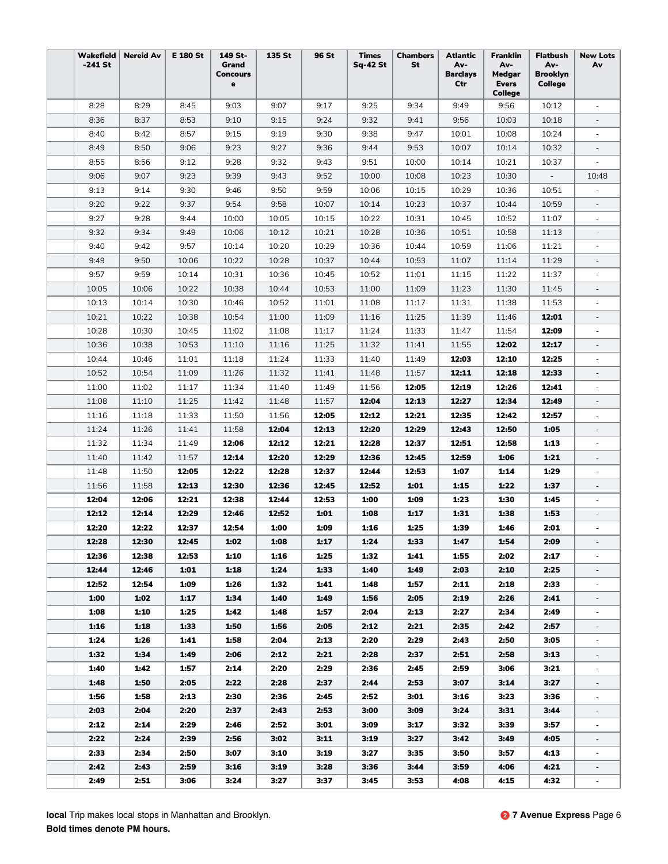| Wakefield<br>$-241$ St | <b>Nereid Av</b> | <b>E 180 St</b> | 149 St-<br>Grand<br><b>Concours</b><br>$\mathbf e$ | 135 St | 96 St | <b>Times</b><br>Sq-42 St | <b>Chambers</b><br>St | <b>Atlantic</b><br>Av-<br><b>Barclays</b><br>Ctr | <b>Franklin</b><br>Av-<br>Medgar<br><b>Evers</b><br>College | <b>Flatbush</b><br>Av-<br><b>Brooklyn</b><br>College | <b>New Lots</b><br>Av    |
|------------------------|------------------|-----------------|----------------------------------------------------|--------|-------|--------------------------|-----------------------|--------------------------------------------------|-------------------------------------------------------------|------------------------------------------------------|--------------------------|
| 8:28                   | 8:29             | 8:45            | 9:03                                               | 9:07   | 9:17  | 9:25                     | 9:34                  | 9:49                                             | 9:56                                                        | 10:12                                                | $\sim$                   |
| 8:36                   | 8:37             | 8:53            | 9:10                                               | 9:15   | 9:24  | 9:32                     | 9:41                  | 9:56                                             | 10:03                                                       | 10:18                                                |                          |
| 8:40                   | 8:42             | 8:57            | 9:15                                               | 9:19   | 9:30  | 9:38                     | 9:47                  | 10:01                                            | 10:08                                                       | 10:24                                                |                          |
| 8:49                   | 8:50             | 9:06            | 9:23                                               | 9:27   | 9:36  | 9:44                     | 9:53                  | 10:07                                            | 10:14                                                       | 10:32                                                |                          |
| 8:55                   | 8:56             | 9:12            | 9:28                                               | 9:32   | 9:43  | 9:51                     | 10:00                 | 10:14                                            | 10:21                                                       | 10:37                                                |                          |
| 9:06                   | 9:07             | 9:23            | 9:39                                               | 9:43   | 9:52  | 10:00                    | 10:08                 | 10:23                                            | 10:30                                                       |                                                      | 10:48                    |
| 9:13                   | 9:14             | 9:30            | 9:46                                               | 9:50   | 9:59  | 10:06                    | 10:15                 | 10:29                                            | 10:36                                                       | 10:51                                                |                          |
| 9:20                   | 9:22             | 9:37            | 9:54                                               | 9:58   | 10:07 | 10:14                    | 10:23                 | 10:37                                            | 10:44                                                       | 10:59                                                |                          |
| 9:27                   | 9:28             | 9:44            | 10:00                                              | 10:05  | 10:15 | 10:22                    | 10:31                 | 10:45                                            | 10:52                                                       | 11:07                                                |                          |
| 9:32                   | 9:34             | 9:49            | 10:06                                              | 10:12  | 10:21 | 10:28                    | 10:36                 | 10:51                                            | 10:58                                                       | 11:13                                                |                          |
| 9:40                   | 9:42             | 9:57            | 10:14                                              | 10:20  | 10:29 | 10:36                    | 10:44                 | 10:59                                            | 11:06                                                       | 11:21                                                |                          |
| 9:49                   | 9:50             | 10:06           | 10:22                                              | 10:28  | 10:37 | 10:44                    | 10:53                 | 11:07                                            | 11:14                                                       | 11:29                                                | $\overline{\phantom{a}}$ |
| 9:57                   | 9:59             | 10:14           | 10:31                                              | 10:36  | 10:45 | 10:52                    | 11:01                 | 11:15                                            | 11:22                                                       | 11:37                                                | $\overline{\phantom{a}}$ |
| 10:05                  | 10:06            | 10:22           | 10:38                                              | 10:44  | 10:53 | 11:00                    | 11:09                 | 11:23                                            | 11:30                                                       | 11:45                                                | $\overline{a}$           |
| 10:13                  | 10:14            | 10:30           | 10:46                                              | 10:52  | 11:01 | 11:08                    | 11:17                 | 11:31                                            | 11:38                                                       | 11:53                                                |                          |
| 10:21                  | 10:22            | 10:38           | 10:54                                              | 11:00  | 11:09 | 11:16                    | 11:25                 | 11:39                                            | 11:46                                                       | 12:01                                                |                          |
| 10:28                  | 10:30            | 10:45           | 11:02                                              | 11:08  | 11:17 | 11:24                    | 11:33                 | 11:47                                            | 11:54                                                       | 12:09                                                |                          |
| 10:36                  | 10:38            | 10:53           | 11:10                                              | 11:16  | 11:25 | 11:32                    | 11:41                 | 11:55                                            | 12:02                                                       | 12:17                                                |                          |
| 10:44                  | 10:46            | 11:01           | 11:18                                              | 11:24  | 11:33 | 11:40                    | 11:49                 | 12:03                                            | 12:10                                                       | 12:25                                                | $\overline{\phantom{a}}$ |
| 10:52                  | 10:54            | 11:09           | 11:26                                              | 11:32  | 11:41 | 11:48                    | 11:57                 | 12:11                                            | 12:18                                                       | 12:33                                                | $\overline{\phantom{a}}$ |
| 11:00                  | 11:02            | 11:17           | 11:34                                              | 11:40  | 11:49 | 11:56                    | 12:05                 | 12:19                                            | 12:26                                                       | 12:41                                                | $\overline{\phantom{a}}$ |
| 11:08                  | 11:10            | 11:25           | 11:42                                              | 11:48  | 11:57 | 12:04                    | 12:13                 | 12:27                                            | 12:34                                                       | 12:49                                                | $\overline{\phantom{a}}$ |
| 11:16                  | 11:18            | 11:33           | 11:50                                              | 11:56  | 12:05 | 12:12                    | 12:21                 | 12:35                                            | 12:42                                                       | 12:57                                                |                          |
| 11:24                  | 11:26            | 11:41           | 11:58                                              | 12:04  | 12:13 | 12:20                    | 12:29                 | 12:43                                            | 12:50                                                       | 1:05                                                 |                          |
| 11:32                  | 11:34            | 11:49           | 12:06                                              | 12:12  | 12:21 | 12:28                    | 12:37                 | 12:51                                            | 12:58                                                       | 1:13                                                 |                          |
| 11:40                  | 11:42            | 11:57           | 12:14                                              | 12:20  | 12:29 | 12:36                    | 12:45                 | 12:59                                            | 1:06                                                        | 1:21                                                 | $\overline{\phantom{a}}$ |
| 11:48                  | 11:50            | 12:05           | 12:22                                              | 12:28  | 12:37 | 12:44                    | 12:53                 | 1:07                                             | 1:14                                                        | 1:29                                                 | $\overline{\phantom{a}}$ |
| 11:56                  | 11:58            | 12:13           | 12:30                                              | 12:36  | 12:45 | 12:52                    | 1:01                  | 1:15                                             | 1:22                                                        | 1:37                                                 |                          |
| 12:04                  | 12:06            | 12:21           | 12:38                                              | 12:44  | 12:53 | 1:00                     | 1:09                  | 1:23                                             | 1:30                                                        | 1:45                                                 |                          |
| 12:12                  | 12:14            | 12:29           | 12:46                                              | 12:52  | 1:01  | 1:08                     | 1:17                  | 1:31                                             | 1:38                                                        | 1:53                                                 |                          |
| 12:20                  | 12:22            | 12:37           | 12:54                                              | 1:00   | 1:09  | 1:16                     | 1:25                  | 1:39                                             | 1:46                                                        | 2:01                                                 |                          |
| 12:28                  | 12:30            | 12:45           | 1:02                                               | 1:08   | 1:17  | 1:24                     | 1:33                  | 1:47                                             | 1:54                                                        | 2:09                                                 | $\overline{\phantom{a}}$ |
| 12:36                  | 12:38            | 12:53           | 1:10                                               | 1:16   | 1:25  | 1:32                     | 1:41                  | 1:55                                             | 2:02                                                        | 2:17                                                 | $\overline{\phantom{a}}$ |
| 12:44                  | 12:46            | 1:01            | 1:18                                               | 1:24   | 1:33  | 1:40                     | 1:49                  | 2:03                                             | 2:10                                                        | 2:25                                                 | $\overline{\phantom{a}}$ |
| 12:52                  | 12:54            | 1:09            | 1:26                                               | 1:32   | 1:41  | 1:48                     | 1:57                  | 2:11                                             | 2:18                                                        | 2:33                                                 |                          |
| 1:00                   | 1:02             | 1:17            | 1:34                                               | 1:40   | 1:49  | 1:56                     | 2:05                  | 2:19                                             | 2:26                                                        | 2:41                                                 |                          |
| 1:08                   | 1:10             | 1:25            | 1:42                                               | 1:48   | 1:57  | 2:04                     | 2:13                  | 2:27                                             | 2:34                                                        | 2:49                                                 |                          |
| 1:16                   | 1:18             | 1:33            | 1:50                                               | 1:56   | 2:05  | 2:12                     | 2:21                  | 2:35                                             | 2:42                                                        | 2:57                                                 |                          |
| 1:24                   | 1:26             | 1:41            | 1:58                                               | 2:04   | 2:13  | 2:20                     | 2:29                  | 2:43                                             | 2:50                                                        | 3:05                                                 | $\overline{\phantom{a}}$ |
| 1:32                   | 1:34             | 1:49            | 2:06                                               | 2:12   | 2:21  | 2:28                     | 2:37                  | 2:51                                             | 2:58                                                        | 3:13                                                 | $\overline{\phantom{a}}$ |
| 1:40                   | 1:42             | 1:57            | 2:14                                               | 2:20   | 2:29  | 2:36                     | 2:45                  | 2:59                                             | 3:06                                                        | 3:21                                                 |                          |
| 1:48                   | 1:50             | 2:05            | 2:22                                               | 2:28   | 2:37  | 2:44                     | 2:53                  | 3:07                                             | 3:14                                                        | 3:27                                                 |                          |
| 1:56                   | 1:58             | 2:13            | 2:30                                               | 2:36   | 2:45  | 2:52                     | 3:01                  | 3:16                                             | 3:23                                                        | 3:36                                                 |                          |
| 2:03                   | 2:04             | 2:20            | 2:37                                               | 2:43   | 2:53  | 3:00                     | 3:09                  | 3:24                                             | 3:31                                                        | 3:44                                                 |                          |
| 2:12                   | 2:14             | 2:29            | 2:46                                               | 2:52   | 3:01  | 3:09                     | 3:17                  | 3:32                                             | 3:39                                                        | 3:57                                                 |                          |
| 2:22                   | 2:24             | 2:39            | 2:56                                               | 3:02   | 3:11  | 3:19                     | 3:27                  | 3:42                                             | 3:49                                                        | 4:05                                                 | $\overline{\phantom{a}}$ |
| 2:33                   | 2:34             | 2:50            | 3:07                                               | 3:10   | 3:19  | 3:27                     | 3:35                  | 3:50                                             | 3:57                                                        | 4:13                                                 | $\overline{\phantom{a}}$ |
| 2:42                   | 2:43             | 2:59            | 3:16                                               | 3:19   | 3:28  | 3:36                     | 3:44                  | 3:59                                             | 4:06                                                        | 4:21                                                 |                          |
| 2:49                   | 2:51             | 3:06            | 3:24                                               | 3:27   | 3:37  | 3:45                     | 3:53                  | 4:08                                             | 4:15                                                        | 4:32                                                 |                          |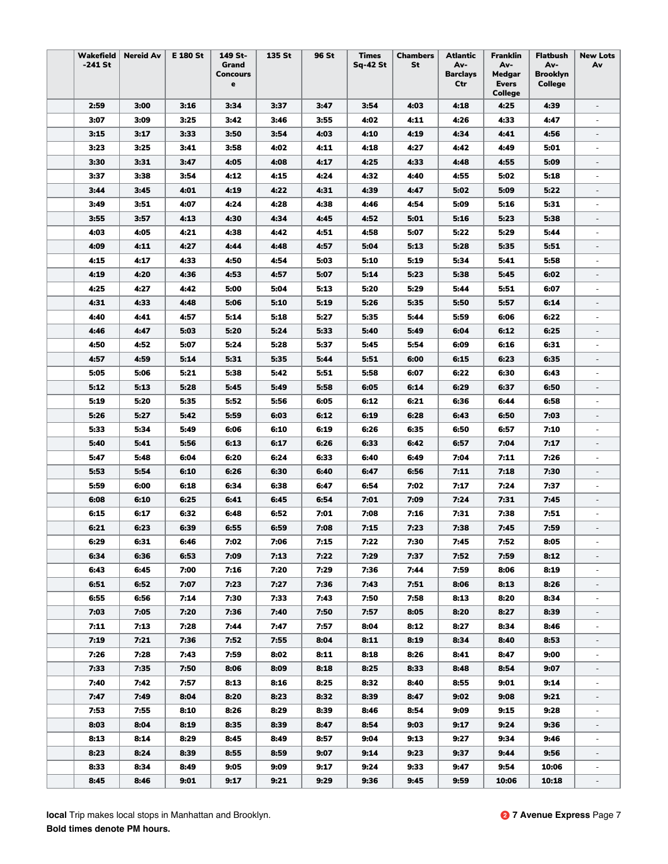| Wakefield | <b>Nereid Av</b> | E 180 St | 149 St-                  | 135 St | 96 St | <b>Times</b>    | <b>Chambers</b> | Atlantic               | Franklin      | <b>Flatbush</b> | <b>New Lots</b>          |
|-----------|------------------|----------|--------------------------|--------|-------|-----------------|-----------------|------------------------|---------------|-----------------|--------------------------|
| -241 St   |                  |          | Grand<br><b>Concours</b> |        |       | <b>Sq-42 St</b> | St              | Av-<br><b>Barclays</b> | Av-<br>Medgar | Av-<br>Brooklyn | Av                       |
|           |                  |          | е                        |        |       |                 |                 | Ctr                    | <b>Evers</b>  | College         |                          |
|           |                  |          |                          |        |       |                 |                 |                        | College       |                 |                          |
| 2:59      | 3:00             | 3:16     | 3:34                     | 3:37   | 3:47  | 3:54            | 4:03            | 4:18                   | 4:25          | 4:39            | $\overline{\phantom{a}}$ |
| 3:07      | 3:09             | 3:25     | 3:42                     | 3:46   | 3:55  | 4:02            | 4:11            | 4:26                   | 4:33          | 4:47            |                          |
| 3:15      | 3:17             | 3:33     | 3:50                     | 3:54   | 4:03  | 4:10            | 4:19            | 4:34                   | 4:41          | 4:56            |                          |
| 3:23      | 3:25             | 3:41     | 3:58                     | 4:02   | 4:11  | 4:18            | 4:27            | 4:42                   | 4:49          | 5:01            |                          |
| 3:30      | 3:31             | 3:47     | 4:05                     | 4:08   | 4:17  | 4:25            | 4:33            | 4:48                   | 4:55          | 5:09            | $\overline{\phantom{a}}$ |
| 3:37      | 3:38             | 3:54     | 4:12                     | 4:15   | 4:24  | 4:32            | 4:40            | 4:55                   | 5:02          | 5:18            | $\overline{\phantom{a}}$ |
| 3:44      | 3:45             | 4:01     | 4:19                     | 4:22   | 4:31  | 4:39            | 4:47            | 5:02                   | 5:09          | 5:22            | $\overline{\phantom{a}}$ |
| 3:49      | 3:51             | 4:07     | 4:24                     | 4:28   | 4:38  | 4:46            | 4:54            | 5:09                   | 5:16          | 5:31            | $\overline{\phantom{a}}$ |
| 3:55      | 3:57             | 4:13     | 4:30                     | 4:34   | 4:45  | 4:52            | 5:01            | 5:16                   | 5:23          | 5:38            |                          |
| 4:03      | 4:05             | 4:21     | 4:38                     | 4:42   | 4:51  | 4:58            | 5:07            | 5:22                   | 5:29          | 5:44            |                          |
| 4:09      | 4:11             | 4:27     | 4:44                     | 4:48   | 4:57  | 5:04            | 5:13            | 5:28                   | 5:35          | 5:51            | $\overline{\phantom{a}}$ |
| 4:15      | 4:17             | 4:33     | 4:50                     | 4:54   | 5:03  | 5:10            | 5:19            | 5:34                   | 5:41          | 5:58            | $\overline{\phantom{a}}$ |
| 4:19      | 4:20             | 4:36     | 4:53                     | 4:57   | 5:07  | 5:14            | 5:23            | 5:38                   | 5:45          | 6:02            | $\overline{\phantom{a}}$ |
| 4:25      | 4:27             | 4:42     | 5:00                     | 5:04   | 5:13  | 5:20            | 5:29            | 5:44                   | 5:51          | 6:07            | $\overline{\phantom{a}}$ |
| 4:31      | 4.33             | 4:48     | 5:06                     | 5:10   | 5:19  | 5:26            | 5:35            | 5:50                   | 5:57          | 6:14            |                          |
| 4:40      | 4:41             | 4:57     | 5:14                     | 5:18   | 5:27  | 5:35            | 5:44            | 5:59                   | 6:06          | 6:22            |                          |
| 4:46      | 4:47             | 5:03     | 5:20                     | 5:24   | 5:33  | 5:40            | 5:49            | 6:04                   | 6:12          | 6:25            |                          |
| 4:50      | 4:52             | 5:07     | 5:24                     | 5:28   | 5:37  | 5:45            | 5:54            | 6:09                   | 6:16          | 6:31            | $\overline{\phantom{m}}$ |
| 4:57      | 4:59             | 5:14     | 5:31                     | 5:35   | 5:44  | 5:51            | 6:00            | 6:15                   | 6:23          | 6:35            | $\overline{\phantom{a}}$ |
| 5:05      | 5:06             | 5:21     | 5:38                     | 5:42   | 5:51  | 5:58            | 6:07            | 6:22                   | 6:30          | 6:43            | $\sim$                   |
| 5:12      | 5:13             | 5:28     | 5:45                     | 5:49   | 5:58  | 6:05            | 6:14            | 6:29                   | 6:37          | 6:50            |                          |
| 5:19      | 5:20             | 5:35     | 5:52                     | 5:56   | 6:05  | 6:12            | 6:21            | 6:36                   | 6:44          | 6:58            | $\overline{\phantom{a}}$ |
| 5:26      | 5:27             | 5:42     | 5:59                     | 6:03   | 6:12  | 6:19            | 6:28            | 6:43                   | 6:50          | 7:03            | $\qquad \qquad -$        |
| 5:33      | 5:34             | 5:49     | 6:06                     | 6:10   | 6:19  | 6:26            | 6:35            | 6:50                   | 6:57          | 7:10            | $\overline{\phantom{a}}$ |
| 5:40      | 5:41             | 5:56     | 6:13                     | 6:17   | 6:26  | 6:33            | 6:42            | 6:57                   | 7:04          | 7:17            | $\overline{\phantom{a}}$ |
| 5:47      | 5:48             | 6:04     | 6:20                     | 6:24   | 6:33  | 6:40            | 6:49            | 7:04                   | 7:11          | 7:26            | $\overline{\phantom{m}}$ |
| 5:53      | 5:54             | 6:10     | 6:26                     | 6:30   | 6:40  | 6:47            | 6:56            | 7:11                   | 7:18          | 7:30            | $\overline{\phantom{a}}$ |
| 5:59      | 6:00             | 6:18     | 6:34                     | 6:38   | 6:47  | 6:54            | 7:02            | 7:17                   | 7:24          | 7:37            |                          |
| 6:08      | 6:10             | 6:25     | 6:41                     | 6:45   | 6:54  | 7:01            | 7:09            | 7:24                   | 7:31          | 7:45            |                          |
| 6:15      | 6:17             | 6:32     | 6:48                     | 6:52   | 7:01  | 7:08            | 7:16            | 7:31                   | 7:38          | 7:51            |                          |
| 6:21      | 6:23             | 6:39     | 6:55                     | 6:59   | 7:08  | 7:15            | 7:23            | 7:38                   | 7:45          | 7:59            |                          |
| 6:29      | 6:31             | 6:46     | 7:02                     | 7:06   | 7:15  | 7:22            | 7:30            | 7:45                   | 7:52          | 8:05            |                          |
| 6:34      | 6:36             | 6:53     | 7:09                     | 7:13   | 7:22  | 7:29            | 7:37            | 7:52                   | 7:59          | 8:12            | $\overline{\phantom{a}}$ |
| 6:43      | 6:45             | 7:00     | 7:16                     | 7:20   | 7:29  | 7:36            | 7:44            | 7:59                   | 8:06          | 8:19            | $\overline{\phantom{a}}$ |
| 6:51      | 6:52             | 7:07     | 7:23                     | 7:27   | 7:36  | 7:43            | 7:51            | 8:06                   | 8:13          | 8:26            |                          |
| 6:55      | 6:56             | 7:14     | 7:30                     | 7:33   | 7:43  | 7:50            | 7:58            | 8:13                   | 8:20          | 8:34            |                          |
| 7:03      | 7:05             | 7:20     | 7:36                     | 7:40   | 7:50  | 7:57            | 8:05            | 8:20                   | 8:27          | 8:39            |                          |
| 7:11      | 7:13             | 7:28     | 7:44                     | 7:47   | 7:57  | 8:04            | 8:12            | 8:27                   | 8:34          | 8:46            | $\overline{\phantom{a}}$ |
| 7:19      | 7:21             | 7:36     | 7:52                     | 7:55   | 8:04  | 8:11            | 8:19            | 8:34                   | 8:40          | 8:53            | $\overline{\phantom{a}}$ |
| 7:26      | 7:28             | 7:43     | 7:59                     | 8:02   | 8:11  | 8:18            | 8:26            | 8:41                   | 8:47          | 9:00            | $\overline{\phantom{a}}$ |
| 7:33      | 7:35             | 7:50     | 8:06                     | 8:09   | 8:18  | 8:25            | 8:33            | 8:48                   | 8:54          | 9:07            | $\overline{\phantom{a}}$ |
| 7:40      | 7:42             | 7:57     | 8:13                     | 8:16   | 8:25  | 8:32            | 8:40            | 8:55                   | 9:01          | 9:14            |                          |
| 7:47      | 7:49             | 8:04     | 8:20                     | 8:23   | 8:32  | 8:39            | 8:47            | 9:02                   | 9:08          | 9:21            |                          |
| 7:53      | 7:55             | 8:10     | 8:26                     | 8:29   | 8:39  | 8:46            | 8:54            | 9:09                   | 9:15          | 9:28            |                          |
| 8:03      | 8:04             | 8:19     | 8:35                     | 8:39   | 8:47  | 8:54            | 9:03            | 9:17                   | 9:24          | 9:36            | $\overline{\phantom{a}}$ |
| 8:13      | 8:14             | 8:29     | 8:45                     | 8:49   | 8:57  | 9:04            | 9:13            | 9:27                   | 9:34          | 9:46            | $\overline{\phantom{a}}$ |
| 8:23      | 8:24             | 8:39     | 8:55                     | 8:59   | 9:07  | 9:14            | 9:23            | 9:37                   | 9:44          | 9:56            | $\overline{\phantom{a}}$ |
| 8:33      | 8:34             | 8:49     | 9:05                     | 9:09   | 9:17  | 9:24            | 9:33            | 9:47                   | 9:54          | 10:06           |                          |
| 8:45      | 8:46             | 9:01     | 9:17                     | 9:21   | 9:29  | 9:36            | 9:45            | 9:59                   | 10:06         | 10:18           |                          |
|           |                  |          |                          |        |       |                 |                 |                        |               |                 |                          |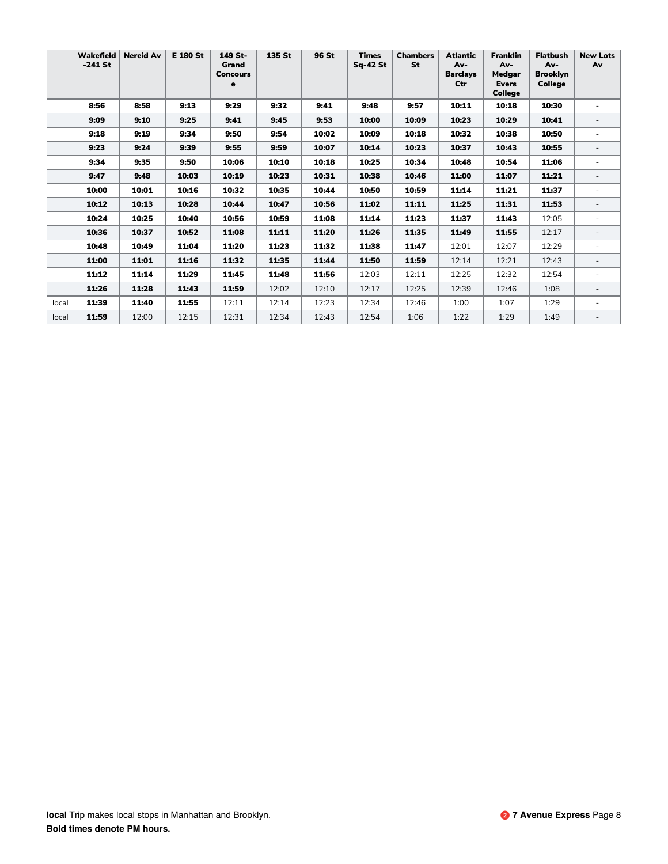|       | Wakefield<br>$-241$ St | <b>Nereid Av</b> | <b>E 180 St</b> | 149 St-<br>Grand<br><b>Concours</b><br>e | 135 St | 96 St | <b>Times</b><br><b>Sq-42 St</b> | <b>Chambers</b><br>St | <b>Atlantic</b><br>Av-<br><b>Barclays</b><br>Ctr | <b>Franklin</b><br>Av-<br>Medgar<br><b>Evers</b><br><b>College</b> | <b>Flatbush</b><br>Av-<br><b>Brooklyn</b><br><b>College</b> | <b>New Lots</b><br>Av    |
|-------|------------------------|------------------|-----------------|------------------------------------------|--------|-------|---------------------------------|-----------------------|--------------------------------------------------|--------------------------------------------------------------------|-------------------------------------------------------------|--------------------------|
|       | 8:56                   | 8:58             | 9:13            | 9:29                                     | 9:32   | 9:41  | 9:48                            | 9:57                  | 10:11                                            | 10:18                                                              | 10:30                                                       |                          |
|       | 9:09                   | 9:10             | 9:25            | 9:41                                     | 9:45   | 9:53  | 10:00                           | 10:09                 | 10:23                                            | 10:29                                                              | 10:41                                                       |                          |
|       | 9:18                   | 9:19             | 9:34            | 9:50                                     | 9:54   | 10:02 | 10:09                           | 10:18                 | 10:32                                            | 10:38                                                              | 10:50                                                       |                          |
|       | 9:23                   | 9:24             | 9:39            | 9:55                                     | 9:59   | 10:07 | 10:14                           | 10:23                 | 10:37                                            | 10:43                                                              | 10:55                                                       | $\overline{\phantom{0}}$ |
|       | 9:34                   | 9:35             | 9:50            | 10:06                                    | 10:10  | 10:18 | 10:25                           | 10:34                 | 10:48                                            | 10:54                                                              | 11:06                                                       | ٠                        |
|       | 9:47                   | 9:48             | 10:03           | 10:19                                    | 10:23  | 10:31 | 10:38                           | 10:46                 | 11:00                                            | 11:07                                                              | 11:21                                                       | $\overline{\phantom{0}}$ |
|       | 10:00                  | 10:01            | 10:16           | 10:32                                    | 10:35  | 10:44 | 10:50                           | 10:59                 | 11:14                                            | 11:21                                                              | 11:37                                                       | $\blacksquare$           |
|       | 10:12                  | 10:13            | 10:28           | 10:44                                    | 10:47  | 10:56 | 11:02                           | 11:11                 | 11:25                                            | 11:31                                                              | 11:53                                                       |                          |
|       | 10:24                  | 10:25            | 10:40           | 10:56                                    | 10:59  | 11:08 | 11:14                           | 11:23                 | 11:37                                            | 11:43                                                              | 12:05                                                       | ٠                        |
|       | 10:36                  | 10:37            | 10:52           | 11:08                                    | 11:11  | 11:20 | 11:26                           | 11:35                 | 11:49                                            | 11:55                                                              | 12:17                                                       |                          |
|       | 10:48                  | 10:49            | 11:04           | 11:20                                    | 11:23  | 11:32 | 11:38                           | 11:47                 | 12:01                                            | 12:07                                                              | 12:29                                                       |                          |
|       | 11:00                  | 11:01            | 11:16           | 11:32                                    | 11:35  | 11:44 | 11:50                           | 11:59                 | 12:14                                            | 12:21                                                              | 12:43                                                       | $\overline{a}$           |
|       | 11:12                  | 11:14            | 11:29           | 11:45                                    | 11:48  | 11:56 | 12:03                           | 12:11                 | 12:25                                            | 12:32                                                              | 12:54                                                       |                          |
|       | 11:26                  | 11:28            | 11:43           | 11:59                                    | 12:02  | 12:10 | 12:17                           | 12:25                 | 12:39                                            | 12:46                                                              | 1:08                                                        | $\overline{\phantom{0}}$ |
| local | 11:39                  | 11:40            | 11:55           | 12:11                                    | 12:14  | 12:23 | 12:34                           | 12:46                 | 1:00                                             | 1:07                                                               | 1:29                                                        | ٠                        |
| local | 11:59                  | 12:00            | 12:15           | 12:31                                    | 12:34  | 12:43 | 12:54                           | 1:06                  | 1:22                                             | 1:29                                                               | 1:49                                                        |                          |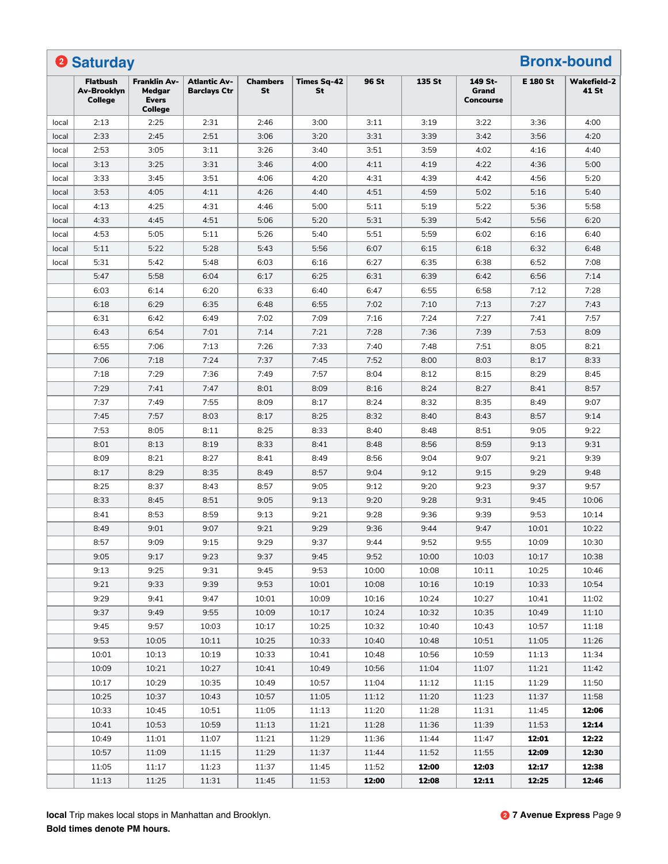|       | <b>2 Saturday</b>                         |                                                                 |                                     |                       |                          |       |        |                                      |                 | <b>Bronx-bound</b>          |
|-------|-------------------------------------------|-----------------------------------------------------------------|-------------------------------------|-----------------------|--------------------------|-------|--------|--------------------------------------|-----------------|-----------------------------|
|       | <b>Flatbush</b><br>Av-Brooklyn<br>College | <b>Franklin Av-</b><br>Medgar<br><b>Evers</b><br><b>College</b> | Atlantic Av-<br><b>Barclays Ctr</b> | <b>Chambers</b><br>St | <b>Times Sq-42</b><br>St | 96 St | 135 St | 149 St-<br>Grand<br><b>Concourse</b> | <b>E 180 St</b> | <b>Wakefield-2</b><br>41 St |
| local | 2:13                                      | 2:25                                                            | 2:31                                | 2:46                  | 3:00                     | 3:11  | 3:19   | 3:22                                 | 3:36            | 4:00                        |
| local | 2:33                                      | 2:45                                                            | 2:51                                | 3:06                  | 3:20                     | 3:31  | 3:39   | 3:42                                 | 3:56            | 4:20                        |
| local | 2:53                                      | 3:05                                                            | 3:11                                | 3:26                  | 3:40                     | 3:51  | 3:59   | 4:02                                 | 4:16            | 4:40                        |
| local | 3:13                                      | 3:25                                                            | 3:31                                | 3:46                  | 4:00                     | 4:11  | 4:19   | 4:22                                 | 4:36            | 5:00                        |
| local | 3:33                                      | 3:45                                                            | 3:51                                | 4:06                  | 4:20                     | 4:31  | 4:39   | 4:42                                 | 4:56            | 5:20                        |
| local | 3:53                                      | 4:05                                                            | 4:11                                | 4:26                  | 4:40                     | 4:51  | 4:59   | 5:02                                 | 5:16            | 5:40                        |
| local | 4:13                                      | 4:25                                                            | 4:31                                | 4:46                  | 5:00                     | 5:11  | 5:19   | 5:22                                 | 5:36            | 5:58                        |
| local | 4:33                                      | 4:45                                                            | 4:51                                | 5:06                  | 5:20                     | 5:31  | 5:39   | 5:42                                 | 5:56            | 6:20                        |
| local | 4:53                                      | 5:05                                                            | 5:11                                | 5:26                  | 5:40                     | 5:51  | 5:59   | 6:02                                 | 6:16            | 6:40                        |
| local | 5:11                                      | 5:22                                                            | 5:28                                | 5:43                  | 5:56                     | 6:07  | 6:15   | 6:18                                 | 6:32            | 6:48                        |
| local | 5:31                                      | 5:42                                                            | 5:48                                | 6:03                  | 6:16                     | 6:27  | 6:35   | 6:38                                 | 6:52            | 7:08                        |
|       | 5:47                                      | 5:58                                                            | 6:04                                | 6:17                  | 6:25                     | 6:31  | 6:39   | 6:42                                 | 6:56            | 7:14                        |
|       | 6:03                                      | 6:14                                                            | 6:20                                | 6:33                  | 6:40                     | 6:47  | 6:55   | 6:58                                 | 7:12            | 7:28                        |
|       | 6:18                                      | 6:29                                                            | 6:35                                | 6:48                  | 6:55                     | 7:02  | 7:10   | 7:13                                 | 7:27            | 7:43                        |
|       | 6:31                                      | 6:42                                                            | 6:49                                | 7:02                  | 7:09                     | 7:16  | 7:24   | 7:27                                 | 7:41            | 7:57                        |
|       | 6:43                                      | 6:54                                                            | 7:01                                | 7:14                  | 7:21                     | 7:28  | 7:36   | 7:39                                 | 7:53            | 8:09                        |
|       | 6:55                                      | 7:06                                                            | 7:13                                | 7:26                  | 7:33                     | 7:40  | 7:48   | 7:51                                 | 8:05            | 8:21                        |
|       | 7:06                                      | 7:18                                                            | 7:24                                | 7:37                  | 7:45                     | 7:52  | 8:00   | 8:03                                 | 8:17            | 8:33                        |
|       | 7:18                                      | 7:29                                                            | 7:36                                | 7:49                  | 7:57                     | 8:04  | 8:12   | 8:15                                 | 8:29            | 8:45                        |
|       | 7:29                                      | 7:41                                                            | 7:47                                | 8:01                  | 8:09                     | 8:16  | 8:24   | 8:27                                 | 8:41            | 8:57                        |
|       | 7:37                                      | 7:49                                                            | 7:55                                | 8:09                  | 8:17                     | 8:24  | 8:32   | 8:35                                 | 8:49            | 9:07                        |
|       | 7:45                                      | 7:57                                                            | 8:03                                | 8:17                  | 8:25                     | 8:32  | 8:40   | 8:43                                 | 8:57            | 9:14                        |
|       | 7:53                                      | 8:05                                                            | 8:11                                | 8:25                  | 8:33                     | 8:40  | 8:48   | 8:51                                 | 9:05            | 9:22                        |
|       | 8:01                                      | 8:13                                                            | 8:19                                | 8:33                  | 8:41                     | 8:48  | 8:56   | 8:59                                 | 9:13            | 9:31                        |
|       | 8:09                                      | 8:21                                                            | 8:27                                | 8:41                  | 8:49                     | 8:56  | 9:04   | 9:07                                 | 9:21            | 9:39                        |
|       | 8:17                                      | 8:29                                                            | 8:35                                | 8:49                  | 8:57                     | 9:04  | 9:12   | 9:15                                 | 9:29            | 9:48                        |
|       | 8:25                                      | 8:37                                                            | 8:43                                | 8:57                  | 9:05                     | 9:12  | 9:20   | 9:23                                 | 9:37            | 9:57                        |
|       | 8:33                                      | 8:45                                                            | 8:51                                | 9:05                  | 9:13                     | 9:20  | 9:28   | 9:31                                 | 9:45            | 10:06                       |
|       | 8:41                                      | 8:53                                                            | 8:59                                | 9:13                  | 9:21                     | 9:28  | 9:36   | 9:39                                 | 9:53            | 10:14                       |
|       | 8:49                                      | 9:01                                                            | 9:07                                | 9:21                  | 9:29                     | 9:36  | 9:44   | 9:47                                 | 10:01           | 10:22                       |
|       | 8:57                                      | 9:09                                                            | 9:15                                | 9:29                  | 9:37                     | 9:44  | 9:52   | 9:55                                 | 10:09           | 10:30                       |
|       | 9:05                                      | 9:17                                                            | 9:23                                | 9:37                  | 9:45                     | 9:52  | 10:00  | 10:03                                | 10:17           | 10:38                       |
|       | 9:13                                      | 9:25                                                            | 9:31                                | 9:45                  | 9:53                     | 10:00 | 10:08  | 10:11                                | 10:25           | 10:46                       |
|       | 9:21                                      | 9:33                                                            | 9:39                                | 9:53                  | 10:01                    | 10:08 | 10:16  | 10:19                                | 10:33           | 10:54                       |
|       | 9:29                                      | 9:41                                                            | 9:47                                | 10:01                 | 10:09                    | 10:16 | 10:24  | 10:27                                | 10:41           | 11:02                       |
|       | 9:37                                      | 9:49                                                            | 9:55                                | 10:09                 | 10:17                    | 10:24 | 10:32  | 10:35                                | 10:49           | 11:10                       |
|       | 9:45                                      | 9:57                                                            | 10:03                               | 10:17                 | 10:25                    | 10:32 | 10:40  | 10:43                                | 10:57           | 11:18                       |
|       | 9:53                                      | 10:05                                                           | 10:11                               | 10:25                 | 10:33                    | 10:40 | 10:48  | 10:51                                | 11:05           | 11:26                       |
|       | 10:01                                     | 10:13                                                           | 10:19                               | 10:33                 | 10:41                    | 10:48 | 10:56  | 10:59                                | 11:13           | 11:34                       |
|       | 10:09                                     | 10:21                                                           | 10:27                               | 10:41                 | 10:49                    | 10:56 | 11:04  | 11:07                                | 11:21           | 11:42                       |
|       | 10:17                                     | 10:29                                                           | 10:35                               | 10:49                 | 10:57                    | 11:04 | 11:12  | 11:15                                | 11:29           | 11:50                       |
|       | 10:25                                     | 10:37                                                           | 10:43                               | 10:57                 | 11:05                    | 11:12 | 11:20  | 11:23                                | 11:37           | 11:58                       |
|       | 10:33                                     | 10:45                                                           | 10:51                               | 11:05                 | 11:13                    | 11:20 | 11:28  | 11:31                                | 11:45           | 12:06                       |
|       | 10:41                                     | 10:53                                                           | 10:59                               | 11:13                 | 11:21                    | 11:28 | 11:36  | 11:39                                | 11:53           | 12:14                       |
|       | 10:49                                     | 11:01                                                           | 11:07                               | 11:21                 | 11:29                    | 11:36 | 11:44  | 11:47                                | 12:01           | 12:22                       |
|       | 10:57                                     | 11:09                                                           | 11:15                               | 11:29                 | 11:37                    | 11:44 | 11:52  | 11:55                                | 12:09           | 12:30                       |
|       | 11:05                                     | 11:17                                                           | 11:23                               | 11:37                 | 11:45                    | 11:52 | 12:00  | 12:03                                | 12:17           | 12:38                       |
|       | 11:13                                     | 11:25                                                           | 11:31                               | 11:45                 | 11:53                    | 12:00 | 12:08  | 12:11                                | 12:25           | 12:46                       |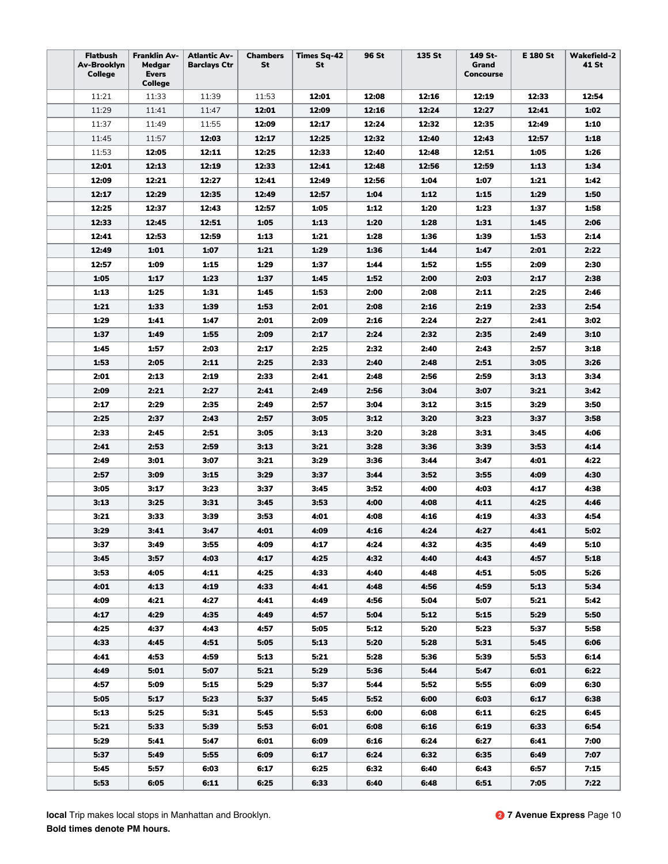| <b>Flatbush</b><br>Av-Brooklyn<br>College | <b>Franklin Av-</b><br>Medgar<br><b>Evers</b><br>College | <b>Atlantic Av-</b><br><b>Barclays Ctr</b> | <b>Chambers</b><br>St | <b>Times Sq-42</b><br>St | 96 St | 135 St | 149 St-<br>Grand<br>Concourse | <b>E 180 St</b> | <b>Wakefield-2</b><br>41 St |
|-------------------------------------------|----------------------------------------------------------|--------------------------------------------|-----------------------|--------------------------|-------|--------|-------------------------------|-----------------|-----------------------------|
| 11:21                                     | 11:33                                                    | 11:39                                      | 11:53                 | 12:01                    | 12:08 | 12:16  | 12:19                         | 12:33           | 12:54                       |
| 11:29                                     | 11:41                                                    | 11:47                                      | 12:01                 | 12:09                    | 12:16 | 12:24  | 12:27                         | 12:41           | 1:02                        |
| 11:37                                     | 11:49                                                    | 11:55                                      | 12:09                 | 12:17                    | 12:24 | 12:32  | 12:35                         | 12:49           | 1:10                        |
| 11:45                                     | 11:57                                                    | 12:03                                      | 12:17                 | 12:25                    | 12:32 | 12:40  | 12:43                         | 12:57           | 1:18                        |
| 11:53                                     | 12:05                                                    | 12:11                                      | 12:25                 | 12:33                    | 12:40 | 12:48  | 12:51                         | 1:05            | 1:26                        |
| 12:01                                     | 12:13                                                    | 12:19                                      | 12:33                 | 12:41                    | 12:48 | 12:56  | 12:59                         | 1:13            | 1:34                        |
| 12:09                                     | 12:21                                                    | 12:27                                      | 12:41                 | 12:49                    | 12:56 | 1:04   | 1:07                          | 1:21            | 1:42                        |
| 12:17                                     | 12:29                                                    | 12:35                                      | 12:49                 | 12:57                    | 1:04  | 1:12   | 1:15                          | 1:29            | 1:50                        |
| 12:25                                     | 12:37                                                    | 12:43                                      | 12:57                 | 1:05                     | 1:12  | 1:20   | 1:23                          | 1:37            | 1:58                        |
| 12:33                                     | 12:45                                                    | 12:51                                      | 1:05                  | 1:13                     | 1:20  | 1:28   | 1:31                          | 1:45            | 2:06                        |
| 12:41                                     | 12:53                                                    | 12:59                                      | 1:13                  | 1:21                     | 1:28  | 1:36   | 1:39                          | 1:53            | 2:14                        |
| 12:49                                     | 1:01                                                     | 1:07                                       | 1:21                  | 1:29                     | 1:36  | 1:44   | 1:47                          | 2:01            | 2:22                        |
| 12:57                                     | 1:09                                                     | 1:15                                       | 1:29                  | 1:37                     | 1:44  | 1:52   | 1:55                          | 2:09            | 2:30                        |
| 1:05                                      | 1:17                                                     | 1:23                                       | 1:37                  | 1:45                     | 1:52  | 2:00   | 2:03                          | 2:17            | 2:38                        |
| 1:13                                      | 1:25                                                     | 1:31                                       | 1:45                  | 1:53                     | 2:00  | 2:08   | 2:11                          | 2:25            | 2:46                        |
| 1:21                                      | 1:33                                                     | 1:39                                       | 1:53                  | 2:01                     | 2:08  | 2:16   | 2:19                          | 2:33            | 2:54                        |
| 1:29                                      | 1:41                                                     | 1:47                                       | 2:01                  | 2:09                     | 2:16  | 2:24   | 2:27                          | 2:41            | 3:02                        |
| 1:37                                      | 1:49                                                     | 1:55                                       | 2:09                  | 2:17                     | 2:24  | 2:32   | 2:35                          | 2:49            | 3:10                        |
| 1:45                                      | 1:57                                                     | 2:03                                       | 2:17                  | 2:25                     | 2:32  | 2:40   | 2:43                          | 2:57            | 3:18                        |
| 1:53                                      | 2:05                                                     | 2:11                                       | 2:25                  | 2:33                     | 2:40  | 2:48   | 2:51                          | 3:05            | 3:26                        |
| 2:01                                      | 2:13                                                     | 2:19                                       | 2:33                  | 2:41                     | 2:48  | 2:56   | 2:59                          | 3:13            | 3:34                        |
| 2:09                                      | 2:21                                                     | 2:27                                       | 2:41                  | 2:49                     | 2:56  | 3:04   | 3:07                          | 3:21            | 3:42                        |
| 2:17                                      | 2:29                                                     | 2:35                                       | 2:49                  | 2:57                     | 3:04  | 3:12   | 3:15                          | 3:29            | 3:50                        |
| 2:25                                      | 2:37                                                     | 2:43                                       | 2:57                  | 3:05                     | 3:12  | 3:20   | 3:23                          | 3:37            | 3:58                        |
| 2:33                                      | 2:45                                                     | 2:51                                       | 3:05                  | 3:13                     | 3:20  | 3:28   | 3:31                          | 3:45            | 4:06                        |
| 2:41                                      | 2:53                                                     | 2:59                                       | 3:13                  | 3:21                     | 3:28  | 3:36   | 3:39                          | 3:53            | 4:14                        |
| 2:49                                      | 3:01                                                     | 3:07                                       | 3:21                  | 3:29                     | 3:36  | 3:44   | 3:47                          | 4:01            | 4:22                        |
| 2:57                                      | 3:09                                                     | 3:15                                       | 3:29                  | 3:37                     | 3:44  | 3:52   | 3:55                          | 4:09            | 4:30                        |
| 3:05                                      | 3:17                                                     | 3:23                                       | 3:37                  | 3:45                     | 3:52  | 4:00   | 4:03                          | 4:17            | 4:38                        |
| 3:13                                      | 3:25                                                     | 3:31                                       | 3:45                  | 3:53                     | 4:00  | 4:08   | 4:11                          | 4:25            | 4:46                        |
| 3:21                                      | 3:33                                                     | 3:39                                       | 3:53                  | 4:01                     | 4:08  | 4:16   | 4:19                          | 4:33            | 4:54                        |
| 3:29                                      | 3:41                                                     | 3:47                                       | 4:01                  | 4:09                     | 4:16  | 4:24   | 4:27                          | 4:41            | 5:02                        |
| 3:37                                      | 3:49                                                     | 3:55                                       | 4:09                  | 4:17                     | 4:24  | 4:32   | 4:35                          | 4:49            | 5:10                        |
| 3:45                                      | 3:57                                                     | 4:03                                       | 4:17                  | 4:25                     | 4:32  | 4:40   | 4:43                          | 4:57            | 5:18                        |
| 3:53                                      | 4:05                                                     | 4:11                                       | 4:25                  | 4:33                     | 4:40  | 4:48   | 4:51                          | 5:05            | 5:26                        |
| 4:01                                      | 4:13                                                     | 4:19                                       | 4:33                  | 4:41                     | 4:48  | 4:56   | 4:59                          | 5:13            | 5:34                        |
| 4:09                                      | 4:21                                                     | 4:27                                       | 4:41                  | 4:49                     | 4:56  | 5:04   | 5:07                          | 5:21            | 5:42                        |
| 4:17                                      | 4:29                                                     | 4:35                                       | 4:49                  | 4:57                     | 5:04  | 5:12   | 5:15                          | 5:29            | 5:50                        |
| 4:25                                      | 4:37                                                     | 4:43                                       | 4:57                  | 5:05                     | 5:12  | 5:20   | 5:23                          | 5:37            | 5:58                        |
| 4:33                                      | 4:45                                                     | 4:51                                       | 5:05                  | 5:13                     | 5:20  | 5:28   | 5:31                          | 5:45            | 6:06                        |
| 4:41                                      | 4:53                                                     | 4:59                                       | 5:13                  | 5:21                     | 5:28  | 5:36   | 5:39                          | 5:53            | 6:14                        |
| 4:49                                      | 5:01                                                     | 5:07                                       | 5:21                  | 5:29                     | 5:36  | 5:44   | 5:47                          | 6:01            | 6:22                        |
| 4:57                                      | 5:09                                                     | 5:15                                       | 5:29                  | 5:37                     | 5:44  | 5:52   | 5:55                          | 6:09            | 6:30                        |
| 5:05                                      | 5:17                                                     | 5:23                                       | 5:37                  | 5:45                     | 5:52  | 6:00   | 6:03                          | 6:17            | 6:38                        |
| 5:13                                      | 5:25                                                     | 5:31                                       | 5:45                  | 5:53                     | 6:00  | 6:08   | 6:11                          | 6:25            | 6:45                        |
| 5:21                                      | 5:33                                                     | 5:39                                       | 5:53                  | 6:01                     | 6:08  | 6:16   | 6:19                          | 6:33            | 6:54                        |
| 5:29                                      | 5:41                                                     | 5:47                                       | 6:01                  | 6:09                     | 6:16  | 6:24   | 6:27                          | 6:41            | 7:00                        |
| 5:37                                      | 5:49                                                     | 5:55                                       | 6:09                  | 6:17                     | 6:24  | 6:32   | 6:35                          | 6:49            | 7:07                        |
| 5:45                                      | 5:57                                                     | 6:03                                       | 6:17                  | 6:25                     | 6:32  | 6:40   | 6:43                          | 6:57            | 7:15                        |
| 5:53                                      | 6:05                                                     | 6:11                                       | 6:25                  | 6:33                     | 6:40  | 6:48   | 6:51                          | 7:05            | 7:22                        |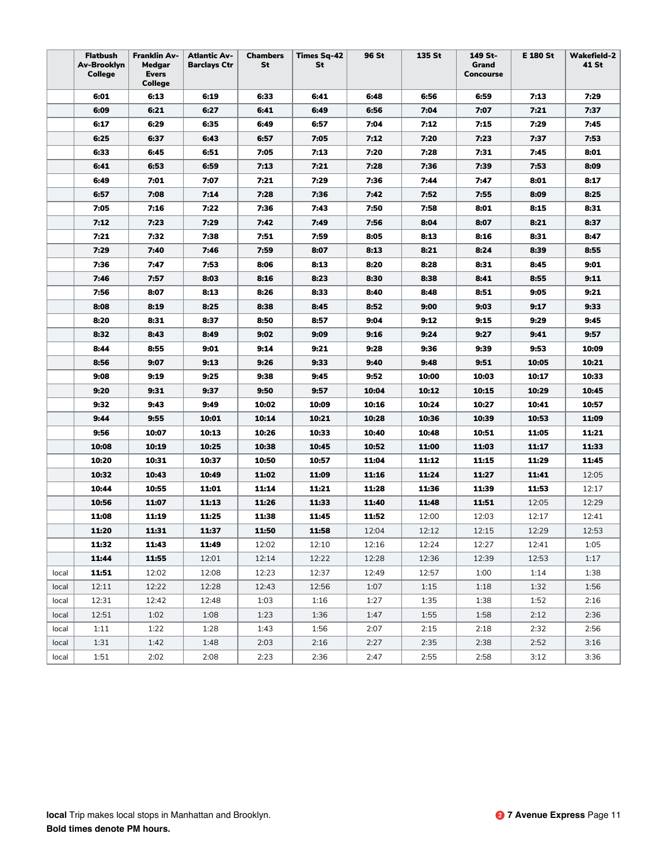|       | <b>Flatbush</b><br>Av-Brooklyn<br>College | Franklin Av-<br>Medgar<br><b>Evers</b><br>College | <b>Atlantic Av-</b><br><b>Barclays Ctr</b> | <b>Chambers</b><br>St | <b>Times Sq-42</b><br>St | 96 St | 135 St | 149 St-<br>Grand<br><b>Concourse</b> | E 180 St | <b>Wakefield-2</b><br>41 St |
|-------|-------------------------------------------|---------------------------------------------------|--------------------------------------------|-----------------------|--------------------------|-------|--------|--------------------------------------|----------|-----------------------------|
|       | 6:01                                      | 6:13                                              | 6:19                                       | 6:33                  | 6:41                     | 6:48  | 6:56   | 6:59                                 | 7:13     | 7:29                        |
|       | 6:09                                      | 6:21                                              | 6:27                                       | 6:41                  | 6:49                     | 6:56  | 7:04   | 7:07                                 | 7:21     | 7:37                        |
|       | 6:17                                      | 6:29                                              | 6:35                                       | 6:49                  | 6:57                     | 7:04  | 7:12   | 7:15                                 | 7:29     | 7:45                        |
|       | 6:25                                      | 6:37                                              | 6:43                                       | 6:57                  | 7:05                     | 7:12  | 7:20   | 7:23                                 | 7:37     | 7:53                        |
|       | 6:33                                      | 6:45                                              | 6:51                                       | 7:05                  | 7:13                     | 7:20  | 7:28   | 7:31                                 | 7:45     | 8:01                        |
|       | 6:41                                      | 6:53                                              | 6:59                                       | 7:13                  | 7:21                     | 7:28  | 7:36   | 7:39                                 | 7:53     | 8:09                        |
|       | 6:49                                      | 7:01                                              | 7:07                                       | 7:21                  | 7:29                     | 7:36  | 7:44   | 7:47                                 | 8:01     | 8:17                        |
|       | 6:57                                      | 7:08                                              | 7:14                                       | 7:28                  | 7:36                     | 7:42  | 7:52   | 7:55                                 | 8:09     | 8:25                        |
|       | 7:05                                      | 7:16                                              | 7:22                                       | 7:36                  | 7:43                     | 7:50  | 7:58   | 8:01                                 | 8:15     | 8:31                        |
|       | 7:12                                      | 7:23                                              | 7:29                                       | 7:42                  | 7:49                     | 7:56  | 8:04   | 8:07                                 | 8:21     | 8:37                        |
|       | 7:21                                      | 7:32                                              | 7:38                                       | 7:51                  | 7:59                     | 8:05  | 8:13   | 8:16                                 | 8:31     | 8:47                        |
|       | 7:29                                      | 7:40                                              | 7:46                                       | 7:59                  | 8:07                     | 8:13  | 8:21   | 8:24                                 | 8:39     | 8:55                        |
|       | 7:36                                      | 7:47                                              | 7:53                                       | 8:06                  | 8:13                     | 8:20  | 8:28   | 8:31                                 | 8:45     | 9:01                        |
|       | 7:46                                      | 7:57                                              | 8:03                                       | 8:16                  | 8:23                     | 8:30  | 8:38   | 8:41                                 | 8:55     | 9:11                        |
|       | 7:56                                      | 8:07                                              | 8:13                                       | 8:26                  | 8:33                     | 8:40  | 8:48   | 8:51                                 | 9:05     | 9:21                        |
|       | 8:08                                      | 8:19                                              | 8:25                                       | 8:38                  | 8:45                     | 8:52  | 9:00   | 9:03                                 | 9:17     | 9:33                        |
|       | 8:20                                      | 8:31                                              | 8:37                                       | 8:50                  | 8:57                     | 9:04  | 9:12   | 9:15                                 | 9:29     | 9:45                        |
|       | 8:32                                      | 8:43                                              | 8:49                                       | 9:02                  | 9:09                     | 9:16  | 9:24   | 9:27                                 | 9:41     | 9:57                        |
|       | 8:44                                      | 8:55                                              | 9:01                                       | 9:14                  | 9:21                     | 9:28  | 9:36   | 9:39                                 | 9:53     | 10:09                       |
|       | 8:56                                      | 9:07                                              | 9:13                                       | 9:26                  | 9:33                     | 9:40  | 9:48   | 9:51                                 | 10:05    | 10:21                       |
|       | 9:08                                      | 9:19                                              | 9:25                                       | 9:38                  | 9:45                     | 9:52  | 10:00  | 10:03                                | 10:17    | 10:33                       |
|       | 9:20                                      | 9:31                                              | 9:37                                       | 9:50                  | 9:57                     | 10:04 | 10:12  | 10:15                                | 10:29    | 10:45                       |
|       | 9:32                                      | 9:43                                              | 9:49                                       | 10:02                 | 10:09                    | 10:16 | 10:24  | 10:27                                | 10:41    | 10:57                       |
|       | 9:44                                      | 9:55                                              | 10:01                                      | 10:14                 | 10:21                    | 10:28 | 10:36  | 10:39                                | 10:53    | 11:09                       |
|       | 9:56                                      | 10:07                                             | 10:13                                      | 10:26                 | 10:33                    | 10:40 | 10:48  | 10:51                                | 11:05    | 11:21                       |
|       | 10:08                                     | 10:19                                             | 10:25                                      | 10:38                 | 10:45                    | 10:52 | 11:00  | 11:03                                | 11:17    | 11:33                       |
|       | 10:20                                     | 10:31                                             | 10:37                                      | 10:50                 | 10:57                    | 11:04 | 11:12  | 11:15                                | 11:29    | 11:45                       |
|       | 10:32                                     | 10:43                                             | 10:49                                      | 11:02                 | 11:09                    | 11:16 | 11:24  | 11:27                                | 11:41    | 12:05                       |
|       | 10:44                                     | 10:55                                             | 11:01                                      | 11:14                 | 11:21                    | 11:28 | 11:36  | 11:39                                | 11:53    | 12:17                       |
|       | 10:56                                     | 11:07                                             | 11:13                                      | 11:26                 | 11:33                    | 11:40 | 11:48  | 11:51                                | 12:05    | 12:29                       |
|       | 11:08                                     | 11:19                                             | 11:25                                      | 11:38                 | 11:45                    | 11:52 | 12:00  | 12:03                                | 12:17    | 12:41                       |
|       | 11:20                                     | 11:31                                             | 11:37                                      | 11:50                 | 11:58                    | 12:04 | 12:12  | 12:15                                | 12:29    | 12:53                       |
|       | 11:32                                     | 11:43                                             | 11:49                                      | 12:02                 | 12:10                    | 12:16 | 12:24  | 12:27                                | 12:41    | 1:05                        |
|       | 11:44                                     | 11:55                                             | 12:01                                      | 12:14                 | 12:22                    | 12:28 | 12:36  | 12:39                                | 12:53    | 1:17                        |
| local | 11:51                                     | 12:02                                             | 12:08                                      | 12:23                 | 12:37                    | 12:49 | 12:57  | 1:00                                 | 1:14     | 1:38                        |
| local | 12:11                                     | 12:22                                             | 12:28                                      | 12:43                 | 12:56                    | 1:07  | 1:15   | 1:18                                 | 1:32     | 1:56                        |
| local | 12:31                                     | 12:42                                             | 12:48                                      | 1:03                  | 1:16                     | 1:27  | 1:35   | 1:38                                 | 1:52     | 2:16                        |
| local | 12:51                                     | 1:02                                              | 1:08                                       | 1:23                  | 1:36                     | 1:47  | 1:55   | 1:58                                 | 2:12     | 2:36                        |
| local | 1:11                                      | 1:22                                              | 1:28                                       | 1:43                  | 1:56                     | 2:07  | 2:15   | 2:18                                 | 2:32     | 2:56                        |
| local | 1:31                                      | 1:42                                              | 1:48                                       | 2:03                  | 2:16                     | 2:27  | 2:35   | 2:38                                 | 2:52     | 3:16                        |
| local | 1:51                                      | 2:02                                              | 2:08                                       | 2:23                  | 2:36                     | 2:47  | 2:55   | 2:58                                 | 3:12     | 3:36                        |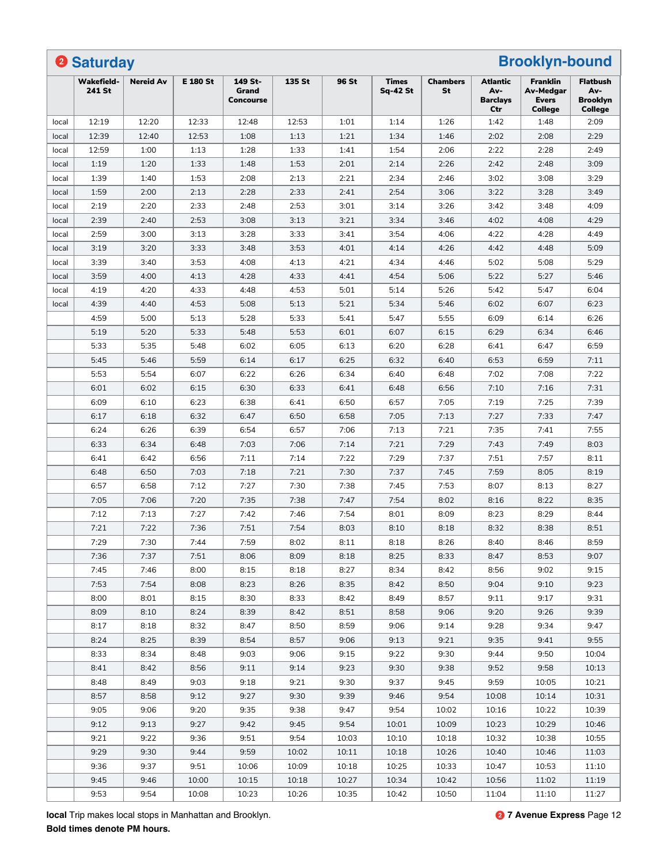|       | <b>2 Saturday</b>           |                  |                 |                                      |        |       |                            |                       |                                                  | <b>Brooklyn-bound</b>                            |                                                             |
|-------|-----------------------------|------------------|-----------------|--------------------------------------|--------|-------|----------------------------|-----------------------|--------------------------------------------------|--------------------------------------------------|-------------------------------------------------------------|
|       | <b>Wakefield-</b><br>241 St | <b>Nereid Av</b> | <b>E 180 St</b> | 149 St-<br>Grand<br><b>Concourse</b> | 135 St | 96 St | <b>Times</b><br>$Sq-42 St$ | <b>Chambers</b><br>St | <b>Atlantic</b><br>Av-<br><b>Barclays</b><br>Ctr | Franklin<br>Av-Medgar<br><b>Evers</b><br>College | <b>Flatbush</b><br>Av-<br><b>Brooklyn</b><br><b>College</b> |
| local | 12:19                       | 12:20            | 12:33           | 12:48                                | 12:53  | 1:01  | 1:14                       | 1:26                  | 1:42                                             | 1:48                                             | 2:09                                                        |
| local | 12:39                       | 12:40            | 12:53           | 1:08                                 | 1:13   | 1:21  | 1:34                       | 1:46                  | 2:02                                             | 2:08                                             | 2:29                                                        |
| local | 12:59                       | 1:00             | 1:13            | 1:28                                 | 1:33   | 1:41  | 1:54                       | 2:06                  | 2:22                                             | 2:28                                             | 2:49                                                        |
| local | 1:19                        | 1:20             | 1:33            | 1:48                                 | 1:53   | 2:01  | 2:14                       | 2:26                  | 2:42                                             | 2:48                                             | 3:09                                                        |
| local | 1:39                        | 1:40             | 1:53            | 2:08                                 | 2:13   | 2:21  | 2:34                       | 2:46                  | 3:02                                             | 3:08                                             | 3:29                                                        |
| local | 1:59                        | 2:00             | 2:13            | 2:28                                 | 2:33   | 2:41  | 2:54                       | 3:06                  | 3:22                                             | 3:28                                             | 3:49                                                        |
| local | 2:19                        | 2:20             | 2:33            | 2:48                                 | 2:53   | 3:01  | 3:14                       | 3:26                  | 3:42                                             | 3:48                                             | 4:09                                                        |
| local | 2:39                        | 2:40             | 2:53            | 3:08                                 | 3:13   | 3:21  | 3:34                       | 3:46                  | 4:02                                             | 4:08                                             | 4:29                                                        |
| local | 2:59                        | 3:00             | 3:13            | 3:28                                 | 3:33   | 3:41  | 3:54                       | 4:06                  | 4:22                                             | 4:28                                             | 4:49                                                        |
| local | 3:19                        | 3:20             | 3:33            | 3:48                                 | 3:53   | 4:01  | 4:14                       | 4:26                  | 4:42                                             | 4:48                                             | 5:09                                                        |
| local | 3:39                        | 3:40             | 3:53            | 4:08                                 | 4:13   | 4:21  | 4:34                       | 4:46                  | 5:02                                             | 5:08                                             | 5:29                                                        |
| local | 3:59                        | 4:00             | 4:13            | 4:28                                 | 4:33   | 4:41  | 4:54                       | 5:06                  | 5:22                                             | 5:27                                             | 5:46                                                        |
| local | 4:19                        | 4:20             | 4:33            | 4:48                                 | 4:53   | 5:01  | 5:14                       | 5:26                  | 5:42                                             | 5:47                                             | 6:04                                                        |
| local | 4:39                        | 4:40             | 4:53            | 5:08                                 | 5:13   | 5:21  | 5:34                       | 5:46                  | 6:02                                             | 6:07                                             | 6:23                                                        |
|       | 4:59                        | 5:00             | 5:13            | 5:28                                 | 5:33   | 5:41  | 5:47                       | 5:55                  | 6:09                                             | 6:14                                             | 6:26                                                        |
|       | 5:19                        | 5:20             | 5:33            | 5:48                                 | 5:53   | 6:01  | 6:07                       | 6:15                  | 6:29                                             | 6:34                                             | 6:46                                                        |
|       | 5:33                        | 5:35             | 5:48            | 6:02                                 | 6:05   | 6:13  | 6:20                       | 6:28                  | 6:41                                             | 6:47                                             | 6:59                                                        |
|       | 5:45                        | 5:46             | 5:59            | 6:14                                 | 6:17   | 6:25  | 6:32                       | 6:40                  | 6:53                                             | 6:59                                             | 7:11                                                        |
|       | 5:53                        | 5:54             | 6:07            | 6:22                                 | 6:26   | 6:34  | 6:40                       | 6:48                  | 7:02                                             | 7:08                                             | 7:22                                                        |
|       | 6:01                        | 6:02             | 6:15            | 6:30                                 | 6:33   | 6:41  | 6:48                       | 6:56                  | 7:10                                             | 7:16                                             | 7:31                                                        |
|       | 6:09                        | 6:10             | 6:23            | 6:38                                 | 6:41   | 6:50  | 6:57                       | 7:05                  | 7:19                                             | 7:25                                             | 7:39                                                        |
|       | 6:17                        | 6:18             | 6:32            | 6:47                                 | 6:50   | 6:58  | 7:05                       | 7:13                  | 7:27                                             | 7:33                                             | 7:47                                                        |
|       | 6:24                        | 6:26             | 6:39            | 6:54                                 | 6:57   | 7:06  | 7:13                       | 7:21                  | 7:35                                             | 7:41                                             | 7:55                                                        |
|       |                             |                  |                 |                                      |        |       |                            |                       |                                                  |                                                  |                                                             |
|       | 6:33                        | 6:34             | 6:48            | 7:03                                 | 7:06   | 7:14  | 7:21                       | 7:29                  | 7:43                                             | 7:49                                             | 8:03                                                        |
|       | 6:41                        | 6:42             | 6:56            | 7:11                                 | 7:14   | 7:22  | 7:29                       | 7:37                  | 7:51                                             | 7:57                                             | 8:11                                                        |
|       | 6:48                        | 6:50             | 7:03            | 7:18                                 | 7:21   | 7:30  | 7:37                       | 7:45                  | 7:59                                             | 8:05                                             | 8:19                                                        |
|       | 6:57                        | 6:58             | 7:12            | 7:27                                 | 7:30   | 7:38  | 7:45                       | 7:53                  | 8:07                                             | 8:13                                             | 8:27                                                        |
|       | 7:05                        | 7:06             | 7:20            | 7:35                                 | 7:38   | 7:47  | 7:54                       | 8:02                  | 8:16                                             | 8:22                                             | 8:35                                                        |
|       | 7:12                        | 7:13             | 7:27            | 7:42                                 | 7:46   | 7:54  | 8:01                       | 8:09                  | 8:23                                             | 8:29                                             | 8:44                                                        |
|       | 7:21                        | 7:22             | 7:36            | 7:51                                 | 7:54   | 8:03  | 8:10                       | 8:18                  | 8:32                                             | 8:38                                             | 8:51                                                        |
|       | 7:29                        | 7:30             | 7:44            | 7:59                                 | 8:02   | 8:11  | 8:18                       | 8:26                  | 8:40                                             | 8:46                                             | 8:59                                                        |
|       | 7:36                        | 7:37             | 7:51            | 8:06                                 | 8:09   | 8:18  | 8:25                       | 8:33                  | 8:47                                             | 8:53                                             | 9:07                                                        |
|       | 7:45                        | 7:46             | 8:00            | 8:15                                 | 8:18   | 8:27  | 8:34                       | 8:42                  | 8:56                                             | 9:02                                             | 9:15                                                        |
|       | 7:53                        | 7:54             | 8:08            | 8:23                                 | 8:26   | 8:35  | 8:42                       | 8:50                  | 9:04                                             | 9:10                                             | 9:23                                                        |
|       | 8:00                        | 8:01             | 8:15            | 8:30                                 | 8:33   | 8:42  | 8:49                       | 8:57                  | 9:11                                             | 9:17                                             | 9:31                                                        |
|       | 8:09                        | 8:10             | 8:24            | 8:39                                 | 8:42   | 8:51  | 8:58                       | 9:06                  | 9:20                                             | 9:26                                             | 9:39                                                        |
|       | 8:17                        | 8:18             | 8:32            | 8:47                                 | 8:50   | 8:59  | 9:06                       | 9:14                  | 9:28                                             | 9:34                                             | 9:47                                                        |
|       | 8:24                        | 8:25             | 8:39            | 8:54                                 | 8:57   | 9:06  | 9:13                       | 9:21                  | 9:35                                             | 9:41                                             | 9:55                                                        |
|       | 8:33                        | 8:34             | 8:48            | 9:03                                 | 9:06   | 9:15  | 9:22                       | 9:30                  | 9:44                                             | 9:50                                             | 10:04                                                       |
|       | 8:41                        | 8:42             | 8:56            | 9:11                                 | 9:14   | 9:23  | 9:30                       | 9:38                  | 9:52                                             | 9:58                                             | 10:13                                                       |
|       | 8:48                        | 8:49             | 9:03            | 9:18                                 | 9:21   | 9:30  | 9:37                       | 9:45                  | 9:59                                             | 10:05                                            | 10:21                                                       |
|       | 8:57                        | 8:58             | 9:12            | 9:27                                 | 9:30   | 9:39  | 9:46                       | 9:54                  | 10:08                                            | 10:14                                            | 10:31                                                       |
|       | 9:05                        | 9:06             | 9:20            | 9:35                                 | 9:38   | 9:47  | 9:54                       | 10:02                 | 10:16                                            | 10:22                                            | 10:39                                                       |
|       | 9:12                        | 9:13             | 9:27            | 9:42                                 | 9:45   | 9:54  | 10:01                      | 10:09                 | 10:23                                            | 10:29                                            | 10:46                                                       |
|       | 9:21                        | 9:22             | 9:36            | 9:51                                 | 9:54   | 10:03 | 10:10                      | 10:18                 | 10:32                                            | 10:38                                            | 10:55                                                       |
|       | 9:29                        | 9:30             | 9:44            | 9:59                                 | 10:02  | 10:11 | 10:18                      | 10:26                 | 10:40                                            | 10:46                                            | 11:03                                                       |
|       | 9:36                        | 9:37             | 9:51            | 10:06                                | 10:09  | 10:18 | 10:25                      | 10:33                 | 10:47                                            | 10:53                                            | 11:10                                                       |
|       | 9:45                        | 9:46             | 10:00           | 10:15                                | 10:18  | 10:27 | 10:34                      | 10:42                 | 10:56                                            | 11:02                                            | 11:19                                                       |
|       | 9:53                        | 9:54             | 10:08           | 10:23                                | 10:26  | 10:35 | 10:42                      | 10:50                 | 11:04                                            | 11:10                                            | 11:27                                                       |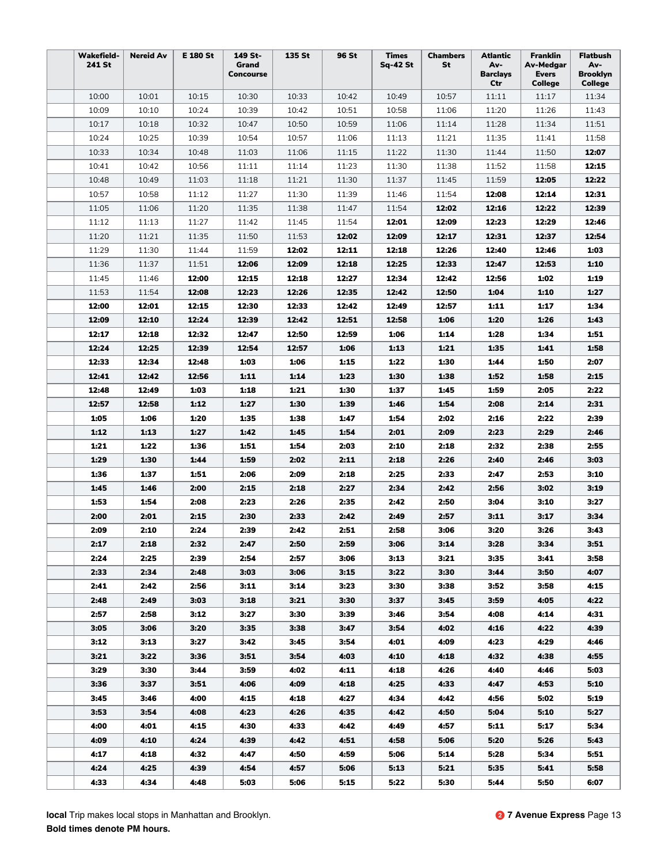| <b>Wakefield-</b><br>241 St | <b>Nereid Av</b> | E 180 St     | 149 St-<br>Grand<br>Concourse | 135 St       | 96 St        | <b>Times</b><br>Sq-42 St | <b>Chambers</b><br>St | Atlantic<br>Av-<br><b>Barclays</b> | <b>Franklin</b><br>Av-Medgar<br><b>Evers</b> | <b>Flatbush</b><br>Av-<br><b>Brooklyn</b> |
|-----------------------------|------------------|--------------|-------------------------------|--------------|--------------|--------------------------|-----------------------|------------------------------------|----------------------------------------------|-------------------------------------------|
| 10:00                       | 10:01            | 10:15        | 10:30                         | 10:33        | 10:42        | 10:49                    | 10:57                 | Ctr<br>11:11                       | College<br>11:17                             | <b>College</b><br>11:34                   |
| 10:09                       | 10:10            | 10:24        | 10:39                         | 10:42        | 10:51        | 10:58                    | 11:06                 | 11:20                              | 11:26                                        | 11:43                                     |
| 10:17                       | 10:18            | 10:32        | 10:47                         | 10:50        | 10:59        | 11:06                    | 11:14                 | 11:28                              | 11:34                                        | 11:51                                     |
| 10:24                       | 10:25            | 10:39        | 10:54                         | 10:57        | 11:06        | 11:13                    | 11:21                 | 11:35                              | 11:41                                        | 11:58                                     |
| 10:33                       | 10:34            | 10:48        | 11:03                         | 11:06        | 11:15        | 11:22                    | 11:30                 | 11:44                              | 11:50                                        | 12:07                                     |
| 10:41                       | 10:42            | 10:56        | 11:11                         | 11:14        | 11:23        | 11:30                    | 11:38                 | 11:52                              | 11:58                                        | 12:15                                     |
| 10:48                       | 10:49            | 11:03        | 11:18                         | 11:21        | 11:30        | 11:37                    | 11:45                 | 11:59                              | 12:05                                        | 12:22                                     |
| 10:57                       | 10:58            | 11:12        | 11:27                         | 11:30        | 11:39        | 11:46                    | 11:54                 | 12:08                              | 12:14                                        | 12:31                                     |
| 11:05                       | 11:06            | 11:20        | 11:35                         | 11:38        | 11:47        | 11:54                    | 12:02                 | 12:16                              | 12:22                                        | 12:39                                     |
| 11:12                       | 11:13            | 11:27        | 11:42                         | 11:45        | 11:54        | 12:01                    | 12:09                 | 12:23                              | 12:29                                        | 12:46                                     |
| 11:20                       | 11:21            | 11:35        | 11:50                         | 11:53        | 12:02        | 12:09                    | 12:17                 | 12:31                              | 12:37                                        | 12:54                                     |
| 11:29                       | 11:30            | 11:44        | 11:59                         | 12:02        | 12:11        | 12:18                    | 12:26                 | 12:40                              | 12:46                                        | 1:03                                      |
| 11:36                       | 11:37            | 11:51        | 12:06                         | 12:09        | 12:18        | 12:25                    | 12:33                 | 12:47                              | 12:53                                        | 1:10                                      |
| 11:45                       | 11:46            | 12:00        | 12:15                         | 12:18        | 12:27        | 12:34                    | 12:42                 | 12:56                              | 1:02                                         | 1:19                                      |
| 11:53                       | 11:54            | 12:08        | 12:23                         | 12:26        | 12:35        | 12:42                    | 12:50                 | 1:04                               | 1:10                                         | 1:27                                      |
| 12:00                       | 12:01            | 12:15        | 12:30                         | 12:33        | 12:42        | 12:49                    | 12:57                 | 1:11                               | 1:17                                         | 1:34                                      |
| 12:09                       | 12:10            | 12:24        | 12:39                         | 12:42        | 12:51        | 12:58                    | 1:06                  | 1:20                               | 1:26                                         | 1:43                                      |
| 12:17                       | 12:18            | 12:32        | 12:47                         | 12:50        | 12:59        | 1:06                     | 1:14                  | 1:28                               | 1:34                                         | 1:51                                      |
| 12:24                       | 12:25            | 12:39        | 12:54                         | 12:57        | 1:06         | 1:13                     | 1:21                  | 1:35                               | 1:41                                         | 1:58                                      |
| 12:33                       | 12:34            | 12:48        | 1:03                          | 1:06         | 1:15         | 1:22                     | 1:30                  | 1:44                               | 1:50                                         | 2:07                                      |
| 12:41                       | 12:42            | 12:56        | 1:11                          | 1:14         | 1:23         | 1:30                     | 1:38                  | 1:52                               | 1:58                                         | 2:15                                      |
| 12:48                       | 12:49            | 1:03         | 1:18                          | 1:21         | 1:30         | 1:37                     | 1:45                  | 1:59                               | 2:05                                         | 2:22                                      |
| 12:57                       | 12:58            | 1:12         | 1:27                          | 1:30         | 1:39         | 1:46                     | 1:54                  | 2:08                               | 2:14                                         | 2:31                                      |
| 1:05                        | 1:06             | 1:20         | 1:35                          | 1:38         | 1:47         | 1:54                     | 2:02                  | 2:16                               | 2:22                                         | 2:39                                      |
| 1:12                        | 1:13             | 1:27         | 1:42                          | 1:45         | 1:54         | 2:01                     | 2:09                  | 2:23                               | 2:29                                         | 2:46                                      |
| 1:21                        | 1:22             | 1:36         | 1:51                          | 1:54         | 2:03         | 2:10                     | 2:18                  | 2:32                               | 2:38                                         | 2:55                                      |
| 1:29                        | 1:30             | 1:44         | 1:59                          | 2:02         | 2:11         | 2:18                     | 2:26                  | 2:40                               | 2:46                                         | 3:03                                      |
| 1:36                        | 1:37             | 1:51         | 2:06                          | 2:09         | 2:18         | 2:25                     | 2:33                  | 2:47                               | 2:53                                         | 3:10                                      |
| 1:45                        | 1:46             | 2:00         | 2:15                          | 2:18         | 2:27         | 2:34                     | 2:42                  | 2:56                               | 3:02                                         | 3:19                                      |
| 1:53                        | 1:54             | 2:08         | 2:23                          | 2:26         | 2:35         | 2:42                     | 2:50                  | 3:04                               | 3:10                                         | 3:27                                      |
| 2:00<br>2:09                | 2:01<br>2:10     | 2:15<br>2:24 | 2:30<br>2:39                  | 2:33<br>2:42 | 2:42<br>2:51 | 2:49<br>2:58             | 2:57<br>3:06          | 3:11<br>3:20                       | 3:17<br>3:26                                 | 3:34<br>3:43                              |
| 2:17                        | 2:18             | 2:32         | 2:47                          | 2:50         | 2:59         | 3:06                     | 3:14                  | 3:28                               | 3:34                                         | 3:51                                      |
| 2:24                        | 2:25             | 2:39         | 2:54                          | 2:57         | 3:06         | 3:13                     | 3:21                  | 3:35                               | 3:41                                         | 3:58                                      |
| 2:33                        | 2:34             | 2:48         | 3:03                          | 3:06         | 3:15         | 3:22                     | 3:30                  | 3:44                               | 3:50                                         | 4:07                                      |
| 2:41                        | 2:42             | 2:56         | 3:11                          | 3:14         | 3:23         | 3:30                     | 3:38                  | 3:52                               | 3:58                                         | 4:15                                      |
| 2:48                        | 2:49             | 3:03         | 3:18                          | 3:21         | 3:30         | 3:37                     | 3:45                  | 3:59                               | 4:05                                         | 4:22                                      |
| 2:57                        | 2:58             | 3:12         | 3:27                          | 3:30         | 3:39         | 3:46                     | 3:54                  | 4:08                               | 4:14                                         | 4:31                                      |
| 3:05                        | 3:06             | 3:20         | 3:35                          | 3:38         | 3:47         | 3:54                     | 4:02                  | 4:16                               | 4:22                                         | 4:39                                      |
| 3:12                        | 3:13             | 3:27         | 3:42                          | 3:45         | 3:54         | 4:01                     | 4:09                  | 4:23                               | 4:29                                         | 4:46                                      |
| 3:21                        | 3:22             | 3:36         | 3:51                          | 3:54         | 4:03         | 4:10                     | 4:18                  | 4:32                               | 4:38                                         | 4:55                                      |
| 3:29                        | 3:30             | 3:44         | 3:59                          | 4:02         | 4:11         | 4:18                     | 4:26                  | 4:40                               | 4:46                                         | 5:03                                      |
| 3:36                        | 3:37             | 3:51         | 4:06                          | 4:09         | 4:18         | 4:25                     | 4:33                  | 4:47                               | 4:53                                         | 5:10                                      |
| 3:45                        | 3:46             | 4:00         | 4:15                          | 4:18         | 4:27         | 4:34                     | 4:42                  | 4:56                               | 5:02                                         | 5:19                                      |
| 3:53                        | 3:54             | 4:08         | 4:23                          | 4:26         | 4:35         | 4:42                     | 4:50                  | 5:04                               | 5:10                                         | 5:27                                      |
| 4:00                        | 4:01             | 4:15         | 4:30                          | 4:33         | 4:42         | 4:49                     | 4:57                  | 5:11                               | 5:17                                         | 5:34                                      |
| 4:09                        | 4:10             | 4:24         | 4:39                          | 4:42         | 4:51         | 4:58                     | 5:06                  | 5:20                               | 5:26                                         | 5:43                                      |
| 4:17                        | 4:18             | 4:32         | 4:47                          | 4:50         | 4:59         | 5:06                     | 5:14                  | 5:28                               | 5:34                                         | 5:51                                      |
| 4:24                        | 4:25             | 4:39         | 4:54                          | 4:57         | 5:06         | 5:13                     | 5:21                  | 5:35                               | 5:41                                         | 5:58                                      |
| 4:33                        | 4:34             | 4:48         | 5:03                          | 5:06         | 5:15         | 5:22                     | 5:30                  | 5:44                               | 5:50                                         | 6:07                                      |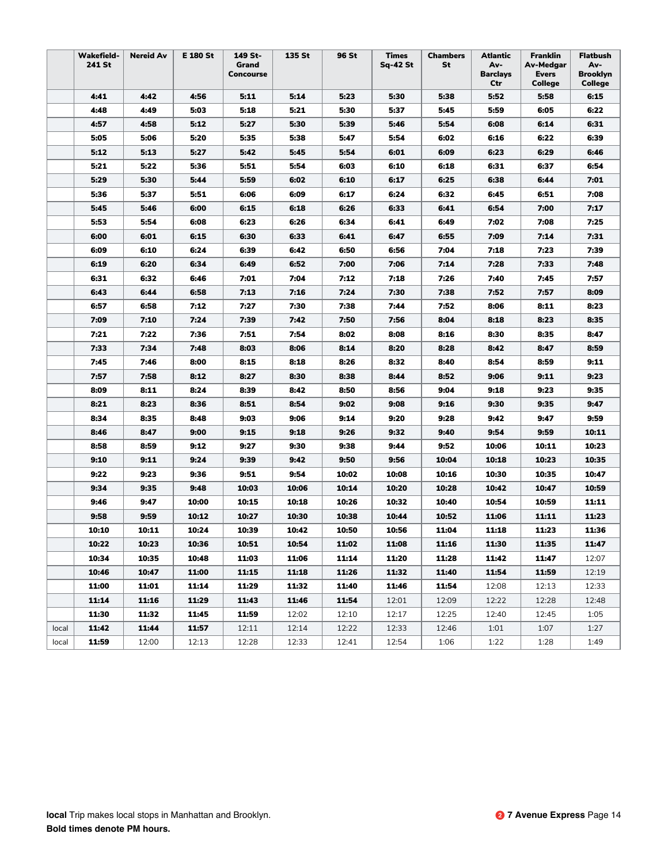|       | <b>Wakefield-</b><br>241 St | <b>Nereid Av</b> | E 180 St | 149 St-<br>Grand<br>Concourse | 135 St | 96 St | Times<br>Sq-42 St | <b>Chambers</b><br>St | Atlantic<br>Av-<br><b>Barclays</b><br>Ctr | Franklin<br>Av-Medgar<br>Evers<br>College | <b>Flatbush</b><br>Av-<br><b>Brooklyn</b><br><b>College</b> |
|-------|-----------------------------|------------------|----------|-------------------------------|--------|-------|-------------------|-----------------------|-------------------------------------------|-------------------------------------------|-------------------------------------------------------------|
|       | 4:41                        | 4:42             | 4:56     | 5:11                          | 5:14   | 5:23  | 5:30              | 5:38                  | 5:52                                      | 5:58                                      | 6:15                                                        |
|       | 4:48                        | 4:49             | 5:03     | 5:18                          | 5:21   | 5:30  | 5:37              | 5:45                  | 5:59                                      | 6:05                                      | 6:22                                                        |
|       | 4:57                        | 4:58             | 5:12     | 5:27                          | 5:30   | 5:39  | 5:46              | 5:54                  | 6:08                                      | 6:14                                      | 6:31                                                        |
|       | 5:05                        | 5:06             | 5:20     | 5:35                          | 5:38   | 5:47  | 5:54              | 6:02                  | 6:16                                      | 6:22                                      | 6:39                                                        |
|       | 5:12                        | 5:13             | 5:27     | 5:42                          | 5:45   | 5:54  | 6:01              | 6:09                  | 6:23                                      | 6:29                                      | 6:46                                                        |
|       | 5:21                        | 5:22             | 5:36     | 5:51                          | 5:54   | 6:03  | 6:10              | 6:18                  | 6:31                                      | 6:37                                      | 6:54                                                        |
|       | 5:29                        | 5:30             | 5:44     | 5:59                          | 6:02   | 6:10  | 6:17              | 6:25                  | 6:38                                      | 6:44                                      | 7:01                                                        |
|       | 5:36                        | 5:37             | 5:51     | 6:06                          | 6:09   | 6:17  | 6:24              | 6:32                  | 6:45                                      | 6:51                                      | 7:08                                                        |
|       | 5:45                        | 5:46             | 6:00     | 6:15                          | 6:18   | 6:26  | 6:33              | 6:41                  | 6:54                                      | 7:00                                      | 7:17                                                        |
|       | 5:53                        | 5:54             | 6:08     | 6:23                          | 6:26   | 6:34  | 6:41              | 6:49                  | 7:02                                      | 7:08                                      | 7:25                                                        |
|       | 6:00                        | 6:01             | 6:15     | 6:30                          | 6:33   | 6:41  | 6:47              | 6:55                  | 7:09                                      | 7:14                                      | 7:31                                                        |
|       | 6:09                        | 6:10             | 6:24     | 6:39                          | 6:42   | 6:50  | 6:56              | 7:04                  | 7:18                                      | 7:23                                      | 7:39                                                        |
|       | 6:19                        | 6:20             | 6:34     | 6:49                          | 6:52   | 7:00  | 7:06              | 7:14                  | 7:28                                      | 7:33                                      | 7:48                                                        |
|       | 6:31                        | 6:32             | 6:46     | 7:01                          | 7:04   | 7:12  | 7:18              | 7:26                  | 7:40                                      | 7:45                                      | 7:57                                                        |
|       | 6:43                        | 6:44             | 6:58     | 7:13                          | 7:16   | 7:24  | 7:30              | 7:38                  | 7:52                                      | 7:57                                      | 8:09                                                        |
|       | 6:57                        | 6:58             | 7:12     | 7:27                          | 7:30   | 7:38  | 7:44              | 7:52                  | 8:06                                      | 8:11                                      | 8:23                                                        |
|       | 7:09                        | 7:10             | 7:24     | 7:39                          | 7:42   | 7:50  | 7:56              | 8:04                  | 8:18                                      | 8:23                                      | 8:35                                                        |
|       | 7:21                        | 7:22             | 7:36     | 7:51                          | 7:54   | 8:02  | 8:08              | 8:16                  | 8:30                                      | 8:35                                      | 8:47                                                        |
|       | 7:33                        | 7:34             | 7:48     | 8:03                          | 8:06   | 8:14  | 8:20              | 8:28                  | 8:42                                      | 8:47                                      | 8:59                                                        |
|       | 7:45                        | 7:46             | 8:00     | 8:15                          | 8:18   | 8:26  | 8:32              | 8:40                  | 8:54                                      | 8:59                                      | 9:11                                                        |
|       | 7:57                        | 7:58             | 8:12     | 8:27                          | 8:30   | 8:38  | 8:44              | 8:52                  | 9:06                                      | 9:11                                      | 9:23                                                        |
|       | 8:09                        | 8:11             | 8:24     | 8:39                          | 8:42   | 8:50  | 8:56              | 9:04                  | 9:18                                      | 9:23                                      | 9:35                                                        |
|       | 8:21                        | 8:23             | 8:36     | 8:51                          | 8:54   | 9:02  | 9:08              | 9:16                  | 9:30                                      | 9:35                                      | 9:47                                                        |
|       | 8:34                        | 8:35             | 8:48     | 9:03                          | 9:06   | 9:14  | 9:20              | 9:28                  | 9:42                                      | 9:47                                      | 9:59                                                        |
|       | 8:46                        | 8:47             | 9:00     | 9:15                          | 9:18   | 9:26  | 9:32              | 9:40                  | 9:54                                      | 9:59                                      | 10:11                                                       |
|       | 8:58                        | 8:59             | 9:12     | 9:27                          | 9:30   | 9:38  | 9:44              | 9:52                  | 10:06                                     | 10:11                                     | 10:23                                                       |
|       | 9:10                        | 9:11             | 9:24     | 9:39                          | 9:42   | 9:50  | 9:56              | 10:04                 | 10:18                                     | 10:23                                     | 10:35                                                       |
|       | 9:22                        | 9:23             | 9:36     | 9:51                          | 9:54   | 10:02 | 10:08             | 10:16                 | 10:30                                     | 10:35                                     | 10:47                                                       |
|       | 9:34                        | 9:35             | 9:48     | 10:03                         | 10:06  | 10:14 | 10:20             | 10:28                 | 10:42                                     | 10:47                                     | 10:59                                                       |
|       | 9:46                        | 9:47             | 10:00    | 10:15                         | 10:18  | 10:26 | 10:32             | 10:40                 | 10:54                                     | 10:59                                     | 11:11                                                       |
|       | 9:58                        | 9:59             | 10:12    | 10:27                         | 10:30  | 10:38 | 10:44             | 10:52                 | 11:06                                     | 11:11                                     | 11:23                                                       |
|       | 10:10                       | 10:11            | 10:24    | 10:39                         | 10:42  | 10:50 | 10:56             | 11:04                 | 11:18                                     | 11:23                                     | 11:36                                                       |
|       | 10:22                       | 10:23            | 10:36    | 10:51                         | 10:54  | 11:02 | 11:08             | 11:16                 | 11:30                                     | 11:35                                     | 11:47                                                       |
|       | 10:34                       | 10:35            | 10:48    | 11:03                         | 11:06  | 11:14 | 11:20             | 11:28                 | 11:42                                     | 11:47                                     | 12:07                                                       |
|       | 10:46                       | 10:47            | 11:00    | 11:15                         | 11:18  | 11:26 | 11:32             | 11:40                 | 11:54                                     | 11:59                                     | 12:19                                                       |
|       | 11:00                       | 11:01            | 11:14    | 11:29                         | 11:32  | 11:40 | 11:46             | 11:54                 | 12:08                                     | 12:13                                     | 12:33                                                       |
|       | 11:14                       | 11:16            | 11:29    | 11:43                         | 11:46  | 11:54 | 12:01             | 12:09                 | 12:22                                     | 12:28                                     | 12:48                                                       |
|       | 11:30                       | 11:32            | 11:45    | 11:59                         | 12:02  | 12:10 | 12:17             | 12:25                 | 12:40                                     | 12:45                                     | 1:05                                                        |
| local | 11:42                       | 11:44            | 11:57    | 12:11                         | 12:14  | 12:22 | 12:33             | 12:46                 | 1:01                                      | 1:07                                      | 1:27                                                        |
| local | 11:59                       | 12:00            | 12:13    | 12:28                         | 12:33  | 12:41 | 12:54             | 1:06                  | 1:22                                      | 1:28                                      | 1:49                                                        |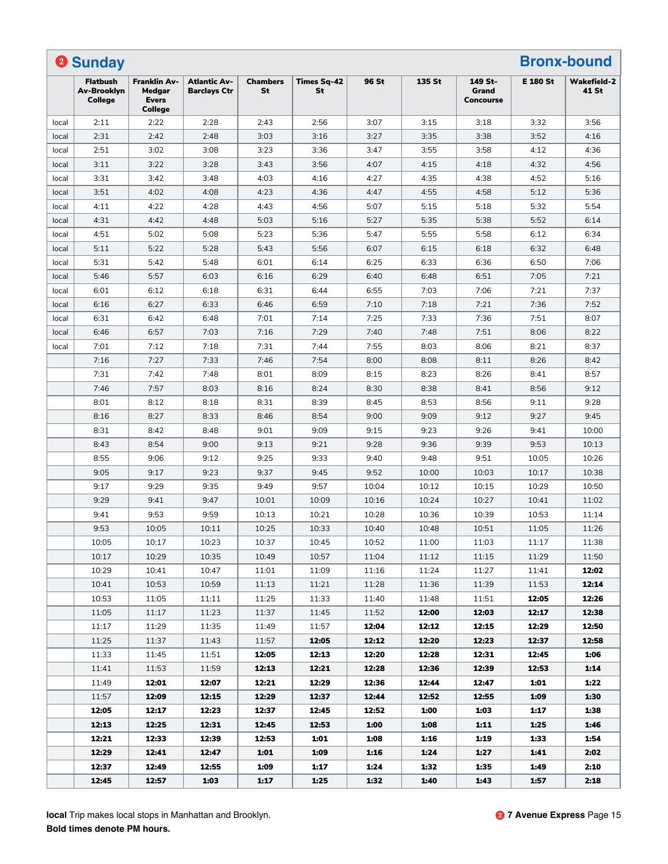|       | <sup>2</sup> Sunday                       |                                                                 |                                     |                       |                          |       |        |                                      |                 | <b>Bronx-bound</b>          |
|-------|-------------------------------------------|-----------------------------------------------------------------|-------------------------------------|-----------------------|--------------------------|-------|--------|--------------------------------------|-----------------|-----------------------------|
|       | <b>Flatbush</b><br>Av-Brooklyn<br>College | <b>Franklin Av-</b><br>Medgar<br><b>Evers</b><br><b>College</b> | Atlantic Av-<br><b>Barclays Ctr</b> | <b>Chambers</b><br>St | <b>Times Sq-42</b><br>St | 96 St | 135 St | 149 St-<br>Grand<br><b>Concourse</b> | <b>E 180 St</b> | <b>Wakefield-2</b><br>41 St |
| local | 2:11                                      | 2:22                                                            | 2:28                                | 2:43                  | 2:56                     | 3:07  | 3:15   | 3:18                                 | 3:32            | 3:56                        |
| local | 2:31                                      | 2:42                                                            | 2:48                                | 3:03                  | 3:16                     | 3:27  | 3:35   | 3:38                                 | 3:52            | 4:16                        |
| local | 2:51                                      | 3:02                                                            | 3:08                                | 3:23                  | 3:36                     | 3:47  | 3:55   | 3:58                                 | 4:12            | 4:36                        |
| local | 3:11                                      | 3:22                                                            | 3:28                                | 3:43                  | 3:56                     | 4:07  | 4:15   | 4:18                                 | 4:32            | 4:56                        |
| local | 3:31                                      | 3:42                                                            | 3:48                                | 4:03                  | 4:16                     | 4:27  | 4:35   | 4:38                                 | 4:52            | 5:16                        |
| local | 3:51                                      | 4:02                                                            | 4:08                                | 4:23                  | 4:36                     | 4:47  | 4:55   | 4:58                                 | 5:12            | 5:36                        |
| local | 4:11                                      | 4:22                                                            | 4:28                                | 4:43                  | 4:56                     | 5:07  | 5:15   | 5:18                                 | 5:32            | 5:54                        |
| local | 4:31                                      | 4:42                                                            | 4:48                                | 5:03                  | 5:16                     | 5:27  | 5:35   | 5:38                                 | 5:52            | 6:14                        |
| local | 4:51                                      | 5:02                                                            | 5:08                                | 5:23                  | 5:36                     | 5:47  | 5:55   | 5:58                                 | 6:12            | 6:34                        |
| local | 5:11                                      | 5:22                                                            | 5:28                                | 5:43                  | 5:56                     | 6:07  | 6:15   | 6:18                                 | 6:32            | 6:48                        |
| local | 5:31                                      | 5:42                                                            | 5:48                                | 6:01                  | 6:14                     | 6:25  | 6:33   | 6:36                                 | 6:50            | 7:06                        |
| local | 5:46                                      | 5:57                                                            | 6:03                                | 6:16                  | 6:29                     | 6:40  | 6:48   | 6:51                                 | 7:05            | 7:21                        |
| local | 6:01                                      | 6:12                                                            | 6:18                                | 6:31                  | 6:44                     | 6:55  | 7:03   | 7:06                                 | 7:21            | 7:37                        |
| local | 6:16                                      | 6:27                                                            | 6:33                                | 6:46                  | 6:59                     | 7:10  | 7:18   | 7:21                                 | 7:36            | 7:52                        |
| local | 6:31                                      | 6:42                                                            | 6:48                                | 7:01                  | 7:14                     | 7:25  | 7:33   | 7:36                                 | 7:51            | 8:07                        |
| local | 6:46                                      | 6:57                                                            | 7:03                                | 7:16                  | 7:29                     | 7:40  | 7:48   | 7:51                                 | 8:06            | 8:22                        |
| local | 7:01                                      | 7:12                                                            | 7:18                                | 7:31                  | 7:44                     | 7:55  | 8:03   | 8:06                                 | 8:21            | 8:37                        |
|       | 7:16                                      | 7:27                                                            | 7:33                                | 7:46                  | 7:54                     | 8:00  | 8:08   | 8:11                                 | 8:26            | 8:42                        |
|       | 7:31                                      | 7:42                                                            | 7:48                                | 8:01                  | 8:09                     | 8:15  | 8:23   | 8:26                                 | 8:41            | 8:57                        |
|       | 7:46                                      | 7:57                                                            | 8:03                                | 8:16                  | 8:24                     | 8:30  | 8:38   | 8:41                                 | 8:56            | 9:12                        |
|       | 8:01                                      | 8:12                                                            | 8:18                                | 8:31                  | 8:39                     | 8:45  | 8:53   | 8:56                                 | 9:11            | 9:28                        |
|       | 8:16                                      | 8:27                                                            | 8:33                                | 8:46                  | 8:54                     | 9:00  | 9:09   | 9:12                                 | 9:27            | 9:45                        |
|       | 8:31                                      | 8:42                                                            | 8:48                                | 9:01                  | 9:09                     | 9:15  | 9:23   | 9:26                                 | 9:41            | 10:00                       |
|       | 8:43                                      | 8:54                                                            | 9:00                                | 9:13                  | 9:21                     | 9:28  | 9:36   | 9:39                                 | 9:53            | 10:13                       |
|       | 8:55                                      | 9:06                                                            | 9:12                                | 9:25                  | 9:33                     | 9:40  | 9:48   | 9:51                                 | 10:05           | 10:26                       |
|       | 9:05                                      | 9:17                                                            | 9:23                                | 9:37                  | 9:45                     | 9:52  | 10:00  | 10:03                                | 10:17           | 10:38                       |
|       | 9:17                                      | 9:29                                                            | 9:35                                | 9:49                  | 9:57                     | 10:04 | 10:12  | 10:15                                | 10:29           | 10:50                       |
|       | 9:29                                      | 9:41                                                            | 9:47                                | 10:01                 | 10:09                    | 10:16 | 10:24  | 10:27                                | 10:41           | 11:02                       |
|       | 9:41                                      | 9:53                                                            | 9:59                                | 10:13                 | 10:21                    | 10:28 | 10:36  | 10:39                                | 10:53           | 11:14                       |
|       | 9:53                                      | 10:05                                                           | 10:11                               | 10:25                 | 10:33                    | 10:40 | 10:48  | 10:51                                | 11:05           | 11:26                       |
|       | 10:05                                     | 10:17                                                           | 10:23                               | 10:37                 | 10:45                    | 10:52 | 11:00  | 11:03                                | 11:17           | 11:38                       |
|       | 10:17                                     | 10:29                                                           | 10:35                               | 10:49                 | 10:57                    | 11:04 | 11:12  | 11:15                                | 11:29           | 11:50                       |
|       | 10:29                                     | 10:41                                                           | 10:47                               | 11:01                 | 11:09                    | 11:16 | 11:24  | 11:27                                | 11:41           | 12:02                       |
|       | 10:41                                     | 10:53                                                           | 10:59                               | 11:13                 | 11:21                    | 11:28 | 11:36  | 11:39                                | 11:53           | 12:14                       |
|       | 10:53                                     | 11:05                                                           | 11:11                               | 11:25                 | 11:33                    | 11:40 | 11:48  | 11:51                                | 12:05           | 12:26                       |
|       | 11:05                                     | 11:17                                                           | 11:23                               | 11:37                 | 11:45                    | 11:52 | 12:00  | 12:03                                | 12:17           | 12:38                       |
|       | 11:17                                     | 11:29                                                           | 11:35                               | 11:49                 | 11:57                    | 12:04 | 12:12  | 12:15                                | 12:29           | 12:50                       |
|       | 11:25                                     | 11:37                                                           | 11:43                               | 11:57                 | 12:05                    | 12:12 | 12:20  | 12:23                                | 12:37           | 12:58                       |
|       | 11:33                                     | 11:45                                                           | 11:51                               | 12:05                 | 12:13                    | 12:20 | 12:28  | 12:31                                | 12:45           | 1:06                        |
|       | 11:41                                     | 11:53                                                           | 11:59                               | 12:13                 | 12:21                    | 12:28 | 12:36  | 12:39                                | 12:53           | 1:14                        |
|       | 11:49                                     | 12:01                                                           | 12:07                               | 12:21                 | 12:29                    | 12:36 | 12:44  | 12:47                                | 1:01            | 1:22                        |
|       | 11:57                                     | 12:09                                                           | 12:15                               | 12:29                 | 12:37                    | 12:44 | 12:52  | 12:55                                | 1:09            | 1:30                        |
|       | 12:05                                     | 12:17                                                           | 12:23                               | 12:37                 | 12:45                    | 12:52 | 1:00   | 1:03                                 | 1:17            | 1:38                        |
|       | 12:13                                     | 12:25                                                           | 12:31                               | 12:45                 | 12:53                    | 1:00  | 1:08   | 1:11                                 | 1:25            | 1:46                        |
|       | 12:21                                     | 12:33                                                           | 12:39                               | 12:53                 | 1:01                     | 1:08  | 1:16   | 1:19                                 | 1:33            | 1:54                        |
|       | 12:29                                     | 12:41                                                           | 12:47                               | 1:01                  | 1:09                     | 1:16  | 1:24   | 1:27                                 | 1:41            | 2:02                        |
|       | 12:37                                     | 12:49                                                           | 12:55                               | 1:09                  | 1:17                     | 1:24  | 1:32   | 1:35                                 | 1:49            | 2:10                        |
|       | 12:45                                     | 12:57                                                           | 1:03                                | 1:17                  | 1:25                     | 1:32  | 1:40   | 1:43                                 | 1:57            | 2:18                        |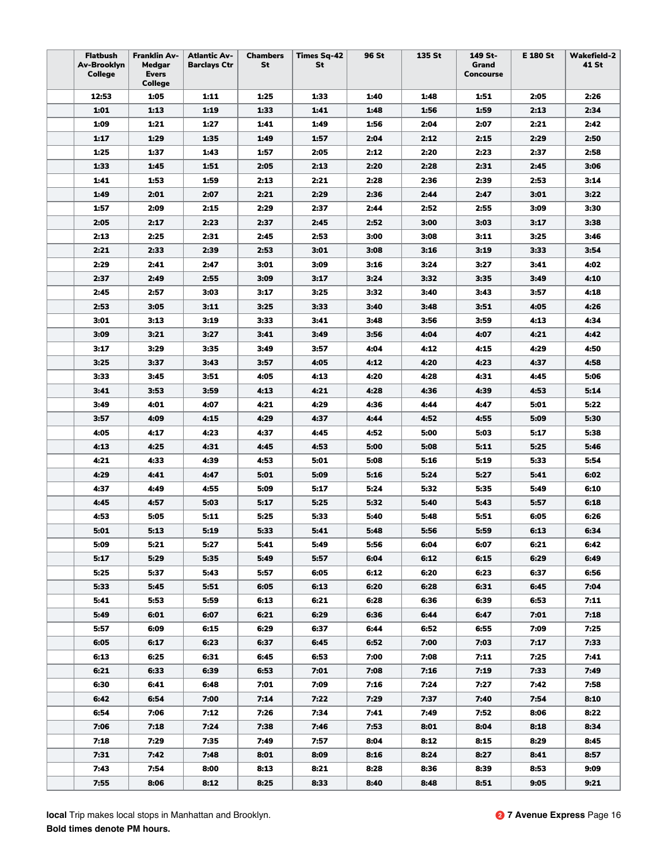| <b>Flatbush</b><br>Av-Brooklyn<br>College | <b>Franklin Av-</b><br>Medgar<br><b>Evers</b><br>College | <b>Atlantic Av-</b><br><b>Barclays Ctr</b> | <b>Chambers</b><br>St | <b>Times Sq-42</b><br>St | 96 St | 135 St | 149 St-<br>Grand<br>Concourse | E 180 St | <b>Wakefield-2</b><br>41 St |
|-------------------------------------------|----------------------------------------------------------|--------------------------------------------|-----------------------|--------------------------|-------|--------|-------------------------------|----------|-----------------------------|
| 12:53                                     | 1:05                                                     | 1:11                                       | 1:25                  | 1:33                     | 1:40  | 1:48   | 1:51                          | 2:05     | 2:26                        |
| 1:01                                      | 1:13                                                     | 1:19                                       | 1:33                  | 1:41                     | 1:48  | 1:56   | 1:59                          | 2:13     | 2:34                        |
| 1:09                                      | 1:21                                                     | 1:27                                       | 1:41                  | 1:49                     | 1:56  | 2:04   | 2:07                          | 2:21     | 2:42                        |
| 1:17                                      | 1:29                                                     | 1:35                                       | 1:49                  | 1:57                     | 2:04  | 2:12   | 2:15                          | 2:29     | 2:50                        |
| 1:25                                      | 1:37                                                     | 1:43                                       | 1:57                  | 2:05                     | 2:12  | 2:20   | 2:23                          | 2:37     | 2:58                        |
| 1:33                                      | 1:45                                                     | 1:51                                       | 2:05                  | 2:13                     | 2:20  | 2:28   | 2:31                          | 2:45     | 3:06                        |
| 1:41                                      | 1:53                                                     | 1:59                                       | 2:13                  | 2:21                     | 2:28  | 2:36   | 2:39                          | 2:53     | 3:14                        |
| 1:49                                      | 2:01                                                     | 2:07                                       | 2:21                  | 2:29                     | 2:36  | 2:44   | 2:47                          | 3:01     | 3:22                        |
| 1:57                                      | 2:09                                                     | 2:15                                       | 2:29                  | 2:37                     | 2:44  | 2:52   | 2:55                          | 3:09     | 3:30                        |
| 2:05                                      | 2:17                                                     | 2:23                                       | 2:37                  | 2:45                     | 2:52  | 3:00   | 3:03                          | 3:17     | 3:38                        |
| 2:13                                      | 2:25                                                     | 2:31                                       | 2:45                  | 2:53                     | 3:00  | 3:08   | 3:11                          | 3:25     | 3:46                        |
| 2:21                                      | 2:33                                                     | 2:39                                       | 2:53                  | 3:01                     | 3:08  | 3:16   | 3:19                          | 3:33     | 3:54                        |
| 2:29                                      | 2:41                                                     | 2:47                                       | 3:01                  | 3:09                     | 3:16  | 3:24   | 3:27                          | 3:41     | 4:02                        |
| 2:37                                      | 2:49                                                     | 2:55                                       | 3:09                  | 3:17                     | 3:24  | 3:32   | 3:35                          | 3:49     | 4:10                        |
| 2:45                                      | 2:57                                                     | 3:03                                       | 3:17                  | 3:25                     | 3:32  | 3:40   | 3:43                          | 3:57     | 4:18                        |
| 2:53                                      | 3:05                                                     | 3:11                                       | 3:25                  | 3:33                     | 3:40  | 3:48   | 3:51                          | 4:05     | 4:26                        |
| 3:01                                      | 3:13                                                     | 3:19                                       | 3:33                  | 3:41                     | 3:48  | 3:56   | 3:59                          | 4:13     | 4:34                        |
| 3:09                                      | 3:21                                                     | 3:27                                       | 3:41                  | 3:49                     | 3:56  | 4:04   | 4:07                          | 4:21     | 4:42                        |
| 3:17                                      | 3:29                                                     | 3:35                                       | 3:49                  | 3:57                     | 4:04  | 4:12   | 4:15                          | 4:29     | 4:50                        |
| 3:25                                      | 3:37                                                     | 3:43                                       | 3:57                  | 4:05                     | 4:12  | 4:20   | 4:23                          | 4:37     | 4:58                        |
| 3:33                                      | 3:45                                                     | 3:51                                       | 4:05                  | 4:13                     | 4:20  | 4:28   | 4:31                          | 4:45     | 5:06                        |
| 3:41                                      | 3:53                                                     | 3:59                                       | 4:13                  | 4:21                     | 4:28  | 4:36   | 4:39                          | 4:53     | 5:14                        |
| 3:49                                      | 4:01                                                     | 4:07                                       | 4:21                  | 4:29                     | 4:36  | 4:44   | 4:47                          | 5:01     | 5:22                        |
| 3:57                                      | 4:09                                                     | 4:15                                       | 4:29                  | 4:37                     | 4:44  | 4:52   | 4:55                          | 5:09     | 5:30                        |
| 4:05                                      | 4:17                                                     | 4:23                                       | 4:37                  | 4:45                     | 4:52  | 5:00   | 5:03                          | 5:17     | 5:38                        |
| 4:13                                      | 4:25                                                     | 4:31                                       | 4:45                  | 4:53                     | 5:00  | 5:08   | 5:11                          | 5:25     | 5:46                        |
| 4:21                                      | 4:33                                                     | 4:39                                       | 4:53                  | 5:01                     | 5:08  | 5:16   | 5:19                          | 5:33     | 5:54                        |
| 4:29                                      | 4:41                                                     | 4:47                                       | 5:01                  | 5:09                     | 5:16  | 5:24   | 5:27                          | 5:41     | 6:02                        |
| 4:37                                      | 4:49                                                     | 4:55                                       | 5:09                  | 5:17                     | 5:24  | 5:32   | 5:35                          | 5:49     | 6:10                        |
| 4:45                                      | 4:57                                                     | 5:03                                       | 5:17                  | 5:25                     | 5:32  | 5:40   | 5:43                          | 5:57     | 6:18                        |
| 4:53                                      | 5:05                                                     | 5:11                                       | 5:25                  | 5:33                     | 5:40  | 5:48   | 5:51                          | 6:05     | 6:26                        |
| 5:01                                      | 5:13                                                     | 5:19                                       | 5:33                  | 5:41                     | 5:48  | 5:56   | 5:59                          | 6:13     | 6:34                        |
| 5:09                                      | 5:21                                                     | 5:27                                       | 5:41                  | 5:49                     | 5:56  | 6:04   | 6:07                          | 6:21     | 6:42                        |
| 5:17                                      | 5:29                                                     | 5:35                                       | 5:49                  | 5:57                     | 6:04  | 6:12   | 6:15                          | 6:29     | 6:49                        |
| 5:25                                      | 5:37                                                     | 5:43                                       | 5:57                  | 6:05                     | 6:12  | 6:20   | 6:23                          | 6:37     | 6:56                        |
| 5:33                                      | 5:45                                                     | 5:51                                       | 6:05                  | 6:13                     | 6:20  | 6:28   | 6:31                          | 6:45     | 7:04                        |
| 5:41                                      | 5:53                                                     | 5:59                                       | 6:13                  | 6:21                     | 6:28  | 6:36   | 6:39                          | 6:53     | 7:11                        |
| 5:49                                      | 6:01                                                     | 6:07                                       | 6:21                  | 6:29                     | 6:36  | 6:44   | 6:47                          | 7:01     | 7:18                        |
| 5:57                                      | 6:09                                                     | 6:15                                       | 6:29                  | 6:37                     | 6:44  | 6:52   | 6:55                          | 7:09     | 7:25                        |
| 6:05                                      | 6:17                                                     | 6:23                                       | 6:37                  | 6:45                     | 6:52  | 7:00   | 7:03                          | 7:17     | 7:33                        |
| 6:13                                      | 6:25                                                     | 6:31                                       | 6:45                  | 6:53                     | 7:00  | 7:08   | 7:11                          | 7:25     | 7:41                        |
| 6:21                                      | 6:33                                                     | 6:39                                       | 6:53                  | 7:01                     | 7:08  | 7:16   | 7:19                          | 7:33     | 7:49                        |
| 6:30                                      | 6:41                                                     | 6:48                                       | 7:01                  | 7:09                     | 7:16  | 7:24   | 7:27                          | 7:42     | 7:58                        |
| 6:42                                      | 6:54                                                     | 7:00                                       | 7:14                  | 7:22                     | 7:29  | 7:37   | 7:40                          | 7:54     | 8:10                        |
| 6:54                                      | 7:06                                                     | 7:12                                       | 7:26                  | 7:34                     | 7:41  | 7:49   | 7:52                          | 8:06     | 8:22                        |
| 7:06                                      | 7:18                                                     | 7:24                                       | 7:38                  | 7:46                     | 7:53  | 8:01   | 8:04                          | 8:18     | 8:34                        |
| 7:18                                      | 7:29                                                     | 7:35                                       | 7:49                  | 7:57                     | 8:04  | 8:12   | 8:15                          | 8:29     | 8:45                        |
| 7:31                                      | 7:42                                                     | 7:48                                       | 8:01                  | 8:09                     | 8:16  | 8:24   | 8:27                          | 8:41     | 8:57                        |
| 7:43                                      | 7:54                                                     | 8:00                                       | 8:13                  | 8:21                     | 8:28  | 8:36   | 8:39                          | 8:53     | 9:09                        |
| 7:55                                      | 8:06                                                     | 8:12                                       | 8:25                  | 8:33                     | 8:40  | 8:48   | 8:51                          | 9:05     | 9:21                        |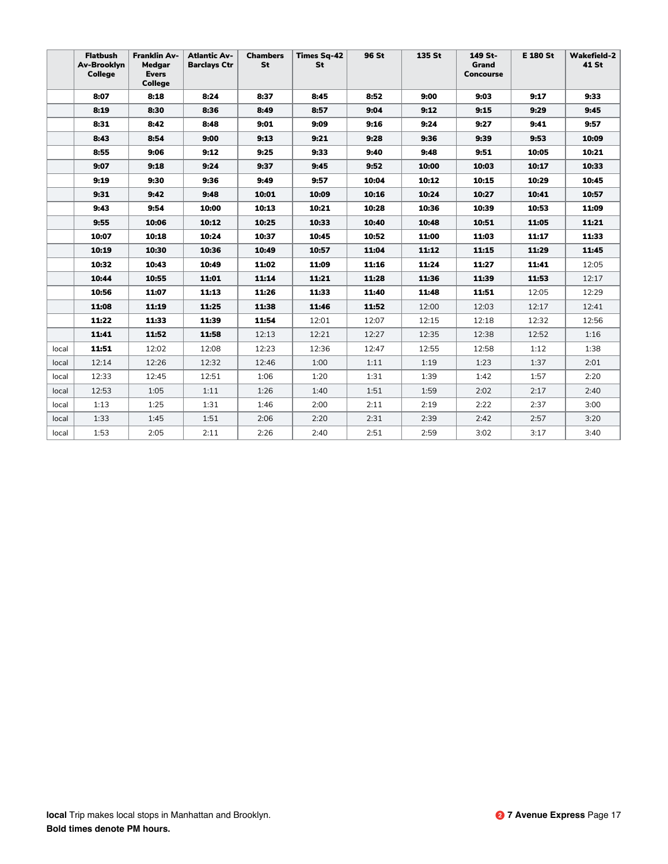|       | <b>Flatbush</b><br>Av-Brooklyn<br>College | <b>Franklin Av-</b><br>Medgar<br><b>Evers</b><br><b>College</b> | <b>Atlantic Av-</b><br><b>Barclays Ctr</b> | <b>Chambers</b><br>St | <b>Times Sq-42</b><br>St | 96 St | 135 St | 149 St-<br>Grand<br><b>Concourse</b> | <b>E 180 St</b> | <b>Wakefield-2</b><br>41 St |
|-------|-------------------------------------------|-----------------------------------------------------------------|--------------------------------------------|-----------------------|--------------------------|-------|--------|--------------------------------------|-----------------|-----------------------------|
|       | 8:07                                      | 8:18                                                            | 8:24                                       | 8:37                  | 8:45                     | 8:52  | 9:00   | 9:03                                 | 9:17            | 9:33                        |
|       | 8:19                                      | 8:30                                                            | 8:36                                       | 8:49                  | 8:57                     | 9:04  | 9:12   | 9:15                                 | 9:29            | 9:45                        |
|       | 8:31                                      | 8:42                                                            | 8:48                                       | 9:01                  | 9:09                     | 9:16  | 9:24   | 9:27                                 | 9:41            | 9:57                        |
|       | 8:43                                      | 8:54                                                            | 9:00                                       | 9:13                  | 9:21                     | 9:28  | 9:36   | 9:39                                 | 9:53            | 10:09                       |
|       | 8:55                                      | 9:06                                                            | 9:12                                       | 9:25                  | 9:33                     | 9:40  | 9:48   | 9:51                                 | 10:05           | 10:21                       |
|       | 9:07                                      | 9:18                                                            | 9:24                                       | 9:37                  | 9:45                     | 9:52  | 10:00  | 10:03                                | 10:17           | 10:33                       |
|       | 9:19                                      | 9:30                                                            | 9:36                                       | 9:49                  | 9:57                     | 10:04 | 10:12  | 10:15                                | 10:29           | 10:45                       |
|       | 9:31                                      | 9:42                                                            | 9:48                                       | 10:01                 | 10:09                    | 10:16 | 10:24  | 10:27                                | 10:41           | 10:57                       |
|       | 9:43                                      | 9:54                                                            | 10:00                                      | 10:13                 | 10:21                    | 10:28 | 10:36  | 10:39                                | 10:53           | 11:09                       |
|       | 9:55                                      | 10:06                                                           | 10:12                                      | 10:25                 | 10:33                    | 10:40 | 10:48  | 10:51                                | 11:05           | 11:21                       |
|       | 10:07                                     | 10:18                                                           | 10:24                                      | 10:37                 | 10:45                    | 10:52 | 11:00  | 11:03                                | 11:17           | 11:33                       |
|       | 10:19                                     | 10:30                                                           | 10:36                                      | 10:49                 | 10:57                    | 11:04 | 11:12  | 11:15                                | 11:29           | 11:45                       |
|       | 10:32                                     | 10:43                                                           | 10:49                                      | 11:02                 | 11:09                    | 11:16 | 11:24  | 11:27                                | 11:41           | 12:05                       |
|       | 10:44                                     | 10:55                                                           | 11:01                                      | 11:14                 | 11:21                    | 11:28 | 11:36  | 11:39                                | 11:53           | 12:17                       |
|       | 10:56                                     | 11:07                                                           | 11:13                                      | 11:26                 | 11:33                    | 11:40 | 11:48  | 11:51                                | 12:05           | 12:29                       |
|       | 11:08                                     | 11:19                                                           | 11:25                                      | 11:38                 | 11:46                    | 11:52 | 12:00  | 12:03                                | 12:17           | 12:41                       |
|       | 11:22                                     | 11:33                                                           | 11:39                                      | 11:54                 | 12:01                    | 12:07 | 12:15  | 12:18                                | 12:32           | 12:56                       |
|       | 11:41                                     | 11:52                                                           | 11:58                                      | 12:13                 | 12:21                    | 12:27 | 12:35  | 12:38                                | 12:52           | 1:16                        |
| local | 11:51                                     | 12:02                                                           | 12:08                                      | 12:23                 | 12:36                    | 12:47 | 12:55  | 12:58                                | 1:12            | 1:38                        |
| local | 12:14                                     | 12:26                                                           | 12:32                                      | 12:46                 | 1:00                     | 1:11  | 1:19   | 1:23                                 | 1:37            | 2:01                        |
| local | 12:33                                     | 12:45                                                           | 12:51                                      | 1:06                  | 1:20                     | 1:31  | 1:39   | 1:42                                 | 1:57            | 2:20                        |
| local | 12:53                                     | 1:05                                                            | 1:11                                       | 1:26                  | 1:40                     | 1:51  | 1:59   | 2:02                                 | 2:17            | 2:40                        |
| local | 1:13                                      | 1:25                                                            | 1:31                                       | 1:46                  | 2:00                     | 2:11  | 2:19   | 2:22                                 | 2:37            | 3:00                        |
| local | 1:33                                      | 1:45                                                            | 1:51                                       | 2:06                  | 2:20                     | 2:31  | 2:39   | 2:42                                 | 2:57            | 3:20                        |
| local | 1:53                                      | 2:05                                                            | 2:11                                       | 2:26                  | 2:40                     | 2:51  | 2:59   | 3:02                                 | 3:17            | 3:40                        |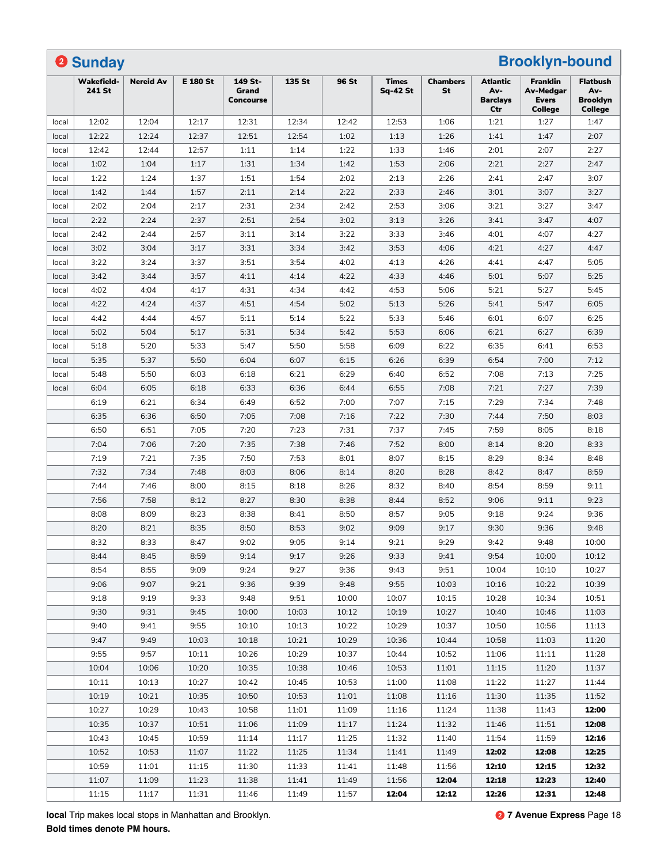|       | <b>2 Sunday</b>             |                  |                 |                               |        |       |                                 |                       |                                           | <b>Brooklyn-bound</b>                                          |                                                      |
|-------|-----------------------------|------------------|-----------------|-------------------------------|--------|-------|---------------------------------|-----------------------|-------------------------------------------|----------------------------------------------------------------|------------------------------------------------------|
|       | <b>Wakefield-</b><br>241 St | <b>Nereid Av</b> | <b>E 180 St</b> | 149 St-<br>Grand<br>Concourse | 135 St | 96 St | <b>Times</b><br><b>Sq-42 St</b> | <b>Chambers</b><br>St | Atlantic<br>Av-<br><b>Barclays</b><br>Ctr | Franklin<br><b>Av-Medgar</b><br><b>Evers</b><br><b>College</b> | <b>Flatbush</b><br>Av-<br><b>Brooklyn</b><br>College |
| local | 12:02                       | 12:04            | 12:17           | 12:31                         | 12:34  | 12:42 | 12:53                           | 1:06                  | 1:21                                      | 1:27                                                           | 1:47                                                 |
| local | 12:22                       | 12:24            | 12:37           | 12:51                         | 12:54  | 1:02  | 1:13                            | 1:26                  | 1:41                                      | 1:47                                                           | 2:07                                                 |
| local | 12:42                       | 12:44            | 12:57           | 1:11                          | 1:14   | 1:22  | 1:33                            | 1:46                  | 2:01                                      | 2:07                                                           | 2:27                                                 |
| local | 1:02                        | 1:04             | 1:17            | 1:31                          | 1:34   | 1:42  | 1:53                            | 2:06                  | 2:21                                      | 2:27                                                           | 2:47                                                 |
| local | 1:22                        | 1:24             | 1:37            | 1:51                          | 1:54   | 2:02  | 2:13                            | 2:26                  | 2:41                                      | 2:47                                                           | 3:07                                                 |
| local | 1:42                        | 1:44             | 1:57            | 2:11                          | 2:14   | 2:22  | 2:33                            | 2:46                  | 3:01                                      | 3:07                                                           | 3:27                                                 |
| local | 2:02                        | 2:04             | 2:17            | 2:31                          | 2:34   | 2:42  | 2:53                            | 3:06                  | 3:21                                      | 3:27                                                           | 3:47                                                 |
| local | 2:22                        | 2:24             | 2:37            | 2:51                          | 2:54   | 3:02  | 3:13                            | 3:26                  | 3:41                                      | 3:47                                                           | 4:07                                                 |
| local | 2:42                        | 2:44             | 2:57            | 3:11                          | 3:14   | 3:22  | 3:33                            | 3:46                  | 4:01                                      | 4:07                                                           | 4:27                                                 |
| local | 3:02                        | 3:04             | 3:17            | 3:31                          | 3:34   | 3:42  | 3:53                            | 4:06                  | 4:21                                      | 4:27                                                           | 4:47                                                 |
| local | 3:22                        | 3:24             | 3:37            | 3:51                          | 3:54   | 4:02  | 4:13                            | 4:26                  | 4:41                                      | 4:47                                                           | 5:05                                                 |
| local | 3:42                        | 3:44             | 3:57            | 4:11                          | 4:14   | 4:22  | 4:33                            | 4:46                  | 5:01                                      | 5:07                                                           | 5:25                                                 |
| local | 4:02                        | 4:04             | 4:17            | 4:31                          | 4:34   | 4:42  | 4:53                            | 5:06                  | 5:21                                      | 5:27                                                           | 5:45                                                 |
| local | 4:22                        | 4:24             | 4:37            | 4:51                          | 4:54   | 5:02  | 5:13                            | 5:26                  | 5:41                                      | 5:47                                                           | 6:05                                                 |
| local | 4:42                        | 4:44             | 4:57            | 5:11                          | 5:14   | 5:22  | 5:33                            | 5:46                  | 6:01                                      | 6:07                                                           | 6:25                                                 |
| local | 5:02                        | 5:04             | 5:17            | 5:31                          | 5:34   | 5:42  | 5:53                            | 6:06                  | 6:21                                      | 6:27                                                           | 6:39                                                 |
| local | 5:18                        | 5:20             | 5:33            | 5:47                          | 5:50   | 5:58  | 6:09                            | 6:22                  | 6:35                                      | 6:41                                                           | 6:53                                                 |
| local | 5:35                        | 5:37             | 5:50            | 6:04                          | 6:07   | 6:15  | 6:26                            | 6:39                  | 6:54                                      | 7:00                                                           | 7:12                                                 |
| local | 5:48                        | 5:50             | 6:03            | 6:18                          | 6:21   | 6:29  | 6:40                            | 6:52                  | 7:08                                      | 7:13                                                           | 7:25                                                 |
| local | 6:04                        | 6:05             | 6:18            | 6:33                          | 6:36   | 6:44  | 6:55                            | 7:08                  | 7:21                                      | 7:27                                                           | 7:39                                                 |
|       | 6:19                        | 6:21             | 6:34            | 6:49                          | 6:52   | 7:00  | 7:07                            | 7:15                  | 7:29                                      | 7:34                                                           | 7:48                                                 |
|       | 6:35                        | 6:36             | 6:50            | 7:05                          | 7:08   | 7:16  | 7:22                            | 7:30                  | 7:44                                      | 7:50                                                           | 8:03                                                 |
|       | 6:50                        | 6:51             | 7:05            | 7:20                          | 7:23   | 7:31  | 7:37                            | 7:45                  | 7:59                                      | 8:05                                                           | 8:18                                                 |
|       | 7:04                        | 7:06             | 7:20            | 7:35                          | 7:38   |       | 7:52                            |                       |                                           | 8:20                                                           | 8:33                                                 |
|       |                             |                  |                 |                               |        | 7:46  |                                 | 8:00                  | 8:14                                      |                                                                |                                                      |
|       | 7:19                        | 7:21             | 7:35            | 7:50                          | 7:53   | 8:01  | 8:07                            | 8:15                  | 8:29                                      | 8:34                                                           | 8:48                                                 |
|       | 7:32                        | 7:34             | 7:48            | 8:03                          | 8:06   | 8:14  | 8:20                            | 8:28                  | 8:42                                      | 8:47                                                           | 8:59                                                 |
|       | 7:44                        | 7:46             | 8:00            | 8:15                          | 8:18   | 8:26  | 8:32                            | 8:40                  | 8:54                                      | 8:59                                                           | 9:11                                                 |
|       | 7:56                        | 7:58             | 8:12            | 8:27                          | 8:30   | 8:38  | 8:44                            | 8:52                  | 9:06                                      | 9:11                                                           | 9:23                                                 |
|       | 8:08                        | 8:09             | 8:23            | 8:38                          | 8:41   | 8:50  | 8:57                            | 9:05                  | 9:18                                      | 9:24                                                           | 9:36                                                 |
|       | 8:20                        | 8:21             | 8:35            | 8:50                          | 8:53   | 9:02  | 9:09                            | 9:17                  | 9:30                                      | 9:36                                                           | 9:48                                                 |
|       | 8:32                        | 8:33             | 8:47            | 9:02                          | 9:05   | 9:14  | 9:21                            | 9:29                  | 9:42                                      | 9:48                                                           | 10:00                                                |
|       | 8:44                        | 8:45             | 8:59            | 9:14                          | 9:17   | 9:26  | 9:33                            | 9:41                  | 9:54                                      | 10:00                                                          | 10:12                                                |
|       | 8:54                        | 8:55             | 9:09            | 9:24                          | 9:27   | 9:36  | 9:43                            | 9:51                  | 10:04                                     | 10:10                                                          | 10:27                                                |
|       | 9:06                        | 9:07             | 9:21            | 9:36                          | 9:39   | 9:48  | 9:55                            | 10:03                 | 10:16                                     | 10:22                                                          | 10:39                                                |
|       | 9:18                        | 9:19             | 9:33            | 9:48                          | 9:51   | 10:00 | 10:07                           | 10:15                 | 10:28                                     | 10:34                                                          | 10:51                                                |
|       | 9:30                        | 9:31             | 9:45            | 10:00                         | 10:03  | 10:12 | 10:19                           | 10:27                 | 10:40                                     | 10:46                                                          | 11:03                                                |
|       | 9:40                        | 9:41             | 9:55            | 10:10                         | 10:13  | 10:22 | 10:29                           | 10:37                 | 10:50                                     | 10:56                                                          | 11:13                                                |
|       | 9:47                        | 9:49             | 10:03           | 10:18                         | 10:21  | 10:29 | 10:36                           | 10:44                 | 10:58                                     | 11:03                                                          | 11:20                                                |
|       | 9:55                        | 9:57             | 10:11           | 10:26                         | 10:29  | 10:37 | 10:44                           | 10:52                 | 11:06                                     | 11:11                                                          | 11:28                                                |
|       | 10:04                       | 10:06            | 10:20           | 10:35                         | 10:38  | 10:46 | 10:53                           | 11:01                 | 11:15                                     | 11:20                                                          | 11:37                                                |
|       | 10:11                       | 10:13            | 10:27           | 10:42                         | 10:45  | 10:53 | 11:00                           | 11:08                 | 11:22                                     | 11:27                                                          | 11:44                                                |
|       | 10:19                       | 10:21            | 10:35           | 10:50                         | 10:53  | 11:01 | 11:08                           | 11:16                 | 11:30                                     | 11:35                                                          | 11:52                                                |
|       | 10:27                       | 10:29            | 10:43           | 10:58                         | 11:01  | 11:09 | 11:16                           | 11:24                 | 11:38                                     | 11:43                                                          | 12:00                                                |
|       | 10:35                       | 10:37            | 10:51           | 11:06                         | 11:09  | 11:17 | 11:24                           | 11:32                 | 11:46                                     | 11:51                                                          | 12:08                                                |
|       | 10:43                       | 10:45            | 10:59           | 11:14                         | 11:17  | 11:25 | 11:32                           | 11:40                 | 11:54                                     | 11:59                                                          | 12:16                                                |
|       | 10:52                       | 10:53            | 11:07           | 11:22                         | 11:25  | 11:34 | 11:41                           | 11:49                 | 12:02                                     | 12:08                                                          | 12:25                                                |
|       | 10:59                       | 11:01            | 11:15           | 11:30                         | 11:33  | 11:41 | 11:48                           | 11:56                 | 12:10                                     | 12:15                                                          | 12:32                                                |
|       | 11:07                       | 11:09            | 11:23           | 11:38                         | 11:41  | 11:49 | 11:56                           | 12:04                 | 12:18                                     | 12:23                                                          | 12:40                                                |
|       | 11:15                       | 11:17            | 11:31           | 11:46                         | 11:49  | 11:57 | 12:04                           | 12:12                 | 12:26                                     | 12:31                                                          | 12:48                                                |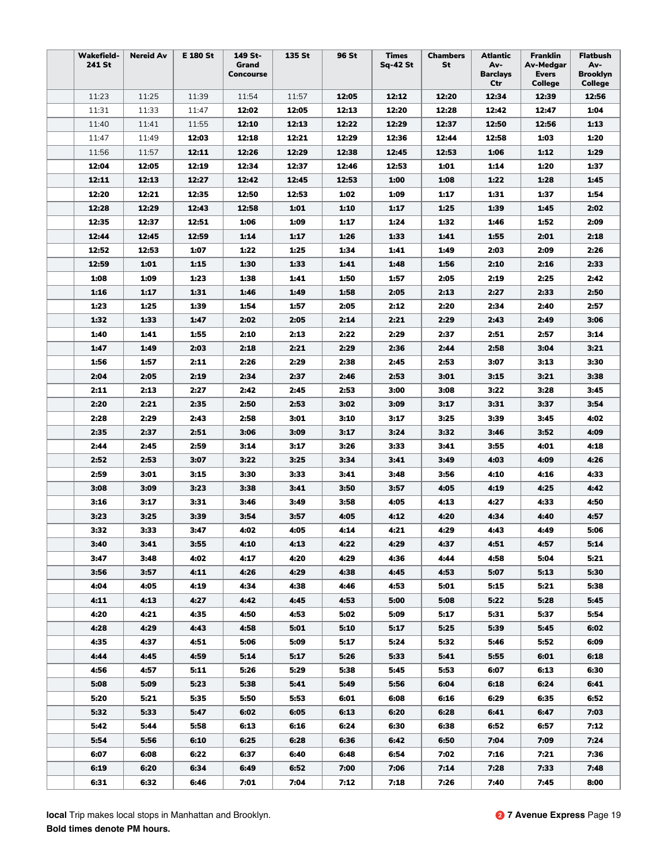| Ctr<br><b>College</b><br>College<br>11:25<br>11:23<br>11:39<br>11:54<br>11:57<br>12:05<br>12:12<br>12:20<br>12:34<br>12:39<br>12:56<br>11:31<br>11:33<br>12:02<br>12:13<br>12:20<br>12:28<br>1:04<br>11:47<br>12:05<br>12:42<br>12:47<br>12:13<br>12:22<br>12:29<br>12:37<br>12:56<br>1:13<br>11:40<br>11:41<br>11:55<br>12:10<br>12:50<br>12:29<br>1:20<br>12:03<br>12:18<br>12:21<br>12:36<br>12:44<br>12:58<br>1:03<br>11:47<br>11:49<br>1:29<br>11:56<br>11:57<br>12:11<br>12:26<br>12:29<br>12:38<br>12:45<br>12:53<br>1:06<br>1:12<br>12:04<br>12:05<br>12:19<br>12:34<br>12:37<br>12:53<br>1:01<br>1:20<br>1:37<br>12:46<br>1:14<br>12:11<br>12:13<br>12:27<br>12:42<br>12:45<br>12:53<br>1:00<br>1:08<br>1:22<br>1:28<br>1:45<br>12:20<br>12:21<br>12:35<br>12:50<br>12:53<br>1:02<br>1:09<br>1:17<br>1:31<br>1:37<br>1:54<br>12:29<br>12:58<br>1:10<br>2:02<br>12:28<br>12:43<br>1:01<br>1:17<br>1:25<br>1:39<br>1:45<br>2:09<br>12:35<br>12:37<br>12:51<br>1:06<br>1:09<br>1:17<br>1:24<br>1:32<br>1:46<br>1:52<br>1:26<br>2:18<br>12:44<br>12:45<br>12:59<br>1:14<br>1:17<br>1:33<br>1:41<br>1:55<br>2:01<br>12:52<br>12:53<br>1:22<br>1:25<br>1:34<br>2:09<br>2:26<br>1:07<br>1:41<br>1:49<br>2:03<br>12:59<br>1:01<br>1:30<br>2:33<br>1:15<br>1:33<br>1:41<br>1:48<br>1:56<br>2:10<br>2:16<br>1:08<br>1:50<br>1:09<br>1:23<br>1:38<br>1:41<br>1:57<br>2:05<br>2:19<br>2:25<br>2:42<br>2:50<br>1:16<br>1:17<br>1:31<br>1:46<br>1:58<br>2:05<br>2:13<br>2:27<br>2:33<br>1:49<br>2:05<br>2:57<br>1:23<br>1:25<br>1:39<br>1:54<br>1:57<br>2:12<br>2:20<br>2:34<br>2:40<br>1:32<br>1:33<br>1:47<br>2:02<br>2:05<br>2:14<br>2:21<br>2:29<br>2:43<br>2:49<br>3:06<br>2:22<br>2:29<br>3:14<br>1:40<br>1:41<br>1:55<br>2:10<br>2:13<br>2:37<br>2:51<br>2:57<br>1:47<br>1:49<br>2:03<br>2:18<br>2:21<br>2:29<br>2:36<br>2:44<br>2:58<br>3:04<br>3:21<br>2:29<br>2:38<br>3:30<br>1:56<br>1:57<br>2:11<br>2:26<br>2:45<br>2:53<br>3:07<br>3:13<br>2:04<br>2:05<br>2:19<br>2:34<br>2:37<br>2:46<br>2:53<br>3:01<br>3:15<br>3:21<br>3:38<br>2:11<br>2:13<br>2:27<br>2:42<br>2:53<br>3:00<br>3:22<br>3:28<br>3:45<br>2:45<br>3:08<br>2:20<br>2:21<br>2:35<br>2:50<br>2:53<br>3:02<br>3:09<br>3:17<br>3:31<br>3:37<br>3:54<br>2:58<br>2:28<br>2:29<br>2:43<br>3:01<br>3:10<br>3:25<br>3:39<br>3:45<br>4:02<br>3:17<br>2:35<br>2:37<br>3:32<br>4:09<br>2:51<br>3:06<br>3:09<br>3:17<br>3:24<br>3:46<br>3:52<br>2:44<br>2:45<br>2:59<br>3:14<br>3:17<br>3:26<br>3:33<br>3:41<br>3:55<br>4:01<br>4:18<br>3:22<br>3:25<br>3:34<br>4:26<br>2:52<br>2:53<br>3:07<br>3:41<br>3:49<br>4:03<br>4:09<br>2:59<br>3:01<br>3:15<br>3:30<br>3:33<br>3:41<br>3:48<br>3:56<br>4:10<br>4:16<br>4:33<br>3:08<br>3:09<br>3:23<br>3:38<br>3:50<br>3:57<br>4:05<br>4:19<br>4:25<br>4:42<br>3:41<br>3:16<br>3:17<br>3:31<br>3:46<br>3:49<br>3:58<br>4:05<br>4:13<br>4:27<br>4:33<br>4:50<br>3:23<br>3:25<br>3:39<br>3:54<br>3:57<br>4:05<br>4:12<br>4:20<br>4:34<br>4:40<br>4:57<br>3:32<br>4:14<br>4:21<br>4:29<br>5:06<br>3:33<br>3:47<br>4:02<br>4:05<br>4:43<br>4:49<br>3:40<br>3:55<br>4:10<br>4:13<br>4:22<br>4:37<br>4:51<br>4:57<br>5:14<br>3:41<br>4:29<br>3:47<br>3:48<br>4:20<br>4:29<br>4:58<br>5:04<br>5:21<br>4:02<br>4:17<br>4:36<br>4:44<br>5:30<br>3:56<br>3:57<br>4:11<br>4:26<br>4:29<br>4:38<br>4:45<br>4:53<br>5:07<br>5:13<br>5:38<br>4:04<br>4:05<br>4:19<br>4:34<br>4:38<br>4:46<br>4:53<br>5:01<br>5:15<br>5:21<br>4:11<br>4:13<br>4:27<br>4:42<br>4:45<br>4:53<br>5:00<br>5:08<br>5:22<br>5:28<br>5:45<br>4:20<br>4:21<br>4:50<br>4:53<br>5:02<br>5:31<br>5:54<br>4:35<br>5:09<br>5:17<br>5:37<br>4:28<br>4:29<br>4:58<br>5:10<br>5:39<br>6:02<br>4:43<br>5:01<br>5:17<br>5:25<br>5:45 | <b>Wakefield-</b><br>241 St | <b>Nereid Av</b> | E 180 St | 149 St-<br>Grand<br>Concourse | 135 St | 96 St | <b>Times</b><br>Sq-42 St | <b>Chambers</b><br>St | Atlantic<br>Av-<br><b>Barclays</b> | Franklin<br>Av-Medgar<br><b>Evers</b> | <b>Flatbush</b><br>Av-<br><b>Brooklyn</b> |
|-----------------------------------------------------------------------------------------------------------------------------------------------------------------------------------------------------------------------------------------------------------------------------------------------------------------------------------------------------------------------------------------------------------------------------------------------------------------------------------------------------------------------------------------------------------------------------------------------------------------------------------------------------------------------------------------------------------------------------------------------------------------------------------------------------------------------------------------------------------------------------------------------------------------------------------------------------------------------------------------------------------------------------------------------------------------------------------------------------------------------------------------------------------------------------------------------------------------------------------------------------------------------------------------------------------------------------------------------------------------------------------------------------------------------------------------------------------------------------------------------------------------------------------------------------------------------------------------------------------------------------------------------------------------------------------------------------------------------------------------------------------------------------------------------------------------------------------------------------------------------------------------------------------------------------------------------------------------------------------------------------------------------------------------------------------------------------------------------------------------------------------------------------------------------------------------------------------------------------------------------------------------------------------------------------------------------------------------------------------------------------------------------------------------------------------------------------------------------------------------------------------------------------------------------------------------------------------------------------------------------------------------------------------------------------------------------------------------------------------------------------------------------------------------------------------------------------------------------------------------------------------------------------------------------------------------------------------------------------------------------------------------------------------------------------------------------------------------------------------------------------------------------------------------------------------------------------------------------------------------------------------------------------------------------------------------------------------------------------------------------------------------------------------------------------------------------------------------------------------------------------------------------------------------------------------------------------------------------------------------------------------------------------------------------------------------|-----------------------------|------------------|----------|-------------------------------|--------|-------|--------------------------|-----------------------|------------------------------------|---------------------------------------|-------------------------------------------|
|                                                                                                                                                                                                                                                                                                                                                                                                                                                                                                                                                                                                                                                                                                                                                                                                                                                                                                                                                                                                                                                                                                                                                                                                                                                                                                                                                                                                                                                                                                                                                                                                                                                                                                                                                                                                                                                                                                                                                                                                                                                                                                                                                                                                                                                                                                                                                                                                                                                                                                                                                                                                                                                                                                                                                                                                                                                                                                                                                                                                                                                                                                                                                                                                                                                                                                                                                                                                                                                                                                                                                                                                                                                                                         |                             |                  |          |                               |        |       |                          |                       |                                    |                                       |                                           |
|                                                                                                                                                                                                                                                                                                                                                                                                                                                                                                                                                                                                                                                                                                                                                                                                                                                                                                                                                                                                                                                                                                                                                                                                                                                                                                                                                                                                                                                                                                                                                                                                                                                                                                                                                                                                                                                                                                                                                                                                                                                                                                                                                                                                                                                                                                                                                                                                                                                                                                                                                                                                                                                                                                                                                                                                                                                                                                                                                                                                                                                                                                                                                                                                                                                                                                                                                                                                                                                                                                                                                                                                                                                                                         |                             |                  |          |                               |        |       |                          |                       |                                    |                                       |                                           |
|                                                                                                                                                                                                                                                                                                                                                                                                                                                                                                                                                                                                                                                                                                                                                                                                                                                                                                                                                                                                                                                                                                                                                                                                                                                                                                                                                                                                                                                                                                                                                                                                                                                                                                                                                                                                                                                                                                                                                                                                                                                                                                                                                                                                                                                                                                                                                                                                                                                                                                                                                                                                                                                                                                                                                                                                                                                                                                                                                                                                                                                                                                                                                                                                                                                                                                                                                                                                                                                                                                                                                                                                                                                                                         |                             |                  |          |                               |        |       |                          |                       |                                    |                                       |                                           |
|                                                                                                                                                                                                                                                                                                                                                                                                                                                                                                                                                                                                                                                                                                                                                                                                                                                                                                                                                                                                                                                                                                                                                                                                                                                                                                                                                                                                                                                                                                                                                                                                                                                                                                                                                                                                                                                                                                                                                                                                                                                                                                                                                                                                                                                                                                                                                                                                                                                                                                                                                                                                                                                                                                                                                                                                                                                                                                                                                                                                                                                                                                                                                                                                                                                                                                                                                                                                                                                                                                                                                                                                                                                                                         |                             |                  |          |                               |        |       |                          |                       |                                    |                                       |                                           |
|                                                                                                                                                                                                                                                                                                                                                                                                                                                                                                                                                                                                                                                                                                                                                                                                                                                                                                                                                                                                                                                                                                                                                                                                                                                                                                                                                                                                                                                                                                                                                                                                                                                                                                                                                                                                                                                                                                                                                                                                                                                                                                                                                                                                                                                                                                                                                                                                                                                                                                                                                                                                                                                                                                                                                                                                                                                                                                                                                                                                                                                                                                                                                                                                                                                                                                                                                                                                                                                                                                                                                                                                                                                                                         |                             |                  |          |                               |        |       |                          |                       |                                    |                                       |                                           |
|                                                                                                                                                                                                                                                                                                                                                                                                                                                                                                                                                                                                                                                                                                                                                                                                                                                                                                                                                                                                                                                                                                                                                                                                                                                                                                                                                                                                                                                                                                                                                                                                                                                                                                                                                                                                                                                                                                                                                                                                                                                                                                                                                                                                                                                                                                                                                                                                                                                                                                                                                                                                                                                                                                                                                                                                                                                                                                                                                                                                                                                                                                                                                                                                                                                                                                                                                                                                                                                                                                                                                                                                                                                                                         |                             |                  |          |                               |        |       |                          |                       |                                    |                                       |                                           |
|                                                                                                                                                                                                                                                                                                                                                                                                                                                                                                                                                                                                                                                                                                                                                                                                                                                                                                                                                                                                                                                                                                                                                                                                                                                                                                                                                                                                                                                                                                                                                                                                                                                                                                                                                                                                                                                                                                                                                                                                                                                                                                                                                                                                                                                                                                                                                                                                                                                                                                                                                                                                                                                                                                                                                                                                                                                                                                                                                                                                                                                                                                                                                                                                                                                                                                                                                                                                                                                                                                                                                                                                                                                                                         |                             |                  |          |                               |        |       |                          |                       |                                    |                                       |                                           |
|                                                                                                                                                                                                                                                                                                                                                                                                                                                                                                                                                                                                                                                                                                                                                                                                                                                                                                                                                                                                                                                                                                                                                                                                                                                                                                                                                                                                                                                                                                                                                                                                                                                                                                                                                                                                                                                                                                                                                                                                                                                                                                                                                                                                                                                                                                                                                                                                                                                                                                                                                                                                                                                                                                                                                                                                                                                                                                                                                                                                                                                                                                                                                                                                                                                                                                                                                                                                                                                                                                                                                                                                                                                                                         |                             |                  |          |                               |        |       |                          |                       |                                    |                                       |                                           |
|                                                                                                                                                                                                                                                                                                                                                                                                                                                                                                                                                                                                                                                                                                                                                                                                                                                                                                                                                                                                                                                                                                                                                                                                                                                                                                                                                                                                                                                                                                                                                                                                                                                                                                                                                                                                                                                                                                                                                                                                                                                                                                                                                                                                                                                                                                                                                                                                                                                                                                                                                                                                                                                                                                                                                                                                                                                                                                                                                                                                                                                                                                                                                                                                                                                                                                                                                                                                                                                                                                                                                                                                                                                                                         |                             |                  |          |                               |        |       |                          |                       |                                    |                                       |                                           |
|                                                                                                                                                                                                                                                                                                                                                                                                                                                                                                                                                                                                                                                                                                                                                                                                                                                                                                                                                                                                                                                                                                                                                                                                                                                                                                                                                                                                                                                                                                                                                                                                                                                                                                                                                                                                                                                                                                                                                                                                                                                                                                                                                                                                                                                                                                                                                                                                                                                                                                                                                                                                                                                                                                                                                                                                                                                                                                                                                                                                                                                                                                                                                                                                                                                                                                                                                                                                                                                                                                                                                                                                                                                                                         |                             |                  |          |                               |        |       |                          |                       |                                    |                                       |                                           |
|                                                                                                                                                                                                                                                                                                                                                                                                                                                                                                                                                                                                                                                                                                                                                                                                                                                                                                                                                                                                                                                                                                                                                                                                                                                                                                                                                                                                                                                                                                                                                                                                                                                                                                                                                                                                                                                                                                                                                                                                                                                                                                                                                                                                                                                                                                                                                                                                                                                                                                                                                                                                                                                                                                                                                                                                                                                                                                                                                                                                                                                                                                                                                                                                                                                                                                                                                                                                                                                                                                                                                                                                                                                                                         |                             |                  |          |                               |        |       |                          |                       |                                    |                                       |                                           |
|                                                                                                                                                                                                                                                                                                                                                                                                                                                                                                                                                                                                                                                                                                                                                                                                                                                                                                                                                                                                                                                                                                                                                                                                                                                                                                                                                                                                                                                                                                                                                                                                                                                                                                                                                                                                                                                                                                                                                                                                                                                                                                                                                                                                                                                                                                                                                                                                                                                                                                                                                                                                                                                                                                                                                                                                                                                                                                                                                                                                                                                                                                                                                                                                                                                                                                                                                                                                                                                                                                                                                                                                                                                                                         |                             |                  |          |                               |        |       |                          |                       |                                    |                                       |                                           |
|                                                                                                                                                                                                                                                                                                                                                                                                                                                                                                                                                                                                                                                                                                                                                                                                                                                                                                                                                                                                                                                                                                                                                                                                                                                                                                                                                                                                                                                                                                                                                                                                                                                                                                                                                                                                                                                                                                                                                                                                                                                                                                                                                                                                                                                                                                                                                                                                                                                                                                                                                                                                                                                                                                                                                                                                                                                                                                                                                                                                                                                                                                                                                                                                                                                                                                                                                                                                                                                                                                                                                                                                                                                                                         |                             |                  |          |                               |        |       |                          |                       |                                    |                                       |                                           |
|                                                                                                                                                                                                                                                                                                                                                                                                                                                                                                                                                                                                                                                                                                                                                                                                                                                                                                                                                                                                                                                                                                                                                                                                                                                                                                                                                                                                                                                                                                                                                                                                                                                                                                                                                                                                                                                                                                                                                                                                                                                                                                                                                                                                                                                                                                                                                                                                                                                                                                                                                                                                                                                                                                                                                                                                                                                                                                                                                                                                                                                                                                                                                                                                                                                                                                                                                                                                                                                                                                                                                                                                                                                                                         |                             |                  |          |                               |        |       |                          |                       |                                    |                                       |                                           |
|                                                                                                                                                                                                                                                                                                                                                                                                                                                                                                                                                                                                                                                                                                                                                                                                                                                                                                                                                                                                                                                                                                                                                                                                                                                                                                                                                                                                                                                                                                                                                                                                                                                                                                                                                                                                                                                                                                                                                                                                                                                                                                                                                                                                                                                                                                                                                                                                                                                                                                                                                                                                                                                                                                                                                                                                                                                                                                                                                                                                                                                                                                                                                                                                                                                                                                                                                                                                                                                                                                                                                                                                                                                                                         |                             |                  |          |                               |        |       |                          |                       |                                    |                                       |                                           |
|                                                                                                                                                                                                                                                                                                                                                                                                                                                                                                                                                                                                                                                                                                                                                                                                                                                                                                                                                                                                                                                                                                                                                                                                                                                                                                                                                                                                                                                                                                                                                                                                                                                                                                                                                                                                                                                                                                                                                                                                                                                                                                                                                                                                                                                                                                                                                                                                                                                                                                                                                                                                                                                                                                                                                                                                                                                                                                                                                                                                                                                                                                                                                                                                                                                                                                                                                                                                                                                                                                                                                                                                                                                                                         |                             |                  |          |                               |        |       |                          |                       |                                    |                                       |                                           |
|                                                                                                                                                                                                                                                                                                                                                                                                                                                                                                                                                                                                                                                                                                                                                                                                                                                                                                                                                                                                                                                                                                                                                                                                                                                                                                                                                                                                                                                                                                                                                                                                                                                                                                                                                                                                                                                                                                                                                                                                                                                                                                                                                                                                                                                                                                                                                                                                                                                                                                                                                                                                                                                                                                                                                                                                                                                                                                                                                                                                                                                                                                                                                                                                                                                                                                                                                                                                                                                                                                                                                                                                                                                                                         |                             |                  |          |                               |        |       |                          |                       |                                    |                                       |                                           |
|                                                                                                                                                                                                                                                                                                                                                                                                                                                                                                                                                                                                                                                                                                                                                                                                                                                                                                                                                                                                                                                                                                                                                                                                                                                                                                                                                                                                                                                                                                                                                                                                                                                                                                                                                                                                                                                                                                                                                                                                                                                                                                                                                                                                                                                                                                                                                                                                                                                                                                                                                                                                                                                                                                                                                                                                                                                                                                                                                                                                                                                                                                                                                                                                                                                                                                                                                                                                                                                                                                                                                                                                                                                                                         |                             |                  |          |                               |        |       |                          |                       |                                    |                                       |                                           |
|                                                                                                                                                                                                                                                                                                                                                                                                                                                                                                                                                                                                                                                                                                                                                                                                                                                                                                                                                                                                                                                                                                                                                                                                                                                                                                                                                                                                                                                                                                                                                                                                                                                                                                                                                                                                                                                                                                                                                                                                                                                                                                                                                                                                                                                                                                                                                                                                                                                                                                                                                                                                                                                                                                                                                                                                                                                                                                                                                                                                                                                                                                                                                                                                                                                                                                                                                                                                                                                                                                                                                                                                                                                                                         |                             |                  |          |                               |        |       |                          |                       |                                    |                                       |                                           |
|                                                                                                                                                                                                                                                                                                                                                                                                                                                                                                                                                                                                                                                                                                                                                                                                                                                                                                                                                                                                                                                                                                                                                                                                                                                                                                                                                                                                                                                                                                                                                                                                                                                                                                                                                                                                                                                                                                                                                                                                                                                                                                                                                                                                                                                                                                                                                                                                                                                                                                                                                                                                                                                                                                                                                                                                                                                                                                                                                                                                                                                                                                                                                                                                                                                                                                                                                                                                                                                                                                                                                                                                                                                                                         |                             |                  |          |                               |        |       |                          |                       |                                    |                                       |                                           |
|                                                                                                                                                                                                                                                                                                                                                                                                                                                                                                                                                                                                                                                                                                                                                                                                                                                                                                                                                                                                                                                                                                                                                                                                                                                                                                                                                                                                                                                                                                                                                                                                                                                                                                                                                                                                                                                                                                                                                                                                                                                                                                                                                                                                                                                                                                                                                                                                                                                                                                                                                                                                                                                                                                                                                                                                                                                                                                                                                                                                                                                                                                                                                                                                                                                                                                                                                                                                                                                                                                                                                                                                                                                                                         |                             |                  |          |                               |        |       |                          |                       |                                    |                                       |                                           |
|                                                                                                                                                                                                                                                                                                                                                                                                                                                                                                                                                                                                                                                                                                                                                                                                                                                                                                                                                                                                                                                                                                                                                                                                                                                                                                                                                                                                                                                                                                                                                                                                                                                                                                                                                                                                                                                                                                                                                                                                                                                                                                                                                                                                                                                                                                                                                                                                                                                                                                                                                                                                                                                                                                                                                                                                                                                                                                                                                                                                                                                                                                                                                                                                                                                                                                                                                                                                                                                                                                                                                                                                                                                                                         |                             |                  |          |                               |        |       |                          |                       |                                    |                                       |                                           |
|                                                                                                                                                                                                                                                                                                                                                                                                                                                                                                                                                                                                                                                                                                                                                                                                                                                                                                                                                                                                                                                                                                                                                                                                                                                                                                                                                                                                                                                                                                                                                                                                                                                                                                                                                                                                                                                                                                                                                                                                                                                                                                                                                                                                                                                                                                                                                                                                                                                                                                                                                                                                                                                                                                                                                                                                                                                                                                                                                                                                                                                                                                                                                                                                                                                                                                                                                                                                                                                                                                                                                                                                                                                                                         |                             |                  |          |                               |        |       |                          |                       |                                    |                                       |                                           |
|                                                                                                                                                                                                                                                                                                                                                                                                                                                                                                                                                                                                                                                                                                                                                                                                                                                                                                                                                                                                                                                                                                                                                                                                                                                                                                                                                                                                                                                                                                                                                                                                                                                                                                                                                                                                                                                                                                                                                                                                                                                                                                                                                                                                                                                                                                                                                                                                                                                                                                                                                                                                                                                                                                                                                                                                                                                                                                                                                                                                                                                                                                                                                                                                                                                                                                                                                                                                                                                                                                                                                                                                                                                                                         |                             |                  |          |                               |        |       |                          |                       |                                    |                                       |                                           |
|                                                                                                                                                                                                                                                                                                                                                                                                                                                                                                                                                                                                                                                                                                                                                                                                                                                                                                                                                                                                                                                                                                                                                                                                                                                                                                                                                                                                                                                                                                                                                                                                                                                                                                                                                                                                                                                                                                                                                                                                                                                                                                                                                                                                                                                                                                                                                                                                                                                                                                                                                                                                                                                                                                                                                                                                                                                                                                                                                                                                                                                                                                                                                                                                                                                                                                                                                                                                                                                                                                                                                                                                                                                                                         |                             |                  |          |                               |        |       |                          |                       |                                    |                                       |                                           |
|                                                                                                                                                                                                                                                                                                                                                                                                                                                                                                                                                                                                                                                                                                                                                                                                                                                                                                                                                                                                                                                                                                                                                                                                                                                                                                                                                                                                                                                                                                                                                                                                                                                                                                                                                                                                                                                                                                                                                                                                                                                                                                                                                                                                                                                                                                                                                                                                                                                                                                                                                                                                                                                                                                                                                                                                                                                                                                                                                                                                                                                                                                                                                                                                                                                                                                                                                                                                                                                                                                                                                                                                                                                                                         |                             |                  |          |                               |        |       |                          |                       |                                    |                                       |                                           |
|                                                                                                                                                                                                                                                                                                                                                                                                                                                                                                                                                                                                                                                                                                                                                                                                                                                                                                                                                                                                                                                                                                                                                                                                                                                                                                                                                                                                                                                                                                                                                                                                                                                                                                                                                                                                                                                                                                                                                                                                                                                                                                                                                                                                                                                                                                                                                                                                                                                                                                                                                                                                                                                                                                                                                                                                                                                                                                                                                                                                                                                                                                                                                                                                                                                                                                                                                                                                                                                                                                                                                                                                                                                                                         |                             |                  |          |                               |        |       |                          |                       |                                    |                                       |                                           |
|                                                                                                                                                                                                                                                                                                                                                                                                                                                                                                                                                                                                                                                                                                                                                                                                                                                                                                                                                                                                                                                                                                                                                                                                                                                                                                                                                                                                                                                                                                                                                                                                                                                                                                                                                                                                                                                                                                                                                                                                                                                                                                                                                                                                                                                                                                                                                                                                                                                                                                                                                                                                                                                                                                                                                                                                                                                                                                                                                                                                                                                                                                                                                                                                                                                                                                                                                                                                                                                                                                                                                                                                                                                                                         |                             |                  |          |                               |        |       |                          |                       |                                    |                                       |                                           |
|                                                                                                                                                                                                                                                                                                                                                                                                                                                                                                                                                                                                                                                                                                                                                                                                                                                                                                                                                                                                                                                                                                                                                                                                                                                                                                                                                                                                                                                                                                                                                                                                                                                                                                                                                                                                                                                                                                                                                                                                                                                                                                                                                                                                                                                                                                                                                                                                                                                                                                                                                                                                                                                                                                                                                                                                                                                                                                                                                                                                                                                                                                                                                                                                                                                                                                                                                                                                                                                                                                                                                                                                                                                                                         |                             |                  |          |                               |        |       |                          |                       |                                    |                                       |                                           |
|                                                                                                                                                                                                                                                                                                                                                                                                                                                                                                                                                                                                                                                                                                                                                                                                                                                                                                                                                                                                                                                                                                                                                                                                                                                                                                                                                                                                                                                                                                                                                                                                                                                                                                                                                                                                                                                                                                                                                                                                                                                                                                                                                                                                                                                                                                                                                                                                                                                                                                                                                                                                                                                                                                                                                                                                                                                                                                                                                                                                                                                                                                                                                                                                                                                                                                                                                                                                                                                                                                                                                                                                                                                                                         |                             |                  |          |                               |        |       |                          |                       |                                    |                                       |                                           |
|                                                                                                                                                                                                                                                                                                                                                                                                                                                                                                                                                                                                                                                                                                                                                                                                                                                                                                                                                                                                                                                                                                                                                                                                                                                                                                                                                                                                                                                                                                                                                                                                                                                                                                                                                                                                                                                                                                                                                                                                                                                                                                                                                                                                                                                                                                                                                                                                                                                                                                                                                                                                                                                                                                                                                                                                                                                                                                                                                                                                                                                                                                                                                                                                                                                                                                                                                                                                                                                                                                                                                                                                                                                                                         |                             |                  |          |                               |        |       |                          |                       |                                    |                                       |                                           |
|                                                                                                                                                                                                                                                                                                                                                                                                                                                                                                                                                                                                                                                                                                                                                                                                                                                                                                                                                                                                                                                                                                                                                                                                                                                                                                                                                                                                                                                                                                                                                                                                                                                                                                                                                                                                                                                                                                                                                                                                                                                                                                                                                                                                                                                                                                                                                                                                                                                                                                                                                                                                                                                                                                                                                                                                                                                                                                                                                                                                                                                                                                                                                                                                                                                                                                                                                                                                                                                                                                                                                                                                                                                                                         |                             |                  |          |                               |        |       |                          |                       |                                    |                                       |                                           |
|                                                                                                                                                                                                                                                                                                                                                                                                                                                                                                                                                                                                                                                                                                                                                                                                                                                                                                                                                                                                                                                                                                                                                                                                                                                                                                                                                                                                                                                                                                                                                                                                                                                                                                                                                                                                                                                                                                                                                                                                                                                                                                                                                                                                                                                                                                                                                                                                                                                                                                                                                                                                                                                                                                                                                                                                                                                                                                                                                                                                                                                                                                                                                                                                                                                                                                                                                                                                                                                                                                                                                                                                                                                                                         |                             |                  |          |                               |        |       |                          |                       |                                    |                                       |                                           |
|                                                                                                                                                                                                                                                                                                                                                                                                                                                                                                                                                                                                                                                                                                                                                                                                                                                                                                                                                                                                                                                                                                                                                                                                                                                                                                                                                                                                                                                                                                                                                                                                                                                                                                                                                                                                                                                                                                                                                                                                                                                                                                                                                                                                                                                                                                                                                                                                                                                                                                                                                                                                                                                                                                                                                                                                                                                                                                                                                                                                                                                                                                                                                                                                                                                                                                                                                                                                                                                                                                                                                                                                                                                                                         |                             |                  |          |                               |        |       |                          |                       |                                    |                                       |                                           |
|                                                                                                                                                                                                                                                                                                                                                                                                                                                                                                                                                                                                                                                                                                                                                                                                                                                                                                                                                                                                                                                                                                                                                                                                                                                                                                                                                                                                                                                                                                                                                                                                                                                                                                                                                                                                                                                                                                                                                                                                                                                                                                                                                                                                                                                                                                                                                                                                                                                                                                                                                                                                                                                                                                                                                                                                                                                                                                                                                                                                                                                                                                                                                                                                                                                                                                                                                                                                                                                                                                                                                                                                                                                                                         |                             |                  |          |                               |        |       |                          |                       |                                    |                                       |                                           |
|                                                                                                                                                                                                                                                                                                                                                                                                                                                                                                                                                                                                                                                                                                                                                                                                                                                                                                                                                                                                                                                                                                                                                                                                                                                                                                                                                                                                                                                                                                                                                                                                                                                                                                                                                                                                                                                                                                                                                                                                                                                                                                                                                                                                                                                                                                                                                                                                                                                                                                                                                                                                                                                                                                                                                                                                                                                                                                                                                                                                                                                                                                                                                                                                                                                                                                                                                                                                                                                                                                                                                                                                                                                                                         |                             |                  |          |                               |        |       |                          |                       |                                    |                                       |                                           |
|                                                                                                                                                                                                                                                                                                                                                                                                                                                                                                                                                                                                                                                                                                                                                                                                                                                                                                                                                                                                                                                                                                                                                                                                                                                                                                                                                                                                                                                                                                                                                                                                                                                                                                                                                                                                                                                                                                                                                                                                                                                                                                                                                                                                                                                                                                                                                                                                                                                                                                                                                                                                                                                                                                                                                                                                                                                                                                                                                                                                                                                                                                                                                                                                                                                                                                                                                                                                                                                                                                                                                                                                                                                                                         |                             |                  |          |                               |        |       |                          |                       |                                    |                                       |                                           |
|                                                                                                                                                                                                                                                                                                                                                                                                                                                                                                                                                                                                                                                                                                                                                                                                                                                                                                                                                                                                                                                                                                                                                                                                                                                                                                                                                                                                                                                                                                                                                                                                                                                                                                                                                                                                                                                                                                                                                                                                                                                                                                                                                                                                                                                                                                                                                                                                                                                                                                                                                                                                                                                                                                                                                                                                                                                                                                                                                                                                                                                                                                                                                                                                                                                                                                                                                                                                                                                                                                                                                                                                                                                                                         |                             |                  |          |                               |        |       |                          |                       |                                    |                                       |                                           |
|                                                                                                                                                                                                                                                                                                                                                                                                                                                                                                                                                                                                                                                                                                                                                                                                                                                                                                                                                                                                                                                                                                                                                                                                                                                                                                                                                                                                                                                                                                                                                                                                                                                                                                                                                                                                                                                                                                                                                                                                                                                                                                                                                                                                                                                                                                                                                                                                                                                                                                                                                                                                                                                                                                                                                                                                                                                                                                                                                                                                                                                                                                                                                                                                                                                                                                                                                                                                                                                                                                                                                                                                                                                                                         |                             |                  |          |                               |        |       |                          |                       |                                    |                                       |                                           |
|                                                                                                                                                                                                                                                                                                                                                                                                                                                                                                                                                                                                                                                                                                                                                                                                                                                                                                                                                                                                                                                                                                                                                                                                                                                                                                                                                                                                                                                                                                                                                                                                                                                                                                                                                                                                                                                                                                                                                                                                                                                                                                                                                                                                                                                                                                                                                                                                                                                                                                                                                                                                                                                                                                                                                                                                                                                                                                                                                                                                                                                                                                                                                                                                                                                                                                                                                                                                                                                                                                                                                                                                                                                                                         |                             |                  |          |                               |        |       |                          |                       |                                    |                                       |                                           |
|                                                                                                                                                                                                                                                                                                                                                                                                                                                                                                                                                                                                                                                                                                                                                                                                                                                                                                                                                                                                                                                                                                                                                                                                                                                                                                                                                                                                                                                                                                                                                                                                                                                                                                                                                                                                                                                                                                                                                                                                                                                                                                                                                                                                                                                                                                                                                                                                                                                                                                                                                                                                                                                                                                                                                                                                                                                                                                                                                                                                                                                                                                                                                                                                                                                                                                                                                                                                                                                                                                                                                                                                                                                                                         | 4:35                        | 4:37             | 4:51     | 5:06                          | 5:09   | 5:17  | 5:24                     | 5:32                  | 5:46                               | 5:52                                  | 6:09                                      |
| 4:44<br>4:45<br>4:59<br>5:14<br>5:17<br>5:26<br>5:33<br>5:41<br>5:55<br>6:01<br>6:18                                                                                                                                                                                                                                                                                                                                                                                                                                                                                                                                                                                                                                                                                                                                                                                                                                                                                                                                                                                                                                                                                                                                                                                                                                                                                                                                                                                                                                                                                                                                                                                                                                                                                                                                                                                                                                                                                                                                                                                                                                                                                                                                                                                                                                                                                                                                                                                                                                                                                                                                                                                                                                                                                                                                                                                                                                                                                                                                                                                                                                                                                                                                                                                                                                                                                                                                                                                                                                                                                                                                                                                                    |                             |                  |          |                               |        |       |                          |                       |                                    |                                       |                                           |
| 4:56<br>4:57<br>5:26<br>5:29<br>5:38<br>5:53<br>6:13<br>6:30<br>5:11<br>5:45<br>6:07                                                                                                                                                                                                                                                                                                                                                                                                                                                                                                                                                                                                                                                                                                                                                                                                                                                                                                                                                                                                                                                                                                                                                                                                                                                                                                                                                                                                                                                                                                                                                                                                                                                                                                                                                                                                                                                                                                                                                                                                                                                                                                                                                                                                                                                                                                                                                                                                                                                                                                                                                                                                                                                                                                                                                                                                                                                                                                                                                                                                                                                                                                                                                                                                                                                                                                                                                                                                                                                                                                                                                                                                    |                             |                  |          |                               |        |       |                          |                       |                                    |                                       |                                           |
| 5:08<br>5:09<br>5:23<br>5:38<br>5:41<br>5:49<br>5:56<br>6:18<br>6:41<br>6:04<br>6:24                                                                                                                                                                                                                                                                                                                                                                                                                                                                                                                                                                                                                                                                                                                                                                                                                                                                                                                                                                                                                                                                                                                                                                                                                                                                                                                                                                                                                                                                                                                                                                                                                                                                                                                                                                                                                                                                                                                                                                                                                                                                                                                                                                                                                                                                                                                                                                                                                                                                                                                                                                                                                                                                                                                                                                                                                                                                                                                                                                                                                                                                                                                                                                                                                                                                                                                                                                                                                                                                                                                                                                                                    |                             |                  |          |                               |        |       |                          |                       |                                    |                                       |                                           |
| 5:20<br>5:21<br>5:35<br>5:50<br>5:53<br>6:01<br>6:08<br>6:16<br>6:29<br>6:35<br>6:52                                                                                                                                                                                                                                                                                                                                                                                                                                                                                                                                                                                                                                                                                                                                                                                                                                                                                                                                                                                                                                                                                                                                                                                                                                                                                                                                                                                                                                                                                                                                                                                                                                                                                                                                                                                                                                                                                                                                                                                                                                                                                                                                                                                                                                                                                                                                                                                                                                                                                                                                                                                                                                                                                                                                                                                                                                                                                                                                                                                                                                                                                                                                                                                                                                                                                                                                                                                                                                                                                                                                                                                                    |                             |                  |          |                               |        |       |                          |                       |                                    |                                       |                                           |
| 5:33<br>7:03<br>5:32<br>5:47<br>6:02<br>6:05<br>6:13<br>6:20<br>6:28<br>6:41<br>6:47                                                                                                                                                                                                                                                                                                                                                                                                                                                                                                                                                                                                                                                                                                                                                                                                                                                                                                                                                                                                                                                                                                                                                                                                                                                                                                                                                                                                                                                                                                                                                                                                                                                                                                                                                                                                                                                                                                                                                                                                                                                                                                                                                                                                                                                                                                                                                                                                                                                                                                                                                                                                                                                                                                                                                                                                                                                                                                                                                                                                                                                                                                                                                                                                                                                                                                                                                                                                                                                                                                                                                                                                    |                             |                  |          |                               |        |       |                          |                       |                                    |                                       |                                           |
| 5:42<br>5:44<br>5:58<br>6:13<br>6:16<br>6:24<br>6:30<br>6:38<br>6:52<br>6:57<br>7:12                                                                                                                                                                                                                                                                                                                                                                                                                                                                                                                                                                                                                                                                                                                                                                                                                                                                                                                                                                                                                                                                                                                                                                                                                                                                                                                                                                                                                                                                                                                                                                                                                                                                                                                                                                                                                                                                                                                                                                                                                                                                                                                                                                                                                                                                                                                                                                                                                                                                                                                                                                                                                                                                                                                                                                                                                                                                                                                                                                                                                                                                                                                                                                                                                                                                                                                                                                                                                                                                                                                                                                                                    |                             |                  |          |                               |        |       |                          |                       |                                    |                                       |                                           |
| 7:24<br>5:54<br>5:56<br>6:25<br>6:28<br>6:36<br>6:50<br>7:04<br>7:09<br>6:10<br>6:42                                                                                                                                                                                                                                                                                                                                                                                                                                                                                                                                                                                                                                                                                                                                                                                                                                                                                                                                                                                                                                                                                                                                                                                                                                                                                                                                                                                                                                                                                                                                                                                                                                                                                                                                                                                                                                                                                                                                                                                                                                                                                                                                                                                                                                                                                                                                                                                                                                                                                                                                                                                                                                                                                                                                                                                                                                                                                                                                                                                                                                                                                                                                                                                                                                                                                                                                                                                                                                                                                                                                                                                                    |                             |                  |          |                               |        |       |                          |                       |                                    |                                       |                                           |
| 6:07<br>6:08<br>6:22<br>6:37<br>6:40<br>6:48<br>6:54<br>7:02<br>7:16<br>7:21<br>7:36                                                                                                                                                                                                                                                                                                                                                                                                                                                                                                                                                                                                                                                                                                                                                                                                                                                                                                                                                                                                                                                                                                                                                                                                                                                                                                                                                                                                                                                                                                                                                                                                                                                                                                                                                                                                                                                                                                                                                                                                                                                                                                                                                                                                                                                                                                                                                                                                                                                                                                                                                                                                                                                                                                                                                                                                                                                                                                                                                                                                                                                                                                                                                                                                                                                                                                                                                                                                                                                                                                                                                                                                    |                             |                  |          |                               |        |       |                          |                       |                                    |                                       |                                           |
| 6:20<br>7:00<br>7:33<br>7:48<br>6:19<br>6:34<br>6:49<br>6:52<br>7:06<br>7:14<br>7:28                                                                                                                                                                                                                                                                                                                                                                                                                                                                                                                                                                                                                                                                                                                                                                                                                                                                                                                                                                                                                                                                                                                                                                                                                                                                                                                                                                                                                                                                                                                                                                                                                                                                                                                                                                                                                                                                                                                                                                                                                                                                                                                                                                                                                                                                                                                                                                                                                                                                                                                                                                                                                                                                                                                                                                                                                                                                                                                                                                                                                                                                                                                                                                                                                                                                                                                                                                                                                                                                                                                                                                                                    |                             |                  |          |                               |        |       |                          |                       |                                    |                                       |                                           |
| 6:31<br>6:32<br>6:46<br>7:01<br>7:04<br>7:12<br>7:18<br>7:26<br>7:40<br>7:45<br>8:00                                                                                                                                                                                                                                                                                                                                                                                                                                                                                                                                                                                                                                                                                                                                                                                                                                                                                                                                                                                                                                                                                                                                                                                                                                                                                                                                                                                                                                                                                                                                                                                                                                                                                                                                                                                                                                                                                                                                                                                                                                                                                                                                                                                                                                                                                                                                                                                                                                                                                                                                                                                                                                                                                                                                                                                                                                                                                                                                                                                                                                                                                                                                                                                                                                                                                                                                                                                                                                                                                                                                                                                                    |                             |                  |          |                               |        |       |                          |                       |                                    |                                       |                                           |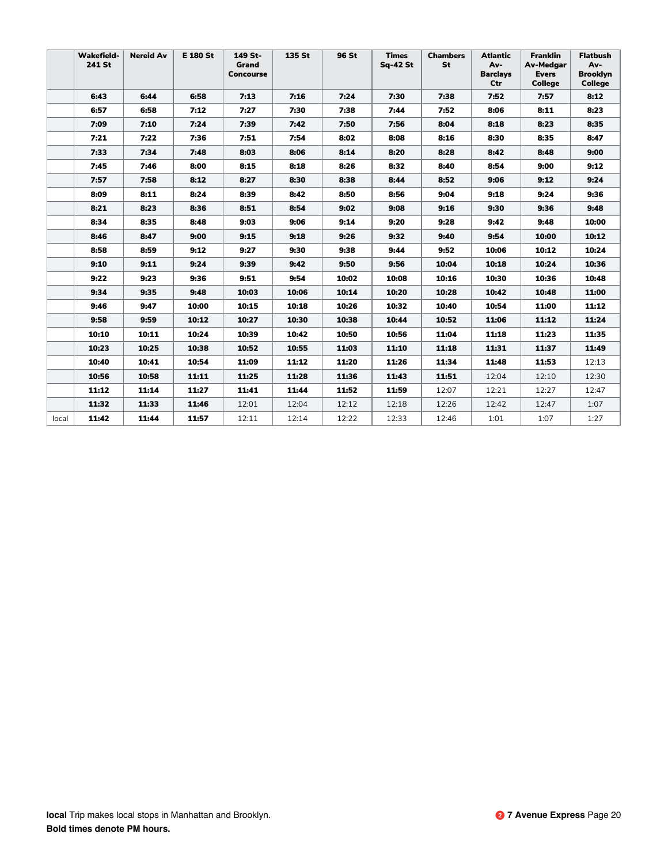|       | <b>Wakefield-</b><br>241 St | <b>Nereid Av</b> | <b>E 180 St</b> | 149 St-<br>Grand<br><b>Concourse</b> | 135 St | 96 St | <b>Times</b><br><b>Sq-42 St</b> | <b>Chambers</b><br>St | Atlantic<br>Av-<br><b>Barclays</b><br>Ctr | <b>Franklin</b><br><b>Av-Medgar</b><br><b>Evers</b><br><b>College</b> | <b>Flatbush</b><br>Av-<br><b>Brooklyn</b><br><b>College</b> |
|-------|-----------------------------|------------------|-----------------|--------------------------------------|--------|-------|---------------------------------|-----------------------|-------------------------------------------|-----------------------------------------------------------------------|-------------------------------------------------------------|
|       | 6:43                        | 6:44             | 6:58            | 7:13                                 | 7:16   | 7:24  | 7:30                            | 7:38                  | 7:52                                      | 7:57                                                                  | 8:12                                                        |
|       | 6:57                        | 6:58             | 7:12            | 7:27                                 | 7:30   | 7:38  | 7:44                            | 7:52                  | 8:06                                      | 8:11                                                                  | 8:23                                                        |
|       | 7:09                        | 7:10             | 7:24            | 7:39                                 | 7:42   | 7:50  | 7:56                            | 8:04                  | 8:18                                      | 8:23                                                                  | 8:35                                                        |
|       | 7:21                        | 7:22             | 7:36            | 7:51                                 | 7:54   | 8:02  | 8:08                            | 8:16                  | 8:30                                      | 8:35                                                                  | 8:47                                                        |
|       | 7:33                        | 7:34             | 7:48            | 8:03                                 | 8:06   | 8:14  | 8:20                            | 8:28                  | 8:42                                      | 8:48                                                                  | 9:00                                                        |
|       | 7:45                        | 7:46             | 8:00            | 8:15                                 | 8:18   | 8:26  | 8:32                            | 8:40                  | 8:54                                      | 9:00                                                                  | 9:12                                                        |
|       | 7:57                        | 7:58             | 8:12            | 8:27                                 | 8:30   | 8:38  | 8:44                            | 8:52                  | 9:06                                      | 9:12                                                                  | 9:24                                                        |
|       | 8:09                        | 8:11             | 8:24            | 8:39                                 | 8:42   | 8:50  | 8:56                            | 9:04                  | 9:18                                      | 9:24                                                                  | 9:36                                                        |
|       | 8:21                        | 8:23             | 8:36            | 8:51                                 | 8:54   | 9:02  | 9:08                            | 9:16                  | 9:30                                      | 9:36                                                                  | 9:48                                                        |
|       | 8:34                        | 8:35             | 8:48            | 9:03                                 | 9:06   | 9:14  | 9:20                            | 9:28                  | 9:42                                      | 9:48                                                                  | 10:00                                                       |
|       | 8:46                        | 8:47             | 9:00            | 9:15                                 | 9:18   | 9:26  | 9:32                            | 9:40                  | 9:54                                      | 10:00                                                                 | 10:12                                                       |
|       | 8:58                        | 8:59             | 9:12            | 9:27                                 | 9:30   | 9:38  | 9:44                            | 9:52                  | 10:06                                     | 10:12                                                                 | 10:24                                                       |
|       | 9:10                        | 9:11             | 9:24            | 9:39                                 | 9:42   | 9:50  | 9:56                            | 10:04                 | 10:18                                     | 10:24                                                                 | 10:36                                                       |
|       | 9:22                        | 9:23             | 9:36            | 9:51                                 | 9:54   | 10:02 | 10:08                           | 10:16                 | 10:30                                     | 10:36                                                                 | 10:48                                                       |
|       | 9:34                        | 9:35             | 9:48            | 10:03                                | 10:06  | 10:14 | 10:20                           | 10:28                 | 10:42                                     | 10:48                                                                 | 11:00                                                       |
|       | 9:46                        | 9:47             | 10:00           | 10:15                                | 10:18  | 10:26 | 10:32                           | 10:40                 | 10:54                                     | 11:00                                                                 | 11:12                                                       |
|       | 9:58                        | 9:59             | 10:12           | 10:27                                | 10:30  | 10:38 | 10:44                           | 10:52                 | 11:06                                     | 11:12                                                                 | 11:24                                                       |
|       | 10:10                       | 10:11            | 10:24           | 10:39                                | 10:42  | 10:50 | 10:56                           | 11:04                 | 11:18                                     | 11:23                                                                 | 11:35                                                       |
|       | 10:23                       | 10:25            | 10:38           | 10:52                                | 10:55  | 11:03 | 11:10                           | 11:18                 | 11:31                                     | 11:37                                                                 | 11:49                                                       |
|       | 10:40                       | 10:41            | 10:54           | 11:09                                | 11:12  | 11:20 | 11:26                           | 11:34                 | 11:48                                     | 11:53                                                                 | 12:13                                                       |
|       | 10:56                       | 10:58            | 11:11           | 11:25                                | 11:28  | 11:36 | 11:43                           | 11:51                 | 12:04                                     | 12:10                                                                 | 12:30                                                       |
|       | 11:12                       | 11:14            | 11:27           | 11:41                                | 11:44  | 11:52 | 11:59                           | 12:07                 | 12:21                                     | 12:27                                                                 | 12:47                                                       |
|       | 11:32                       | 11:33            | 11:46           | 12:01                                | 12:04  | 12:12 | 12:18                           | 12:26                 | 12:42                                     | 12:47                                                                 | 1:07                                                        |
| local | 11:42                       | 11:44            | 11:57           | 12:11                                | 12:14  | 12:22 | 12:33                           | 12:46                 | 1:01                                      | 1:07                                                                  | 1:27                                                        |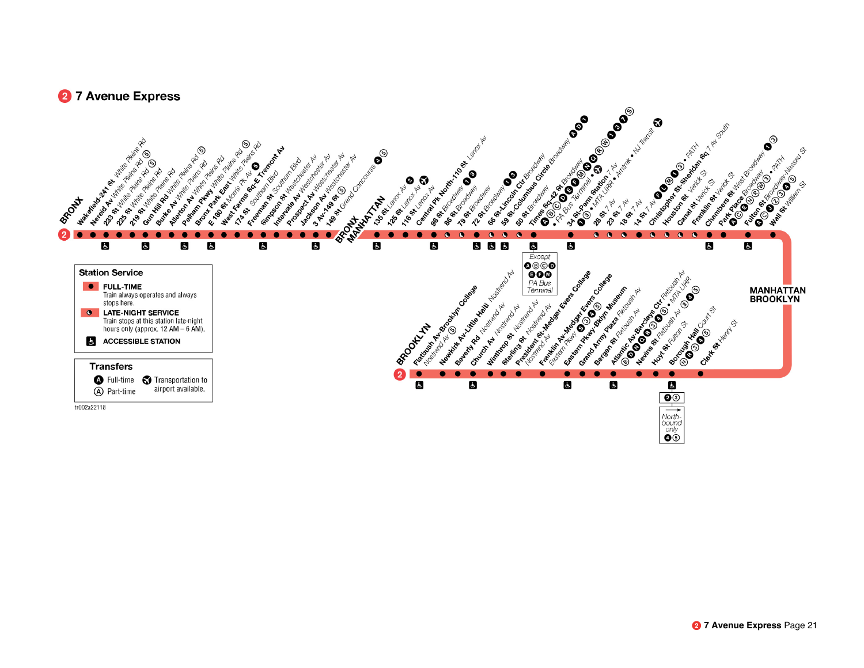